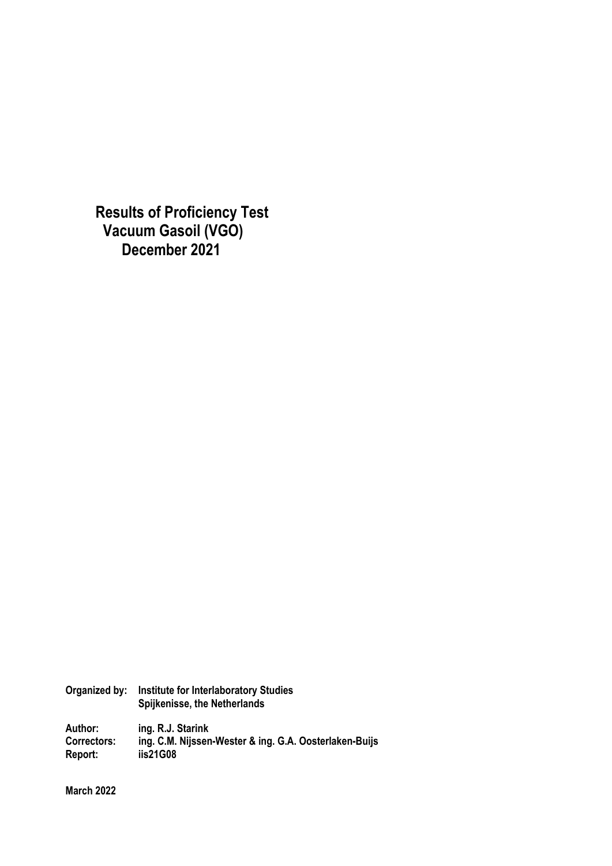**Results of Proficiency Test Vacuum Gasoil (VGO) December 2021**

| Organized by:                 | <b>Institute for Interlaboratory Studies</b><br>Spijkenisse, the Netherlands |
|-------------------------------|------------------------------------------------------------------------------|
| Author:<br><b>Correctors:</b> | ing. R.J. Starink<br>ing. C.M. Nijssen-Wester & ing. G.A. Oosterlaken-Buijs  |
| Report:                       | iis21G08                                                                     |

**March 2022**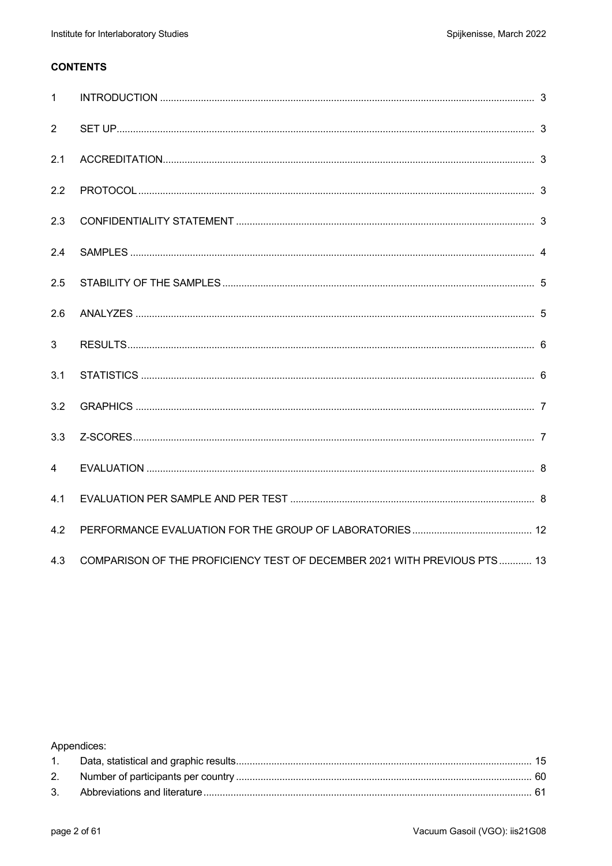### **CONTENTS**

| $\mathbf{1}$   |                                                                          |  |
|----------------|--------------------------------------------------------------------------|--|
| 2              |                                                                          |  |
| 2.1            |                                                                          |  |
| 2.2            |                                                                          |  |
| 2.3            |                                                                          |  |
| 2.4            |                                                                          |  |
| 2.5            |                                                                          |  |
| 2.6            |                                                                          |  |
| 3              |                                                                          |  |
| 3.1            |                                                                          |  |
| 3.2            |                                                                          |  |
| 3.3            |                                                                          |  |
| $\overline{4}$ |                                                                          |  |
| 4.1            |                                                                          |  |
| 4.2            |                                                                          |  |
| 4.3            | COMPARISON OF THE PROFICIENCY TEST OF DECEMBER 2021 WITH PREVIOUS PTS 13 |  |

Appendices: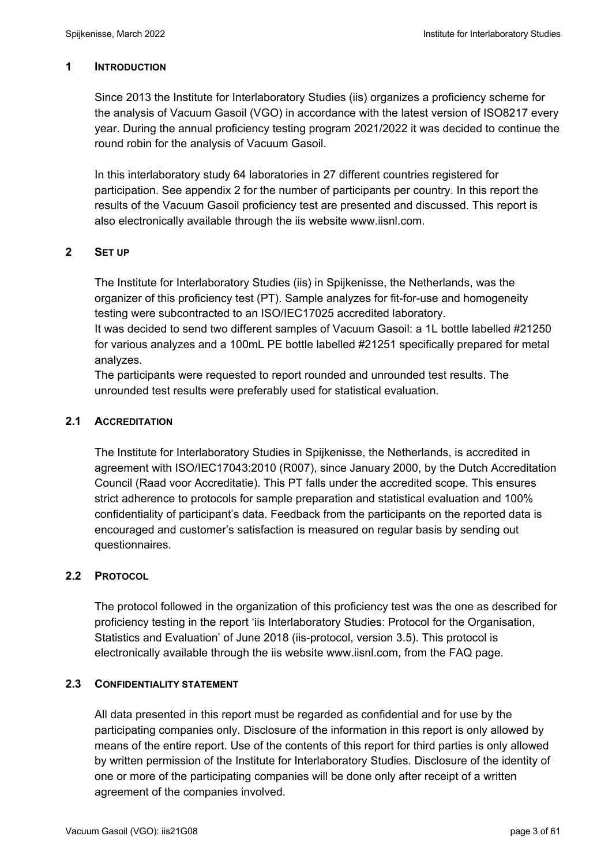#### **1 INTRODUCTION**

Since 2013 the Institute for Interlaboratory Studies (iis) organizes a proficiency scheme for the analysis of Vacuum Gasoil (VGO) in accordance with the latest version of ISO8217 every year. During the annual proficiency testing program 2021/2022 it was decided to continue the round robin for the analysis of Vacuum Gasoil.

In this interlaboratory study 64 laboratories in 27 different countries registered for participation. See appendix 2 for the number of participants per country. In this report the results of the Vacuum Gasoil proficiency test are presented and discussed. This report is also electronically available through the iis website www.iisnl.com.

### **2 SET UP**

The Institute for Interlaboratory Studies (iis) in Spijkenisse, the Netherlands, was the organizer of this proficiency test (PT). Sample analyzes for fit-for-use and homogeneity testing were subcontracted to an ISO/IEC17025 accredited laboratory.

It was decided to send two different samples of Vacuum Gasoil: a 1L bottle labelled #21250 for various analyzes and a 100mL PE bottle labelled #21251 specifically prepared for metal analyzes.

The participants were requested to report rounded and unrounded test results. The unrounded test results were preferably used for statistical evaluation.

### **2.1 ACCREDITATION**

The Institute for Interlaboratory Studies in Spijkenisse, the Netherlands, is accredited in agreement with ISO/IEC17043:2010 (R007), since January 2000, by the Dutch Accreditation Council (Raad voor Accreditatie). This PT falls under the accredited scope. This ensures strict adherence to protocols for sample preparation and statistical evaluation and 100% confidentiality of participant's data. Feedback from the participants on the reported data is encouraged and customer's satisfaction is measured on regular basis by sending out questionnaires.

### **2.2 PROTOCOL**

The protocol followed in the organization of this proficiency test was the one as described for proficiency testing in the report 'iis Interlaboratory Studies: Protocol for the Organisation, Statistics and Evaluation' of June 2018 (iis-protocol, version 3.5). This protocol is electronically available through the iis website www.iisnl.com, from the FAQ page.

#### **2.3 CONFIDENTIALITY STATEMENT**

All data presented in this report must be regarded as confidential and for use by the participating companies only. Disclosure of the information in this report is only allowed by means of the entire report. Use of the contents of this report for third parties is only allowed by written permission of the Institute for Interlaboratory Studies. Disclosure of the identity of one or more of the participating companies will be done only after receipt of a written agreement of the companies involved.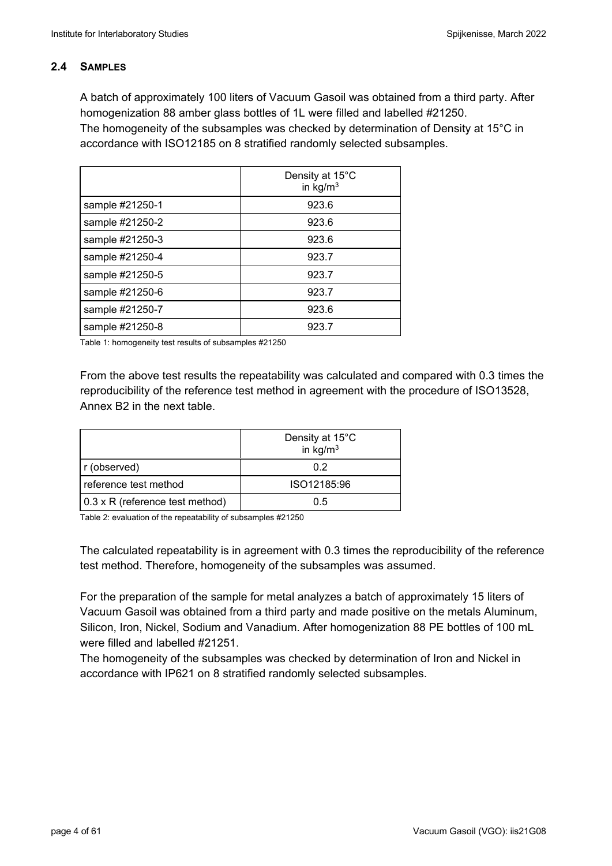#### **2.4 SAMPLES**

A batch of approximately 100 liters of Vacuum Gasoil was obtained from a third party. After homogenization 88 amber glass bottles of 1L were filled and labelled #21250. The homogeneity of the subsamples was checked by determination of Density at 15°C in accordance with ISO12185 on 8 stratified randomly selected subsamples.

|                 | Density at 15°C<br>in $kg/m3$ |
|-----------------|-------------------------------|
| sample #21250-1 | 923.6                         |
| sample #21250-2 | 923.6                         |
| sample #21250-3 | 923.6                         |
| sample #21250-4 | 923.7                         |
| sample #21250-5 | 923.7                         |
| sample #21250-6 | 923.7                         |
| sample #21250-7 | 923.6                         |
| sample #21250-8 | 923.7                         |

Table 1: homogeneity test results of subsamples #21250

From the above test results the repeatability was calculated and compared with 0.3 times the reproducibility of the reference test method in agreement with the procedure of ISO13528, Annex B2 in the next table.

|                                 | Density at 15°C<br>in $\text{kg/m}^3$ |
|---------------------------------|---------------------------------------|
| r (observed)                    | 0 2                                   |
| reference test method           | ISO12185:96                           |
| 0.3 x R (reference test method) | 0.5                                   |

Table 2: evaluation of the repeatability of subsamples #21250

The calculated repeatability is in agreement with 0.3 times the reproducibility of the reference test method. Therefore, homogeneity of the subsamples was assumed.

For the preparation of the sample for metal analyzes a batch of approximately 15 liters of Vacuum Gasoil was obtained from a third party and made positive on the metals Aluminum, Silicon, Iron, Nickel, Sodium and Vanadium. After homogenization 88 PE bottles of 100 mL were filled and labelled #21251.

The homogeneity of the subsamples was checked by determination of Iron and Nickel in accordance with IP621 on 8 stratified randomly selected subsamples.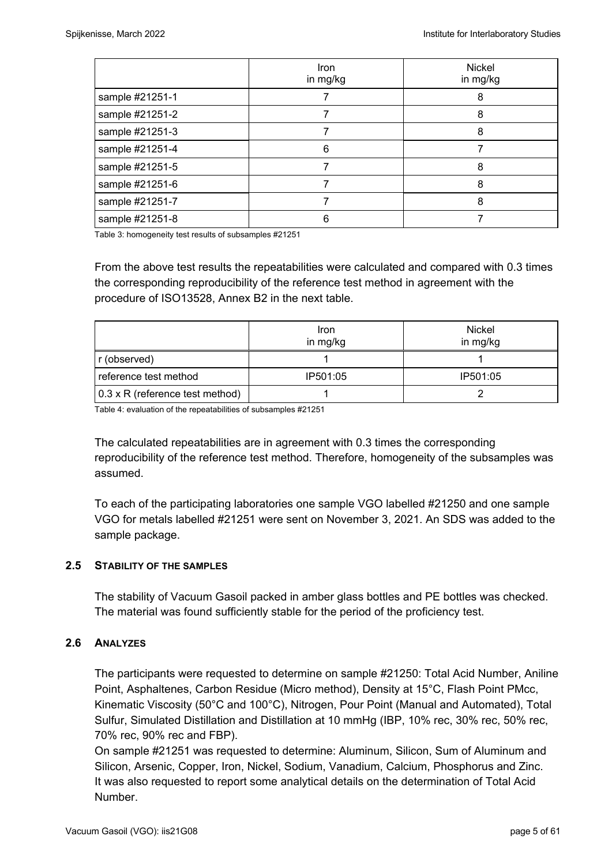|                 | <b>Iron</b><br>in mg/kg | Nickel<br>in mg/kg |
|-----------------|-------------------------|--------------------|
| sample #21251-1 |                         | 8                  |
| sample #21251-2 |                         | 8                  |
| sample #21251-3 |                         | 8                  |
| sample #21251-4 | 6                       |                    |
| sample #21251-5 |                         | 8                  |
| sample #21251-6 |                         | 8                  |
| sample #21251-7 |                         | 8                  |
| sample #21251-8 | ี่ค                     |                    |

Table 3: homogeneity test results of subsamples #21251

From the above test results the repeatabilities were calculated and compared with 0.3 times the corresponding reproducibility of the reference test method in agreement with the procedure of ISO13528, Annex B2 in the next table.

|                                        | Iron<br>in mg/kg | Nickel<br>in mg/kg |
|----------------------------------------|------------------|--------------------|
| r (observed)                           |                  |                    |
| reference test method                  | IP501:05         | IP501:05           |
| $0.3 \times R$ (reference test method) |                  |                    |

Table 4: evaluation of the repeatabilities of subsamples #21251

The calculated repeatabilities are in agreement with 0.3 times the corresponding reproducibility of the reference test method. Therefore, homogeneity of the subsamples was assumed.

To each of the participating laboratories one sample VGO labelled #21250 and one sample VGO for metals labelled #21251 were sent on November 3, 2021. An SDS was added to the sample package.

#### **2.5 STABILITY OF THE SAMPLES**

The stability of Vacuum Gasoil packed in amber glass bottles and PE bottles was checked. The material was found sufficiently stable for the period of the proficiency test.

#### **2.6 ANALYZES**

The participants were requested to determine on sample #21250: Total Acid Number, Aniline Point, Asphaltenes, Carbon Residue (Micro method), Density at 15°C, Flash Point PMcc, Kinematic Viscosity (50°C and 100°C), Nitrogen, Pour Point (Manual and Automated), Total Sulfur, Simulated Distillation and Distillation at 10 mmHg (IBP, 10% rec, 30% rec, 50% rec, 70% rec, 90% rec and FBP).

On sample #21251 was requested to determine: Aluminum, Silicon, Sum of Aluminum and Silicon, Arsenic, Copper, Iron, Nickel, Sodium, Vanadium, Calcium, Phosphorus and Zinc. It was also requested to report some analytical details on the determination of Total Acid **Number**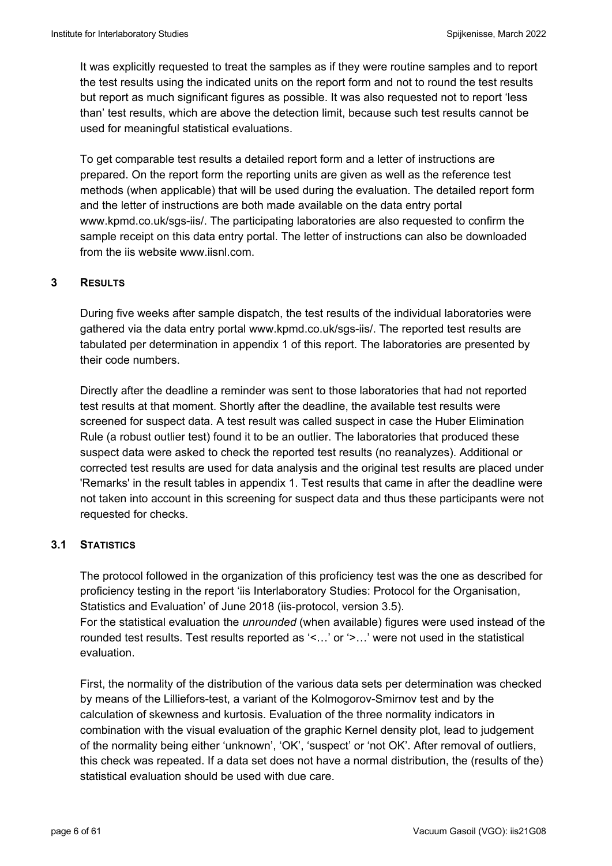It was explicitly requested to treat the samples as if they were routine samples and to report the test results using the indicated units on the report form and not to round the test results but report as much significant figures as possible. It was also requested not to report 'less than' test results, which are above the detection limit, because such test results cannot be used for meaningful statistical evaluations.

To get comparable test results a detailed report form and a letter of instructions are prepared. On the report form the reporting units are given as well as the reference test methods (when applicable) that will be used during the evaluation. The detailed report form and the letter of instructions are both made available on the data entry portal www.kpmd.co.uk/sgs-iis/. The participating laboratories are also requested to confirm the sample receipt on this data entry portal. The letter of instructions can also be downloaded from the iis website www.iisnl.com.

### **3 RESULTS**

During five weeks after sample dispatch, the test results of the individual laboratories were gathered via the data entry portal www.kpmd.co.uk/sgs-iis/. The reported test results are tabulated per determination in appendix 1 of this report. The laboratories are presented by their code numbers.

Directly after the deadline a reminder was sent to those laboratories that had not reported test results at that moment. Shortly after the deadline, the available test results were screened for suspect data. A test result was called suspect in case the Huber Elimination Rule (a robust outlier test) found it to be an outlier. The laboratories that produced these suspect data were asked to check the reported test results (no reanalyzes). Additional or corrected test results are used for data analysis and the original test results are placed under 'Remarks' in the result tables in appendix 1. Test results that came in after the deadline were not taken into account in this screening for suspect data and thus these participants were not requested for checks.

#### **3.1 STATISTICS**

The protocol followed in the organization of this proficiency test was the one as described for proficiency testing in the report 'iis Interlaboratory Studies: Protocol for the Organisation, Statistics and Evaluation' of June 2018 (iis-protocol, version 3.5). For the statistical evaluation the *unrounded* (when available) figures were used instead of the rounded test results. Test results reported as '<…' or '>…' were not used in the statistical evaluation.

First, the normality of the distribution of the various data sets per determination was checked by means of the Lilliefors-test, a variant of the Kolmogorov-Smirnov test and by the calculation of skewness and kurtosis. Evaluation of the three normality indicators in combination with the visual evaluation of the graphic Kernel density plot, lead to judgement of the normality being either 'unknown', 'OK', 'suspect' or 'not OK'. After removal of outliers, this check was repeated. If a data set does not have a normal distribution, the (results of the) statistical evaluation should be used with due care.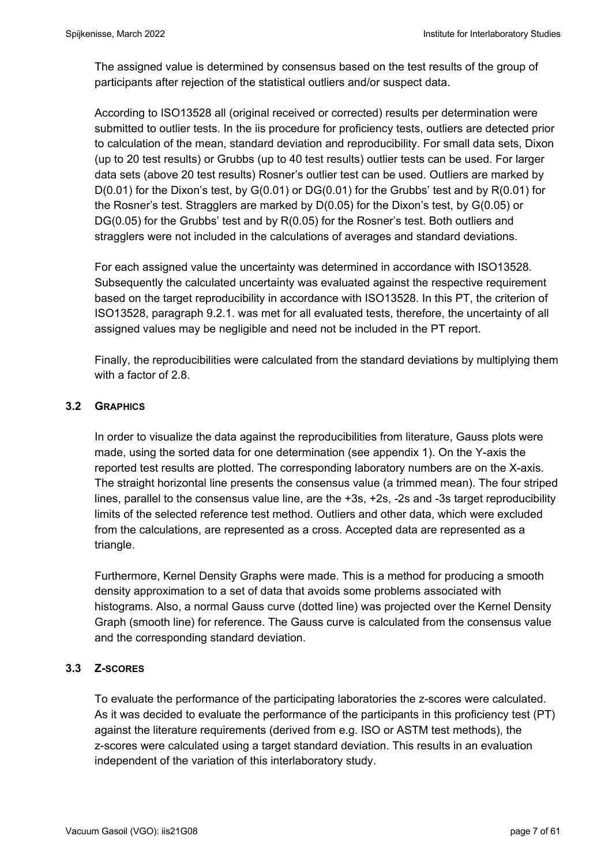The assigned value is determined by consensus based on the test results of the group of participants after rejection of the statistical outliers and/or suspect data.

According to ISO13528 all (original received or corrected) results per determination were submitted to outlier tests. In the iis procedure for proficiency tests, outliers are detected prior to calculation of the mean, standard deviation and reproducibility. For small data sets, Dixon (up to 20 test results) or Grubbs (up to 40 test results) outlier tests can be used. For larger data sets (above 20 test results) Rosner's outlier test can be used. Outliers are marked by  $D(0.01)$  for the Dixon's test, by  $G(0.01)$  or  $DG(0.01)$  for the Grubbs' test and by  $R(0.01)$  for the Rosner's test. Stragglers are marked by D(0.05) for the Dixon's test, by G(0.05) or DG(0.05) for the Grubbs' test and by R(0.05) for the Rosner's test. Both outliers and stragglers were not included in the calculations of averages and standard deviations.

For each assigned value the uncertainty was determined in accordance with ISO13528. Subsequently the calculated uncertainty was evaluated against the respective requirement based on the target reproducibility in accordance with ISO13528. In this PT, the criterion of ISO13528, paragraph 9.2.1. was met for all evaluated tests, therefore, the uncertainty of all assigned values may be negligible and need not be included in the PT report.

Finally, the reproducibilities were calculated from the standard deviations by multiplying them with a factor of 2.8.

### **3.2 GRAPHICS**

In order to visualize the data against the reproducibilities from literature, Gauss plots were made, using the sorted data for one determination (see appendix 1). On the Y-axis the reported test results are plotted. The corresponding laboratory numbers are on the X-axis. The straight horizontal line presents the consensus value (a trimmed mean). The four striped lines, parallel to the consensus value line, are the +3s, +2s, -2s and -3s target reproducibility limits of the selected reference test method. Outliers and other data, which were excluded from the calculations, are represented as a cross. Accepted data are represented as a triangle.

Furthermore, Kernel Density Graphs were made. This is a method for producing a smooth density approximation to a set of data that avoids some problems associated with histograms. Also, a normal Gauss curve (dotted line) was projected over the Kernel Density Graph (smooth line) for reference. The Gauss curve is calculated from the consensus value and the corresponding standard deviation.

### **3.3 Z-SCORES**

To evaluate the performance of the participating laboratories the z-scores were calculated. As it was decided to evaluate the performance of the participants in this proficiency test (PT) against the literature requirements (derived from e.g. ISO or ASTM test methods), the z-scores were calculated using a target standard deviation. This results in an evaluation independent of the variation of this interlaboratory study.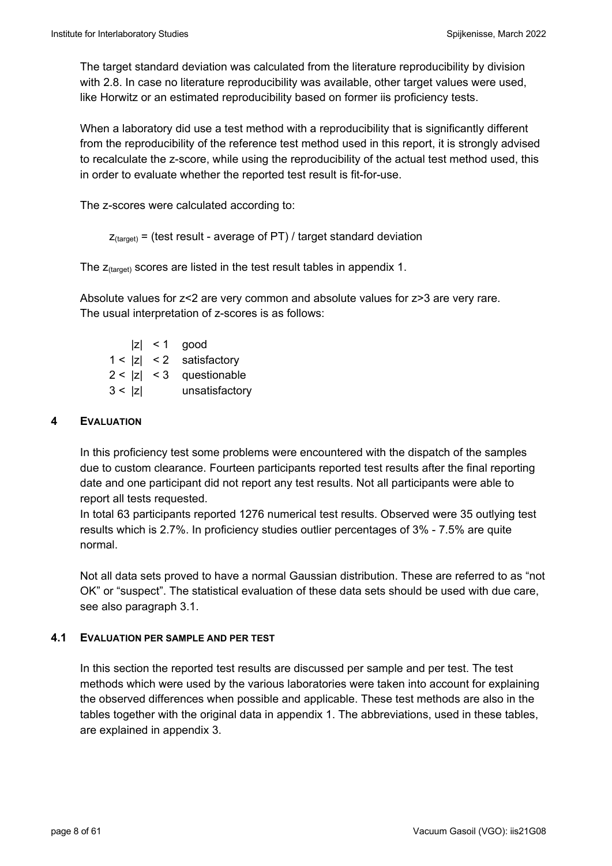The target standard deviation was calculated from the literature reproducibility by division with 2.8. In case no literature reproducibility was available, other target values were used, like Horwitz or an estimated reproducibility based on former iis proficiency tests.

When a laboratory did use a test method with a reproducibility that is significantly different from the reproducibility of the reference test method used in this report, it is strongly advised to recalculate the z-score, while using the reproducibility of the actual test method used, this in order to evaluate whether the reported test result is fit-for-use.

The z-scores were calculated according to:

```
Z_{\text{target}} = (test result - average of PT) / target standard deviation
```
The  $z_{\text{(target)}}$  scores are listed in the test result tables in appendix 1.

Absolute values for z<2 are very common and absolute values for z>3 are very rare. The usual interpretation of z-scores is as follows:

|        | $ z  < 1$ good             |
|--------|----------------------------|
|        | $1 <  z  < 2$ satisfactory |
|        | $2 <  z  < 3$ questionable |
| 3 <  z | unsatisfactory             |

#### **4 EVALUATION**

In this proficiency test some problems were encountered with the dispatch of the samples due to custom clearance. Fourteen participants reported test results after the final reporting date and one participant did not report any test results. Not all participants were able to report all tests requested.

In total 63 participants reported 1276 numerical test results. Observed were 35 outlying test results which is 2.7%. In proficiency studies outlier percentages of 3% - 7.5% are quite normal.

Not all data sets proved to have a normal Gaussian distribution. These are referred to as "not OK" or "suspect". The statistical evaluation of these data sets should be used with due care, see also paragraph 3.1.

#### **4.1 EVALUATION PER SAMPLE AND PER TEST**

In this section the reported test results are discussed per sample and per test. The test methods which were used by the various laboratories were taken into account for explaining the observed differences when possible and applicable. These test methods are also in the tables together with the original data in appendix 1. The abbreviations, used in these tables, are explained in appendix 3.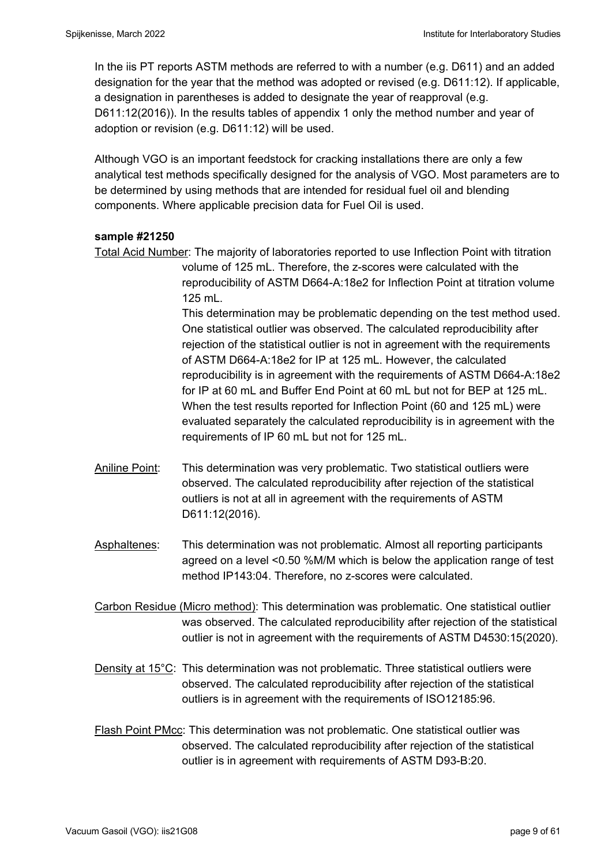In the iis PT reports ASTM methods are referred to with a number (e.g. D611) and an added designation for the year that the method was adopted or revised (e.g. D611:12). If applicable, a designation in parentheses is added to designate the year of reapproval (e.g. D611:12(2016)). In the results tables of appendix 1 only the method number and year of adoption or revision (e.g. D611:12) will be used.

Although VGO is an important feedstock for cracking installations there are only a few analytical test methods specifically designed for the analysis of VGO. Most parameters are to be determined by using methods that are intended for residual fuel oil and blending components. Where applicable precision data for Fuel Oil is used.

### **sample #21250**

Total Acid Number: The majority of laboratories reported to use Inflection Point with titration volume of 125 mL. Therefore, the z-scores were calculated with the reproducibility of ASTM D664-A:18e2 for Inflection Point at titration volume 125 mL.

> This determination may be problematic depending on the test method used. One statistical outlier was observed. The calculated reproducibility after rejection of the statistical outlier is not in agreement with the requirements of ASTM D664-A:18e2 for IP at 125 mL. However, the calculated reproducibility is in agreement with the requirements of ASTM D664-A:18e2 for IP at 60 mL and Buffer End Point at 60 mL but not for BEP at 125 mL. When the test results reported for Inflection Point (60 and 125 mL) were evaluated separately the calculated reproducibility is in agreement with the requirements of IP 60 mL but not for 125 mL.

- Aniline Point: This determination was very problematic. Two statistical outliers were observed. The calculated reproducibility after rejection of the statistical outliers is not at all in agreement with the requirements of ASTM D611:12(2016).
- Asphaltenes: This determination was not problematic. Almost all reporting participants agreed on a level <0.50 %M/M which is below the application range of test method IP143:04. Therefore, no z-scores were calculated.
- Carbon Residue (Micro method): This determination was problematic. One statistical outlier was observed. The calculated reproducibility after rejection of the statistical outlier is not in agreement with the requirements of ASTM D4530:15(2020).
- Density at 15°C: This determination was not problematic. Three statistical outliers were observed. The calculated reproducibility after rejection of the statistical outliers is in agreement with the requirements of ISO12185:96.
- Flash Point PMcc: This determination was not problematic. One statistical outlier was observed. The calculated reproducibility after rejection of the statistical outlier is in agreement with requirements of ASTM D93-B:20.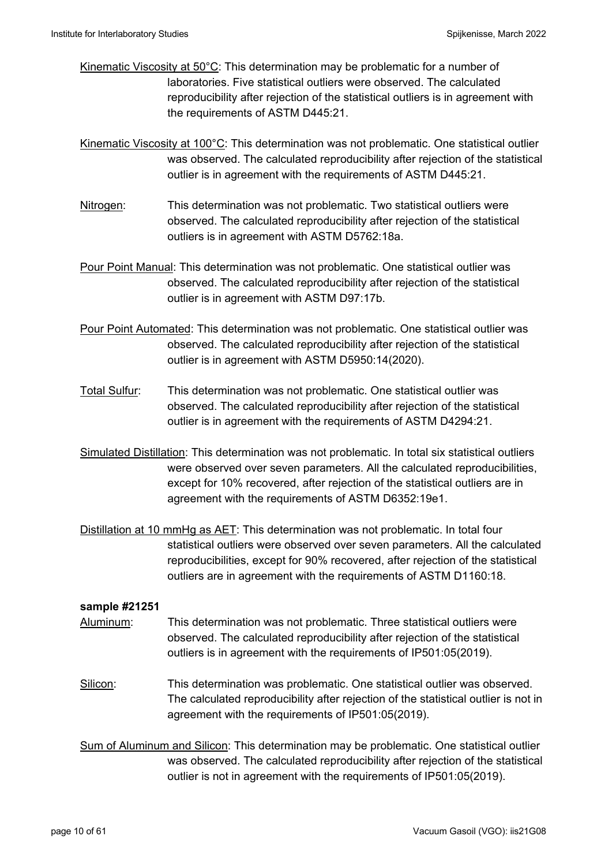- Kinematic Viscosity at 50°C: This determination may be problematic for a number of laboratories. Five statistical outliers were observed. The calculated reproducibility after rejection of the statistical outliers is in agreement with the requirements of ASTM D445:21.
- Kinematic Viscosity at 100°C: This determination was not problematic. One statistical outlier was observed. The calculated reproducibility after rejection of the statistical outlier is in agreement with the requirements of ASTM D445:21.
- Nitrogen: This determination was not problematic. Two statistical outliers were observed. The calculated reproducibility after rejection of the statistical outliers is in agreement with ASTM D5762:18a.
- Pour Point Manual: This determination was not problematic. One statistical outlier was observed. The calculated reproducibility after rejection of the statistical outlier is in agreement with ASTM D97:17b.
- Pour Point Automated: This determination was not problematic. One statistical outlier was observed. The calculated reproducibility after rejection of the statistical outlier is in agreement with ASTM D5950:14(2020).
- Total Sulfur: This determination was not problematic. One statistical outlier was observed. The calculated reproducibility after rejection of the statistical outlier is in agreement with the requirements of ASTM D4294:21.
- Simulated Distillation: This determination was not problematic. In total six statistical outliers were observed over seven parameters. All the calculated reproducibilities, except for 10% recovered, after rejection of the statistical outliers are in agreement with the requirements of ASTM D6352:19e1.
- Distillation at 10 mmHg as AET: This determination was not problematic. In total four statistical outliers were observed over seven parameters. All the calculated reproducibilities, except for 90% recovered, after rejection of the statistical outliers are in agreement with the requirements of ASTM D1160:18.

#### **sample #21251**

- Aluminum: This determination was not problematic. Three statistical outliers were observed. The calculated reproducibility after rejection of the statistical outliers is in agreement with the requirements of IP501:05(2019).
- Silicon: This determination was problematic. One statistical outlier was observed. The calculated reproducibility after rejection of the statistical outlier is not in agreement with the requirements of IP501:05(2019).
- Sum of Aluminum and Silicon: This determination may be problematic. One statistical outlier was observed. The calculated reproducibility after rejection of the statistical outlier is not in agreement with the requirements of IP501:05(2019).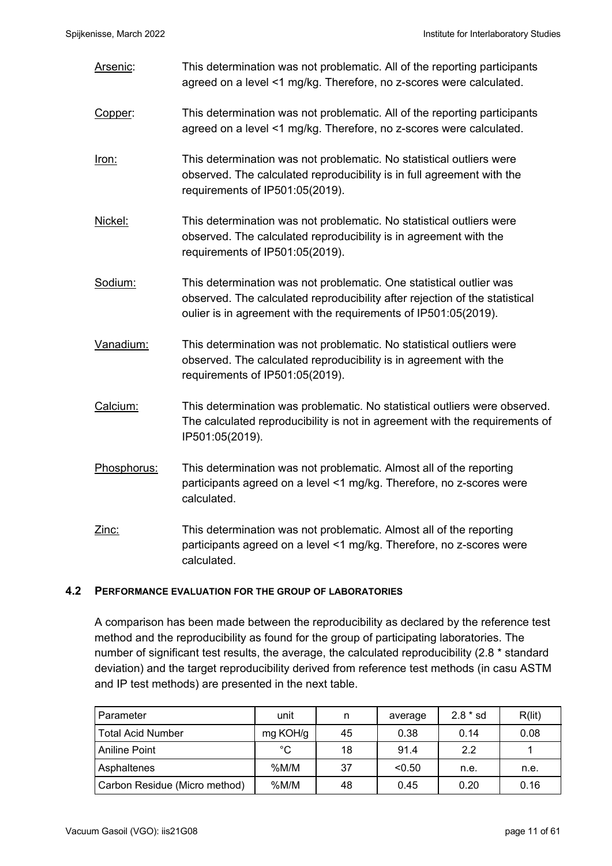Arsenic: This determination was not problematic. All of the reporting participants agreed on a level <1 mg/kg. Therefore, no z-scores were calculated. Copper: This determination was not problematic. All of the reporting participants agreed on a level <1 mg/kg. Therefore, no z-scores were calculated. Iron: This determination was not problematic. No statistical outliers were observed. The calculated reproducibility is in full agreement with the requirements of IP501:05(2019). Nickel: This determination was not problematic. No statistical outliers were observed. The calculated reproducibility is in agreement with the requirements of IP501:05(2019). Sodium: This determination was not problematic. One statistical outlier was observed. The calculated reproducibility after rejection of the statistical oulier is in agreement with the requirements of IP501:05(2019). Vanadium: This determination was not problematic. No statistical outliers were observed. The calculated reproducibility is in agreement with the requirements of IP501:05(2019). Calcium: This determination was problematic. No statistical outliers were observed. The calculated reproducibility is not in agreement with the requirements of IP501:05(2019). Phosphorus: This determination was not problematic. Almost all of the reporting participants agreed on a level <1 mg/kg. Therefore, no z-scores were calculated. Zinc: This determination was not problematic. Almost all of the reporting participants agreed on a level <1 mg/kg. Therefore, no z-scores were

#### **4.2 PERFORMANCE EVALUATION FOR THE GROUP OF LABORATORIES**

calculated.

A comparison has been made between the reproducibility as declared by the reference test method and the reproducibility as found for the group of participating laboratories. The number of significant test results, the average, the calculated reproducibility (2.8 \* standard deviation) and the target reproducibility derived from reference test methods (in casu ASTM and IP test methods) are presented in the next table.

| Parameter                     | unit         | n  | average | $2.8 * sd$ | R(lit) |
|-------------------------------|--------------|----|---------|------------|--------|
| <b>Total Acid Number</b>      | mg KOH/g     | 45 | 0.38    | 0.14       | 0.08   |
| Aniline Point                 | $^{\circ}$ C | 18 | 91.4    | 2.2        |        |
| Asphaltenes                   | %M/M         | 37 | < 0.50  | n.e.       | n.e.   |
| Carbon Residue (Micro method) | %M/M         | 48 | 0.45    | 0.20       | 0.16   |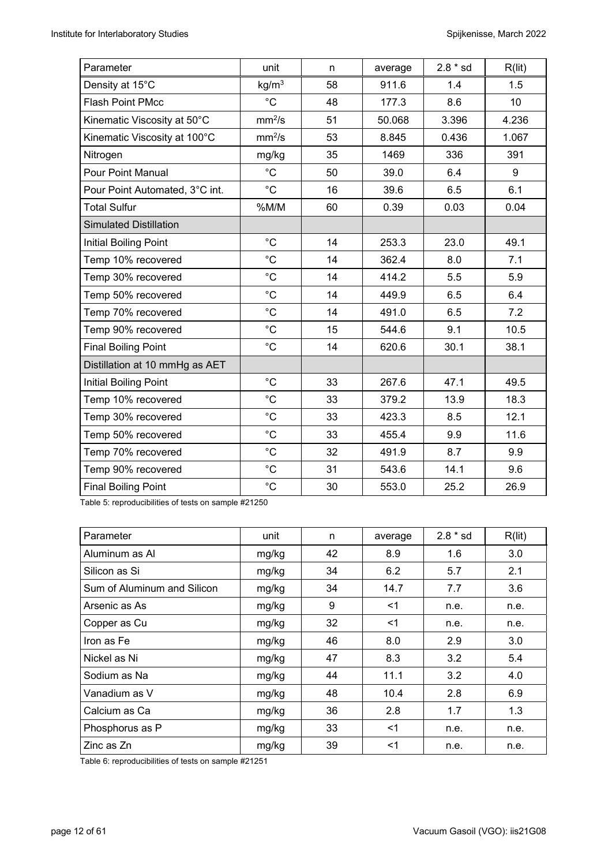| Parameter                      | unit               | n  | average | $2.8 * sd$ | R(lit) |
|--------------------------------|--------------------|----|---------|------------|--------|
| Density at 15°C                | kg/m <sup>3</sup>  | 58 | 911.6   | 1.4        | 1.5    |
| <b>Flash Point PMcc</b>        | $^{\circ}C$        | 48 | 177.3   | 8.6        | 10     |
| Kinematic Viscosity at 50°C    | mm <sup>2</sup> /s | 51 | 50.068  | 3.396      | 4.236  |
| Kinematic Viscosity at 100°C   | mm <sup>2</sup> /s | 53 | 8.845   | 0.436      | 1.067  |
| Nitrogen                       | mg/kg              | 35 | 1469    | 336        | 391    |
| Pour Point Manual              | $^{\circ}C$        | 50 | 39.0    | 6.4        | 9      |
| Pour Point Automated, 3°C int. | $^{\circ}$ C       | 16 | 39.6    | 6.5        | 6.1    |
| <b>Total Sulfur</b>            | %M/M               | 60 | 0.39    | 0.03       | 0.04   |
| <b>Simulated Distillation</b>  |                    |    |         |            |        |
| Initial Boiling Point          | $^{\circ}$ C       | 14 | 253.3   | 23.0       | 49.1   |
| Temp 10% recovered             | $^{\circ}C$        | 14 | 362.4   | 8.0        | 7.1    |
| Temp 30% recovered             | $^{\circ}C$        | 14 | 414.2   | 5.5        | 5.9    |
| Temp 50% recovered             | $^{\circ}C$        | 14 | 449.9   | 6.5        | 6.4    |
| Temp 70% recovered             | $^{\circ}C$        | 14 | 491.0   | 6.5        | 7.2    |
| Temp 90% recovered             | $^{\circ}$ C       | 15 | 544.6   | 9.1        | 10.5   |
| <b>Final Boiling Point</b>     | $^{\circ}C$        | 14 | 620.6   | 30.1       | 38.1   |
| Distillation at 10 mmHg as AET |                    |    |         |            |        |
| Initial Boiling Point          | $^{\circ}$ C       | 33 | 267.6   | 47.1       | 49.5   |
| Temp 10% recovered             | $^{\circ}C$        | 33 | 379.2   | 13.9       | 18.3   |
| Temp 30% recovered             | $^{\circ}C$        | 33 | 423.3   | 8.5        | 12.1   |
| Temp 50% recovered             | $^{\circ}C$        | 33 | 455.4   | 9.9        | 11.6   |
| Temp 70% recovered             | $^{\circ}C$        | 32 | 491.9   | 8.7        | 9.9    |
| Temp 90% recovered             | $^{\circ}C$        | 31 | 543.6   | 14.1       | 9.6    |
| <b>Final Boiling Point</b>     | $^{\circ}C$        | 30 | 553.0   | 25.2       | 26.9   |

Table 5: reproducibilities of tests on sample #21250

| Parameter                   | unit  | n  | average | $2.8 * sd$ | R(lit) |
|-----------------------------|-------|----|---------|------------|--------|
| Aluminum as Al              | mg/kg | 42 | 8.9     | 1.6        | 3.0    |
| Silicon as Si               | mg/kg | 34 | 6.2     | 5.7        | 2.1    |
| Sum of Aluminum and Silicon | mg/kg | 34 | 14.7    | 7.7        | 3.6    |
| Arsenic as As               | mg/kg | 9  | $<$ 1   | n.e.       | n.e.   |
| Copper as Cu                | mg/kg | 32 | $<$ 1   | n.e.       | n.e.   |
| Iron as Fe                  | mg/kg | 46 | 8.0     | 2.9        | 3.0    |
| Nickel as Ni                | mg/kg | 47 | 8.3     | 3.2        | 5.4    |
| Sodium as Na                | mg/kg | 44 | 11.1    | 3.2        | 4.0    |
| Vanadium as V               | mg/kg | 48 | 10.4    | 2.8        | 6.9    |
| Calcium as Ca               | mg/kg | 36 | 2.8     | 1.7        | 1.3    |
| Phosphorus as P             | mg/kg | 33 | $<$ 1   | n.e.       | n.e.   |
| Zinc as Zn                  | mg/kg | 39 | $<$ 1   | n.e.       | n.e.   |

Table 6: reproducibilities of tests on sample #21251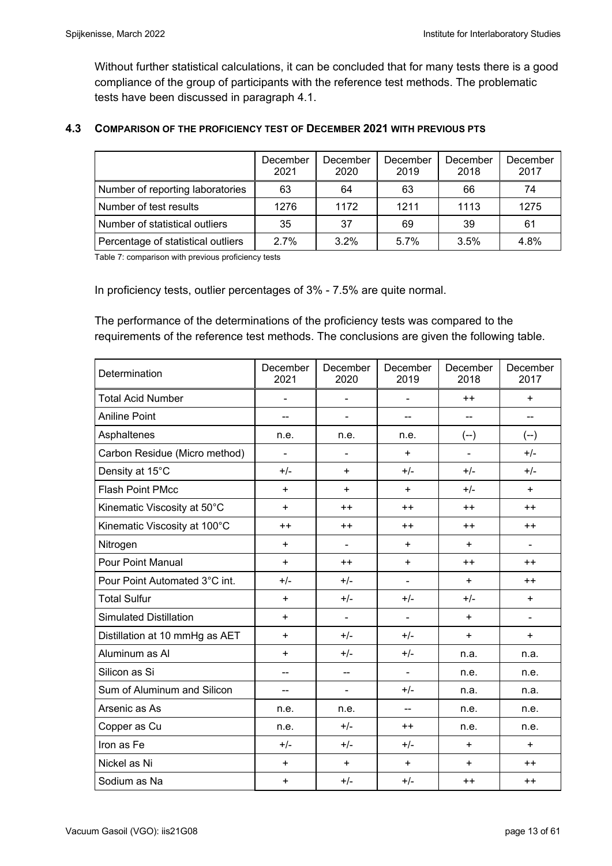Without further statistical calculations, it can be concluded that for many tests there is a good compliance of the group of participants with the reference test methods. The problematic tests have been discussed in paragraph 4.1.

#### **4.3 COMPARISON OF THE PROFICIENCY TEST OF DECEMBER 2021 WITH PREVIOUS PTS**

|                                    | December<br>2021 | December<br>2020 | December<br>2019 | December<br>2018 | December<br>2017 |
|------------------------------------|------------------|------------------|------------------|------------------|------------------|
| Number of reporting laboratories   | 63               | 64               | 63               | 66               | 74               |
| Number of test results             | 1276             | 1172             | 1211             | 1113             | 1275             |
| Number of statistical outliers     | 35               | 37               | 69               | 39               | 61               |
| Percentage of statistical outliers | 2.7%             | 3.2%             | 5.7%             | 3.5%             | 4.8%             |

Table 7: comparison with previous proficiency tests

In proficiency tests, outlier percentages of 3% - 7.5% are quite normal.

The performance of the determinations of the proficiency tests was compared to the requirements of the reference test methods. The conclusions are given the following table.

| Determination                  | December<br>2021 | December<br>2020         | December<br>2019 | December<br>2018 | December<br>2017 |
|--------------------------------|------------------|--------------------------|------------------|------------------|------------------|
| <b>Total Acid Number</b>       |                  |                          |                  | $++$             | $+$              |
| <b>Aniline Point</b>           | --               | $\blacksquare$           | --               | $-$              | --               |
| Asphaltenes                    | n.e.             | n.e.                     | n.e.             | $(-)$            | $(-)$            |
| Carbon Residue (Micro method)  | $\blacksquare$   |                          | $\ddot{}$        |                  | $+/-$            |
| Density at 15°C                | $+/-$            | $+$                      | $+/-$            | $+/-$            | $+/-$            |
| <b>Flash Point PMcc</b>        | $\ddot{}$        | $\ddot{}$                | $\ddot{}$        | $+/-$            | $+$              |
| Kinematic Viscosity at 50°C    | $\ddot{}$        | $++$                     | $++$             | $++$             | $++$             |
| Kinematic Viscosity at 100°C   | $++$             | $++$                     | $++$             | $++$             | $++$             |
| Nitrogen                       | $\ddot{}$        | $\blacksquare$           | $\ddot{}$        | $+$              | $\blacksquare$   |
| <b>Pour Point Manual</b>       | $\ddot{}$        | $++$                     | $\ddot{}$        | $++$             | $++$             |
| Pour Point Automated 3°C int.  | $+/-$            | $+/-$                    | $\blacksquare$   | $+$              | $++$             |
| <b>Total Sulfur</b>            | $\ddot{}$        | $+/-$                    | $+/-$            | $+/-$            | $\ddot{}$        |
| <b>Simulated Distillation</b>  | $+$              | $\blacksquare$           |                  | $+$              |                  |
| Distillation at 10 mmHg as AET | $\ddot{}$        | $+/-$                    | $+/-$            | $\ddot{}$        | $\ddot{}$        |
| Aluminum as Al                 | +                | $+/-$                    | $+/-$            | n.a.             | n.a.             |
| Silicon as Si                  | --               | --                       | $\overline{a}$   | n.e.             | n.e.             |
| Sum of Aluminum and Silicon    | --               | $\overline{\phantom{0}}$ | $+/-$            | n.a.             | n.a.             |
| Arsenic as As                  | n.e.             | n.e.                     | --               | n.e.             | n.e.             |
| Copper as Cu                   | n.e.             | $+/-$                    | $++$             | n.e.             | n.e.             |
| Iron as Fe                     | $+/-$            | $+/-$                    | $+/-$            | $\ddot{}$        | $\ddot{}$        |
| Nickel as Ni                   | $\ddot{}$        | $\ddot{}$                | $\ddot{}$        | $\ddot{}$        | $++$             |
| Sodium as Na                   | $\ddot{}$        | $+/-$                    | $+/-$            | $++$             | $++$             |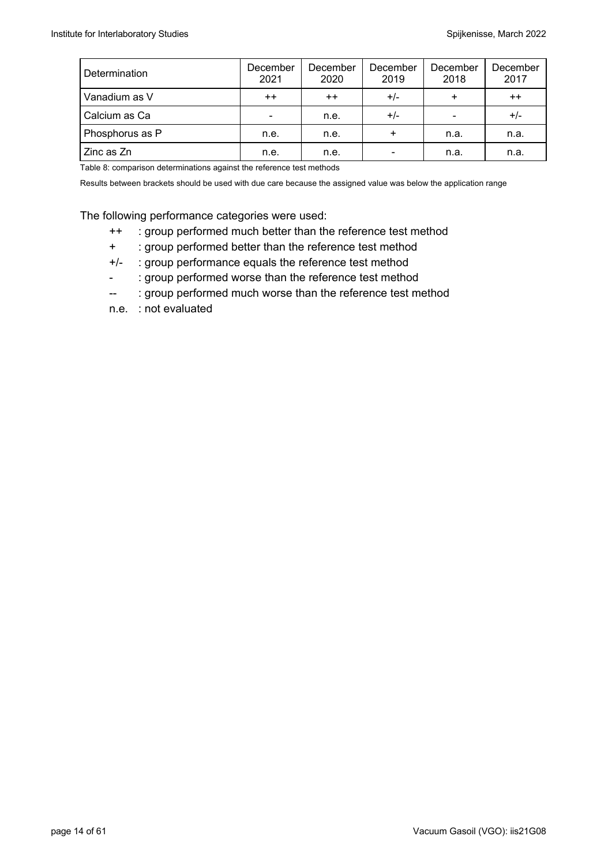| Determination   | December<br>2021 | December<br>2020 | December<br>2019 | December<br>2018 | December<br>2017 |
|-----------------|------------------|------------------|------------------|------------------|------------------|
| Vanadium as V   | $^{++}$          | $++$             | $+/-$            |                  | $^{\mathrm{+}}$  |
| Calcium as Ca   | $\blacksquare$   | n.e.             | $+/-$            |                  | $+/-$            |
| Phosphorus as P | n.e.             | n.e.             |                  | n.a.             | n.a.             |
| Zinc as Zn      | n.e.             | n.e.             |                  | n.a.             | n.a.             |

Table 8: comparison determinations against the reference test methods

Results between brackets should be used with due care because the assigned value was below the application range

The following performance categories were used:

- ++ : group performed much better than the reference test method
- + : group performed better than the reference test method
- +/- : group performance equals the reference test method
- : group performed worse than the reference test method
- -- : group performed much worse than the reference test method
- n.e. : not evaluated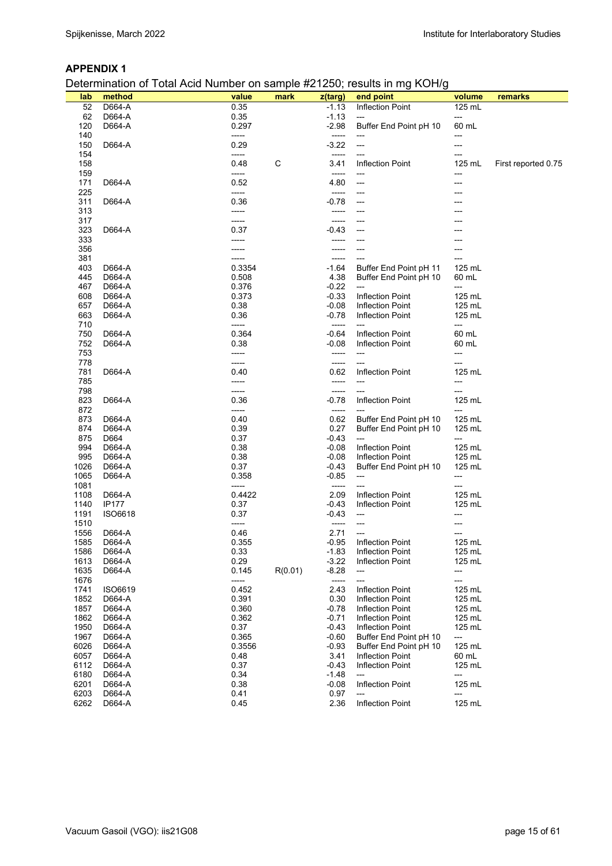### **APPENDIX 1**

### Determination of Total Acid Number on sample #21250; results in mg KOH/g

| lab  | method       | value  | mark    | z(targ)          | end point               | volume | remarks             |
|------|--------------|--------|---------|------------------|-------------------------|--------|---------------------|
| 52   | D664-A       | 0.35   |         | $-1.13$          | <b>Inflection Point</b> | 125 mL |                     |
| 62   | D664-A       | 0.35   |         | $-1.13$          | ---                     | ---    |                     |
| 120  | D664-A       | 0.297  |         | $-2.98$          | Buffer End Point pH 10  | 60 mL  |                     |
| 140  |              | -----  |         | -----            |                         | ---    |                     |
|      |              | 0.29   |         |                  |                         |        |                     |
| 150  | D664-A       | -----  |         | $-3.22$<br>----- | ---                     | ---    |                     |
| 154  |              |        |         |                  |                         |        |                     |
| 158  |              | 0.48   | С       | 3.41             | Inflection Point        | 125 mL | First reported 0.75 |
| 159  |              | -----  |         | -----            |                         | ---    |                     |
| 171  | D664-A       | 0.52   |         | 4.80             | ---                     | ---    |                     |
| 225  |              | -----  |         | -----            |                         |        |                     |
| 311  | D664-A       | 0.36   |         | $-0.78$          | ---                     |        |                     |
| 313  |              | -----  |         |                  |                         |        |                     |
| 317  |              | -----  |         |                  | ---                     |        |                     |
| 323  | D664-A       | 0.37   |         | -0.43            | ---                     |        |                     |
| 333  |              | -----  |         |                  |                         |        |                     |
| 356  |              |        |         |                  |                         |        |                     |
| 381  |              |        |         |                  |                         |        |                     |
| 403  | D664-A       | 0.3354 |         | $-1.64$          | Buffer End Point pH 11  | 125 mL |                     |
| 445  | D664-A       | 0.508  |         | 4.38             | Buffer End Point pH 10  | 60 mL  |                     |
| 467  | D664-A       | 0.376  |         | $-0.22$          | ---                     | ---    |                     |
| 608  | D664-A       | 0.373  |         | $-0.33$          | <b>Inflection Point</b> | 125 mL |                     |
| 657  | D664-A       | 0.38   |         | $-0.08$          | <b>Inflection Point</b> | 125 mL |                     |
| 663  | D664-A       | 0.36   |         | $-0.78$          | Inflection Point        | 125 mL |                     |
| 710  |              | -----  |         | $-----$          | ---                     | ---    |                     |
| 750  | D664-A       | 0.364  |         | $-0.64$          | <b>Inflection Point</b> | 60 mL  |                     |
| 752  | D664-A       | 0.38   |         | $-0.08$          | Inflection Point        | 60 mL  |                     |
| 753  |              | -----  |         |                  | ---                     | ---    |                     |
| 778  |              | -----  |         | -----            | ---                     | ---    |                     |
| 781  | D664-A       | 0.40   |         | 0.62             | Inflection Point        | 125 mL |                     |
| 785  |              | -----  |         | -----            | ---                     | ---    |                     |
| 798  |              | -----  |         | -----            |                         | ---    |                     |
| 823  | D664-A       | 0.36   |         | -0.78            | Inflection Point        | 125 mL |                     |
| 872  |              | -----  |         | -----            |                         | ---    |                     |
| 873  | D664-A       | 0.40   |         | 0.62             | Buffer End Point pH 10  | 125 mL |                     |
| 874  | D664-A       | 0.39   |         | 0.27             | Buffer End Point pH 10  | 125 mL |                     |
| 875  | D664         | 0.37   |         | $-0.43$          | $---$                   | ---    |                     |
| 994  | D664-A       | 0.38   |         | $-0.08$          | Inflection Point        | 125 mL |                     |
| 995  | D664-A       | 0.38   |         | $-0.08$          | Inflection Point        | 125 mL |                     |
| 1026 | D664-A       | 0.37   |         | $-0.43$          | Buffer End Point pH 10  | 125 mL |                     |
| 1065 | D664-A       | 0.358  |         | $-0.85$          | $---$                   | ---    |                     |
| 1081 |              | -----  |         | -----            | ---                     | ---    |                     |
| 1108 | D664-A       | 0.4422 |         | 2.09             | <b>Inflection Point</b> | 125 mL |                     |
| 1140 | <b>IP177</b> | 0.37   |         | $-0.43$          | Inflection Point        | 125 mL |                     |
| 1191 | ISO6618      | 0.37   |         | $-0.43$          | ---                     | ---    |                     |
| 1510 |              | -----  |         | -----            | ---                     |        |                     |
| 1556 | D664-A       | 0.46   |         | 2.71             | ---                     |        |                     |
| 1585 | D664-A       | 0.355  |         | -0.95            | Inflection Point        | 125 mL |                     |
| 1586 | D664-A       | 0.33   |         | $-1.83$          | <b>Inflection Point</b> | 125 mL |                     |
| 1613 | D664-A       | 0.29   |         | $-3.22$          | <b>Inflection Point</b> | 125 mL |                     |
| 1635 | D664-A       | 0.145  |         | $-8.28$          |                         |        |                     |
| 1676 |              | -----  | R(0.01) | -----            | $---$<br>---            | ---    |                     |
|      |              |        |         |                  | <b>Inflection Point</b> | ---    |                     |
| 1741 | ISO6619      | 0.452  |         | 2.43             |                         | 125 mL |                     |
| 1852 | D664-A       | 0.391  |         | 0.30             | Inflection Point        | 125 mL |                     |
| 1857 | D664-A       | 0.360  |         | $-0.78$          | Inflection Point        | 125 mL |                     |
| 1862 | D664-A       | 0.362  |         | $-0.71$          | <b>Inflection Point</b> | 125 mL |                     |
| 1950 | D664-A       | 0.37   |         | $-0.43$          | <b>Inflection Point</b> | 125 mL |                     |
| 1967 | D664-A       | 0.365  |         | $-0.60$          | Buffer End Point pH 10  | ---    |                     |
| 6026 | D664-A       | 0.3556 |         | $-0.93$          | Buffer End Point pH 10  | 125 mL |                     |
| 6057 | D664-A       | 0.48   |         | 3.41             | Inflection Point        | 60 mL  |                     |
| 6112 | D664-A       | 0.37   |         | $-0.43$          | Inflection Point        | 125 mL |                     |
| 6180 | D664-A       | 0.34   |         | $-1.48$          | ---                     | ---    |                     |
| 6201 | D664-A       | 0.38   |         | $-0.08$          | <b>Inflection Point</b> | 125 mL |                     |
| 6203 | D664-A       | 0.41   |         | 0.97             |                         | ---    |                     |
| 6262 | D664-A       | 0.45   |         | 2.36             | <b>Inflection Point</b> | 125 mL |                     |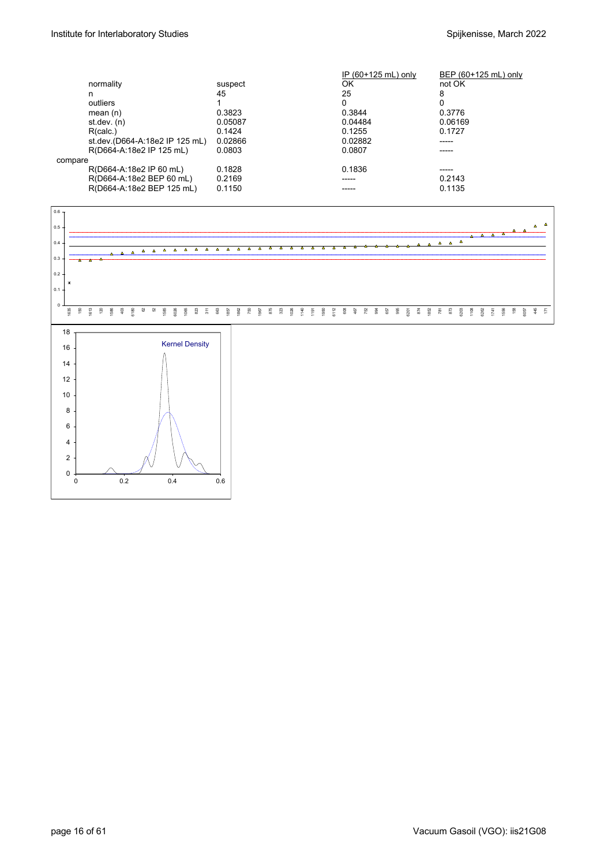|         |                                |         | IP (60+125 mL) only | BEP (60+125 mL) only |
|---------|--------------------------------|---------|---------------------|----------------------|
|         | normality                      | suspect | OK                  | not OK               |
|         | n                              | 45      | 25                  | 8                    |
|         | outliers                       |         |                     | O                    |
|         | mean $(n)$                     | 0.3823  | 0.3844              | 0.3776               |
|         | st dev. (n)                    | 0.05087 | 0.04484             | 0.06169              |
|         | R(calc.)                       | 0.1424  | 0.1255              | 0.1727               |
|         | st.dev.(D664-A:18e2 IP 125 mL) | 0.02866 | 0.02882             |                      |
|         | R(D664-A:18e2 IP 125 mL)       | 0.0803  | 0.0807              |                      |
| compare |                                |         |                     |                      |
|         | R(D664-A:18e2 IP 60 mL)        | 0.1828  | 0.1836              |                      |
|         | R(D664-A:18e2 BEP 60 mL)       | 0.2169  | -----               | 0.2143               |
|         | R(D664-A:18e2 BEP 125 mL)      | 0.1150  |                     | 0.1135               |

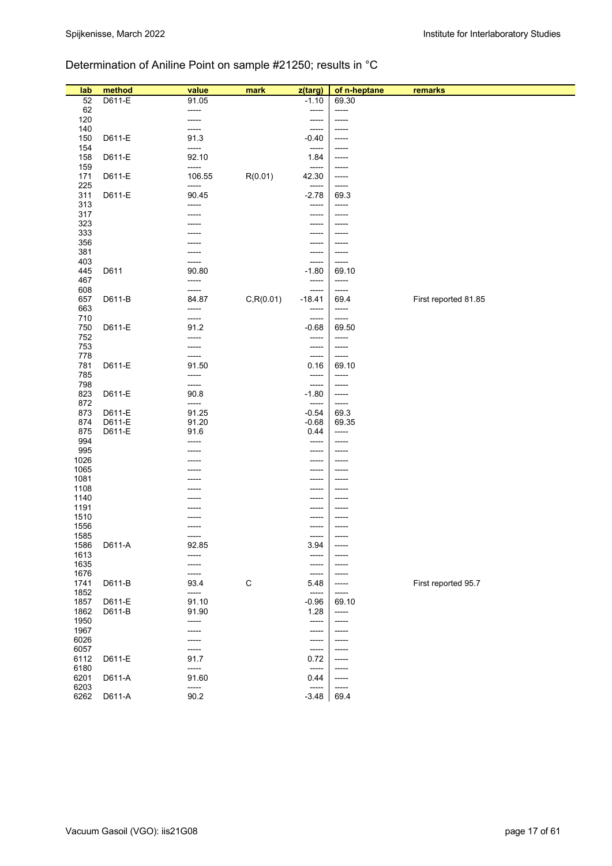### Determination of Aniline Point on sample #21250; results in °C

| lab          | method           | value          | mark        | z(targ)          | of n-heptane   | remarks              |
|--------------|------------------|----------------|-------------|------------------|----------------|----------------------|
| 52           | D611-E           | 91.05          |             | $-1.10$          | 69.30          |                      |
| 62           |                  | -----          |             | $-----$          | -----          |                      |
| 120          |                  | -----          |             | -----            | -----          |                      |
| 140          |                  | -----          |             | -----            | -----          |                      |
| 150<br>154   | D611-E           | 91.3<br>-----  |             | $-0.40$<br>----- | -----<br>----- |                      |
| 158          | D611-E           | 92.10          |             | 1.84             | -----          |                      |
| 159          |                  | -----          |             | -----            | -----          |                      |
| 171          | D611-E           | 106.55         | R(0.01)     | 42.30            | -----          |                      |
| 225          |                  | -----          |             | -----            | -----          |                      |
| 311<br>313   | D611-E           | 90.45<br>----- |             | $-2.78$<br>----- | 69.3<br>-----  |                      |
| 317          |                  | -----          |             | -----            | -----          |                      |
| 323          |                  |                |             | -----            | -----          |                      |
| 333          |                  |                |             | -----            | -----          |                      |
| 356          |                  |                |             | -----            | -----          |                      |
| 381<br>403   |                  | -----<br>----- |             | -----<br>-----   | -----<br>----- |                      |
| 445          | D611             | 90.80          |             | $-1.80$          | 69.10          |                      |
| 467          |                  | -----          |             | -----            | -----          |                      |
| 608          |                  | -----          |             | -----            | -----          |                      |
| 657<br>663   | D611-B           | 84.87          | C, R(0.01)  | $-18.41$         | 69.4           | First reported 81.85 |
| 710          |                  | -----<br>----- |             | -----<br>-----   | -----<br>----- |                      |
| 750          | D611-E           | 91.2           |             | $-0.68$          | 69.50          |                      |
| 752          |                  | -----          |             | -----            | -----          |                      |
| 753          |                  | -----          |             | -----            | -----          |                      |
| 778          |                  | -----          |             | -----            | -----          |                      |
| 781<br>785   | D611-E           | 91.50<br>----- |             | 0.16<br>-----    | 69.10<br>----- |                      |
| 798          |                  | -----          |             | -----            | -----          |                      |
| 823          | D611-E           | 90.8           |             | $-1.80$          | -----          |                      |
| 872          |                  | -----          |             | $-----$          | -----          |                      |
| 873          | D611-E           | 91.25          |             | $-0.54$          | 69.3           |                      |
| 874<br>875   | D611-E<br>D611-E | 91.20<br>91.6  |             | $-0.68$<br>0.44  | 69.35<br>----- |                      |
| 994          |                  | -----          |             | -----            | -----          |                      |
| 995          |                  |                |             | -----            | -----          |                      |
| 1026         |                  |                |             | -----            | -----          |                      |
| 1065         |                  |                |             | -----            | -----          |                      |
| 1081<br>1108 |                  |                |             | -----<br>-----   | -----<br>----- |                      |
| 1140         |                  |                |             | -----            | -----          |                      |
| 1191         |                  |                |             | -----            | -----          |                      |
| 1510         |                  |                |             |                  | -----          |                      |
| 1556         |                  |                |             |                  |                |                      |
| 1585<br>1586 | D611-A           | -----<br>92.85 |             | -----<br>3.94    | -----<br>----- |                      |
| 1613         |                  | -----          |             | -----            | -----          |                      |
| 1635         |                  | -----          |             | -----            | -----          |                      |
| 1676         |                  | -----          |             | -----            | -----          |                      |
| 1741<br>1852 | D611-B           | 93.4<br>-----  | $\mathsf C$ | 5.48<br>-----    | -----          | First reported 95.7  |
| 1857         | D611-E           | 91.10          |             | $-0.96$          | -----<br>69.10 |                      |
| 1862         | D611-B           | 91.90          |             | 1.28             | $-----$        |                      |
| 1950         |                  | -----          |             | $-----$          | -----          |                      |
| 1967         |                  | -----          |             | -----            | -----          |                      |
| 6026         |                  | -----          |             | -----            | -----          |                      |
| 6057<br>6112 | D611-E           | -----<br>91.7  |             | -----<br>0.72    | -----<br>----- |                      |
| 6180         |                  | -----          |             | $-----$          | -----          |                      |
| 6201         | D611-A           | 91.60          |             | 0.44             | -----          |                      |
| 6203         |                  | -----          |             | -----            | -----          |                      |
| 6262         | D611-A           | 90.2           |             | $-3.48$          | 69.4           |                      |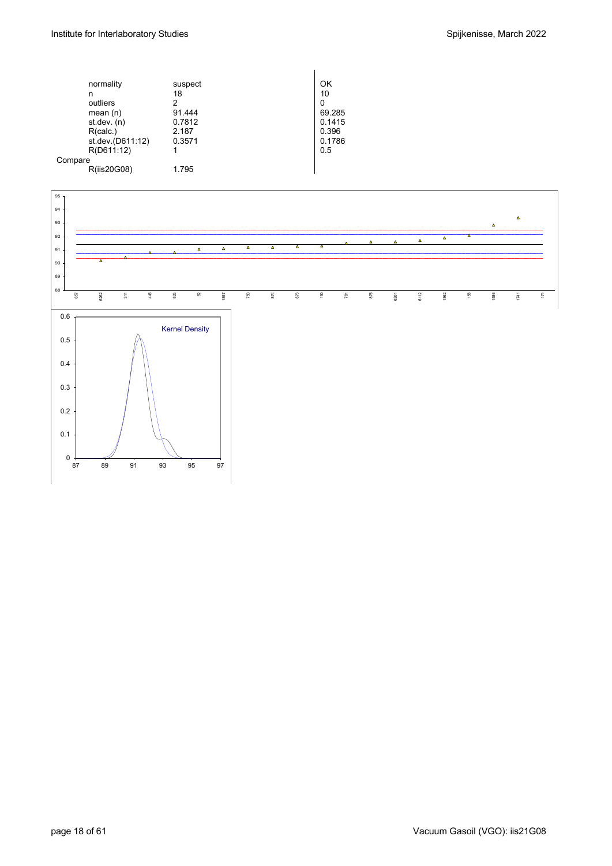| normality<br>n<br>outliers<br>mean $(n)$<br>st.dev. (n)<br>R(calc.)<br>st.dev.(D611:12) | suspect<br>18<br>2<br>91.444<br>0.7812<br>2.187<br>0.3571 | OK<br>10<br>0<br>69.285<br>0.1415<br>0.396<br>0.1786 |
|-----------------------------------------------------------------------------------------|-----------------------------------------------------------|------------------------------------------------------|
| R(D611:12)                                                                              | 1                                                         | 0.5                                                  |
| Compare                                                                                 |                                                           |                                                      |
| <b>R(iis20G08)</b>                                                                      | 1.795                                                     |                                                      |

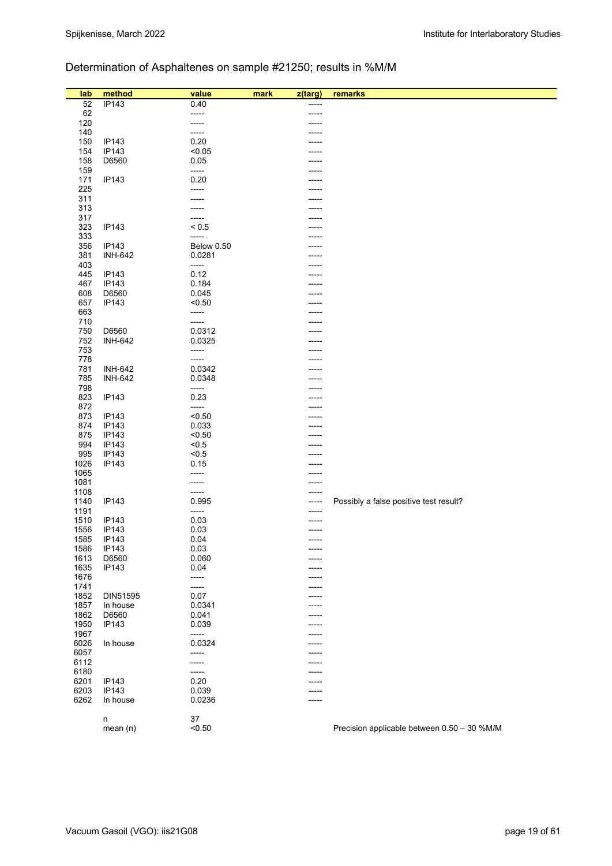## Determination of Asphaltenes on sample #21250; results in %M/M

| lab          | method                | value           | mark | z(targ)     | remarks                                     |
|--------------|-----------------------|-----------------|------|-------------|---------------------------------------------|
| 52           | IP143                 | 0.40            |      | -----       |                                             |
| 62           |                       | -----           |      | -----       |                                             |
| 120          |                       | -----           |      |             |                                             |
| 140          |                       | -----           |      |             |                                             |
| 150          | <b>IP143</b>          | 0.20            |      |             |                                             |
| 154          | IP143                 | < 0.05          |      |             |                                             |
| 158          | D6560                 | 0.05            |      |             |                                             |
| 159          |                       | -----           |      |             |                                             |
| 171          | IP143                 | 0.20            |      |             |                                             |
| 225          |                       | -----           |      |             |                                             |
| 311          |                       |                 |      |             |                                             |
| 313          |                       |                 |      |             |                                             |
| 317<br>323   | <b>IP143</b>          | ${}_{0.5}$      |      |             |                                             |
| 333          |                       | -----           |      |             |                                             |
| 356          | IP143                 | Below 0.50      |      |             |                                             |
| 381          | <b>INH-642</b>        | 0.0281          |      |             |                                             |
| 403          |                       | -----           |      |             |                                             |
| 445          | IP143                 | 0.12            |      |             |                                             |
| 467          | IP143                 | 0.184           |      |             |                                             |
| 608          | D6560                 | 0.045           |      |             |                                             |
| 657          | <b>IP143</b>          | < 0.50          |      |             |                                             |
| 663          |                       | -----           |      |             |                                             |
| 710          |                       | -----           |      |             |                                             |
| 750          | D6560                 | 0.0312          |      |             |                                             |
| 752<br>753   | <b>INH-642</b>        | 0.0325<br>----- |      |             |                                             |
| 778          |                       | -----           |      |             |                                             |
| 781          | <b>INH-642</b>        | 0.0342          |      |             |                                             |
| 785          | <b>INH-642</b>        | 0.0348          |      |             |                                             |
| 798          |                       | -----           |      |             |                                             |
| 823          | IP143                 | 0.23            |      |             |                                             |
| 872          |                       | -----           |      |             |                                             |
| 873          | IP143                 | < 0.50          |      |             |                                             |
| 874          | IP143                 | 0.033           |      |             |                                             |
| 875          | <b>IP143</b>          | < 0.50          |      |             |                                             |
| 994<br>995   | IP143<br><b>IP143</b> | < 0.5<br>< 0.5  |      |             |                                             |
| 1026         | <b>IP143</b>          | 0.15            |      |             |                                             |
| 1065         |                       | -----           |      |             |                                             |
| 1081         |                       | -----           |      |             |                                             |
| 1108         |                       | -----           |      |             |                                             |
| 1140         | <b>IP143</b>          | 0.995           |      | -----       | Possibly a false positive test result?      |
| 1191         |                       | -----           |      |             |                                             |
| 1510         | IP143                 | 0.03            |      |             |                                             |
| 1556         | <b>IP143</b>          | 0.03            |      |             |                                             |
| 1585         | IP143                 | 0.04            |      | $- - - - -$ |                                             |
| 1586         | IP143                 | 0.03            |      |             |                                             |
| 1613         | D6560                 | 0.060           |      |             |                                             |
| 1635<br>1676 | <b>IP143</b>          | 0.04<br>-----   |      |             |                                             |
| 1741         |                       | -----           |      |             |                                             |
| 1852         | DIN51595              | 0.07            |      |             |                                             |
| 1857         | In house              | 0.0341          |      |             |                                             |
| 1862         | D6560                 | 0.041           |      |             |                                             |
| 1950         | <b>IP143</b>          | 0.039           |      |             |                                             |
| 1967         |                       | -----           |      |             |                                             |
| 6026         | In house              | 0.0324          |      |             |                                             |
| 6057         |                       | -----           |      |             |                                             |
| 6112         |                       | -----           |      |             |                                             |
| 6180         |                       | -----           |      |             |                                             |
| 6201<br>6203 | IP143<br><b>IP143</b> | 0.20<br>0.039   |      |             |                                             |
| 6262         | In house              | 0.0236          |      |             |                                             |
|              |                       |                 |      |             |                                             |
|              | n                     | 37              |      |             |                                             |
|              | mean (n)              | < 0.50          |      |             | Precision applicable between 0.50 - 30 %M/M |
|              |                       |                 |      |             |                                             |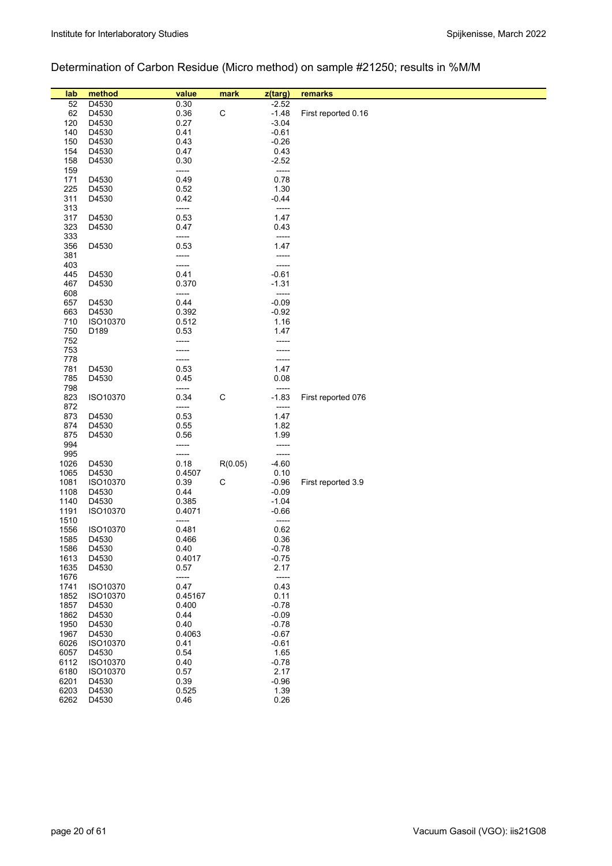# Determination of Carbon Residue (Micro method) on sample #21250; results in %M/M

| lab  | method   | value   | mark    | z(targ) | remarks             |
|------|----------|---------|---------|---------|---------------------|
| 52   | D4530    | 0.30    |         | $-2.52$ |                     |
| 62   | D4530    | 0.36    | C       | $-1.48$ | First reported 0.16 |
| 120  | D4530    | 0.27    |         | $-3.04$ |                     |
| 140  | D4530    | 0.41    |         | $-0.61$ |                     |
| 150  | D4530    | 0.43    |         | $-0.26$ |                     |
| 154  | D4530    | 0.47    |         | 0.43    |                     |
| 158  | D4530    | 0.30    |         | $-2.52$ |                     |
| 159  |          | -----   |         | -----   |                     |
| 171  | D4530    | 0.49    |         | 0.78    |                     |
| 225  | D4530    | 0.52    |         | 1.30    |                     |
| 311  | D4530    | 0.42    |         | $-0.44$ |                     |
| 313  |          | -----   |         | -----   |                     |
| 317  | D4530    | 0.53    |         | 1.47    |                     |
| 323  | D4530    | 0.47    |         | 0.43    |                     |
| 333  |          | -----   |         | -----   |                     |
| 356  | D4530    | 0.53    |         | 1.47    |                     |
| 381  |          |         |         | -----   |                     |
| 403  |          | -----   |         | -----   |                     |
| 445  | D4530    | 0.41    |         | $-0.61$ |                     |
| 467  | D4530    | 0.370   |         | $-1.31$ |                     |
| 608  |          | -----   |         | -----   |                     |
| 657  | D4530    | 0.44    |         | $-0.09$ |                     |
| 663  | D4530    | 0.392   |         | $-0.92$ |                     |
| 710  | ISO10370 | 0.512   |         | 1.16    |                     |
| 750  | D189     | 0.53    |         | 1.47    |                     |
| 752  |          | -----   |         | -----   |                     |
| 753  |          |         |         | -----   |                     |
| 778  |          | -----   |         | -----   |                     |
| 781  | D4530    | 0.53    |         | 1.47    |                     |
| 785  | D4530    | 0.45    |         | 0.08    |                     |
| 798  |          | -----   |         | -----   |                     |
| 823  | ISO10370 | 0.34    | C       | $-1.83$ | First reported 076  |
| 872  |          | -----   |         | -----   |                     |
| 873  | D4530    | 0.53    |         | 1.47    |                     |
| 874  | D4530    | 0.55    |         | 1.82    |                     |
| 875  | D4530    | 0.56    |         | 1.99    |                     |
| 994  |          | -----   |         | -----   |                     |
| 995  |          | -----   |         | -----   |                     |
| 1026 | D4530    | 0.18    | R(0.05) | $-4.60$ |                     |
| 1065 | D4530    | 0.4507  |         | 0.10    |                     |
| 1081 | ISO10370 | 0.39    | С       | $-0.96$ | First reported 3.9  |
| 1108 | D4530    | 0.44    |         | $-0.09$ |                     |
| 1140 | D4530    | 0.385   |         | $-1.04$ |                     |
| 1191 | ISO10370 | 0.4071  |         | $-0.66$ |                     |
| 1510 |          | -----   |         | -----   |                     |
| 1556 | ISO10370 | 0.481   |         | 0.62    |                     |
| 1585 | D4530    | 0.466   |         | 0.36    |                     |
| 1586 | D4530    | 0.40    |         | $-0.78$ |                     |
| 1613 | D4530    | 0.4017  |         | $-0.75$ |                     |
| 1635 | D4530    | 0.57    |         | 2.17    |                     |
| 1676 |          | -----   |         | -----   |                     |
| 1741 | ISO10370 | 0.47    |         | 0.43    |                     |
| 1852 | ISO10370 | 0.45167 |         | 0.11    |                     |
| 1857 | D4530    | 0.400   |         | $-0.78$ |                     |
| 1862 | D4530    | 0.44    |         | $-0.09$ |                     |
| 1950 | D4530    | 0.40    |         | $-0.78$ |                     |
| 1967 | D4530    | 0.4063  |         | $-0.67$ |                     |
| 6026 | ISO10370 | 0.41    |         | $-0.61$ |                     |
| 6057 | D4530    | 0.54    |         | 1.65    |                     |
| 6112 | ISO10370 | 0.40    |         | $-0.78$ |                     |
| 6180 | ISO10370 | 0.57    |         | 2.17    |                     |
| 6201 | D4530    | 0.39    |         | $-0.96$ |                     |
| 6203 | D4530    | 0.525   |         | 1.39    |                     |
| 6262 | D4530    | 0.46    |         | 0.26    |                     |
|      |          |         |         |         |                     |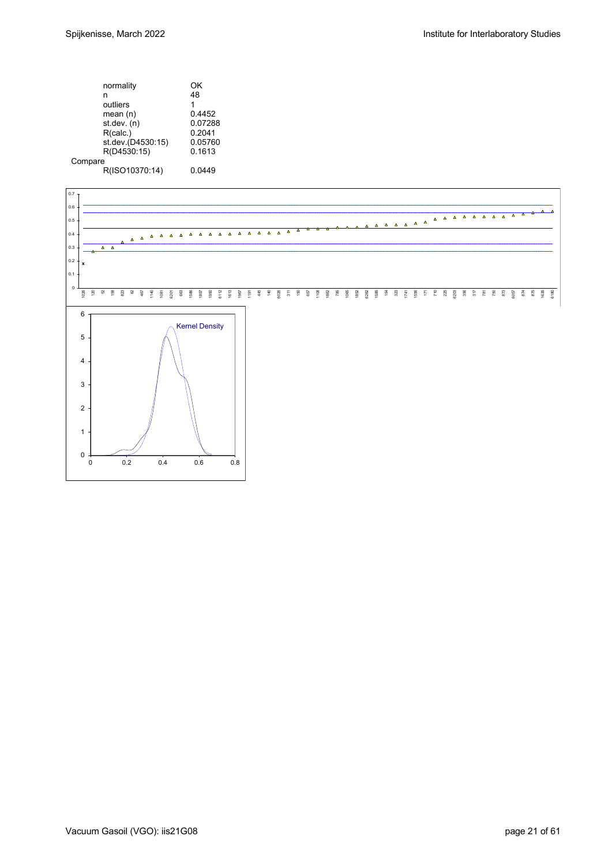| normality         | ΟK      |
|-------------------|---------|
| n                 | 48      |
| outliers          | 1       |
| mean $(n)$        | 0.4452  |
| st.dev. (n)       | 0.07288 |
| R(calc.)          | 0.2041  |
| st.dev.(D4530:15) | 0.05760 |
| R(D4530:15)       | 0.1613  |
| Compare           |         |
| R(ISO10370:14)    | 0.0449  |

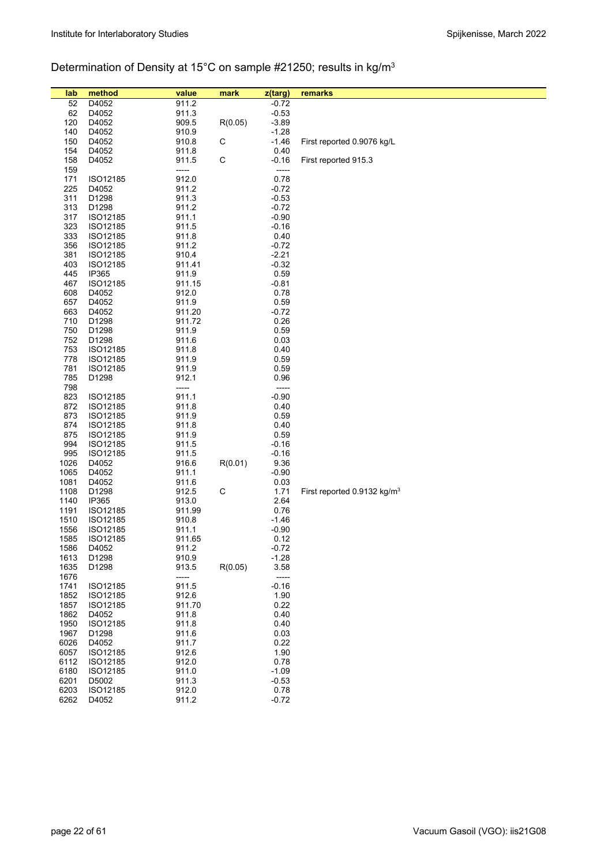# Determination of Density at 15°C on sample #21250; results in kg/m3

| lab          | method                   | value            | mark        | z(targ)            | remarks                                 |
|--------------|--------------------------|------------------|-------------|--------------------|-----------------------------------------|
| 52           | D4052                    | 911.2            |             | $-0.72$            |                                         |
| 62           | D4052                    | 911.3            |             | $-0.53$            |                                         |
| 120          | D4052                    | 909.5            | R(0.05)     | $-3.89$            |                                         |
| 140          | D4052                    | 910.9            |             | $-1.28$            |                                         |
| 150          | D4052                    | 910.8            | $\mathsf C$ | $-1.46$            | First reported 0.9076 kg/L              |
| 154          | D4052                    | 911.8            |             | 0.40               |                                         |
| 158          | D4052                    | 911.5            | $\mathsf C$ | $-0.16$            | First reported 915.3                    |
| 159          |                          | -----            |             | -----              |                                         |
| 171          | ISO12185                 | 912.0            |             | 0.78               |                                         |
| 225          | D4052                    | 911.2            |             | $-0.72$            |                                         |
| 311<br>313   | D1298<br>D1298           | 911.3<br>911.2   |             | $-0.53$<br>$-0.72$ |                                         |
| 317          | ISO12185                 | 911.1            |             | $-0.90$            |                                         |
| 323          | ISO12185                 | 911.5            |             | $-0.16$            |                                         |
| 333          | ISO12185                 | 911.8            |             | 0.40               |                                         |
| 356          | ISO12185                 | 911.2            |             | $-0.72$            |                                         |
| 381          | ISO12185                 | 910.4            |             | $-2.21$            |                                         |
| 403          | ISO12185                 | 911.41           |             | $-0.32$            |                                         |
| 445          | <b>IP365</b>             | 911.9            |             | 0.59               |                                         |
| 467          | ISO12185                 | 911.15           |             | $-0.81$            |                                         |
| 608          | D4052                    | 912.0            |             | 0.78               |                                         |
| 657          | D4052<br>D4052           | 911.9            |             | 0.59               |                                         |
| 663<br>710   | D1298                    | 911.20<br>911.72 |             | $-0.72$<br>0.26    |                                         |
| 750          | D1298                    | 911.9            |             | 0.59               |                                         |
| 752          | D1298                    | 911.6            |             | 0.03               |                                         |
| 753          | ISO12185                 | 911.8            |             | 0.40               |                                         |
| 778          | ISO12185                 | 911.9            |             | 0.59               |                                         |
| 781          | ISO12185                 | 911.9            |             | 0.59               |                                         |
| 785          | D1298                    | 912.1            |             | 0.96               |                                         |
| 798          |                          | -----            |             | -----              |                                         |
| 823          | ISO12185                 | 911.1            |             | $-0.90$            |                                         |
| 872<br>873   | ISO12185<br>ISO12185     | 911.8<br>911.9   |             | 0.40<br>0.59       |                                         |
| 874          | ISO12185                 | 911.8            |             | 0.40               |                                         |
| 875          | ISO12185                 | 911.9            |             | 0.59               |                                         |
| 994          | ISO12185                 | 911.5            |             | $-0.16$            |                                         |
| 995          | ISO12185                 | 911.5            |             | $-0.16$            |                                         |
| 1026         | D4052                    | 916.6            | R(0.01)     | 9.36               |                                         |
| 1065         | D4052                    | 911.1            |             | $-0.90$            |                                         |
| 1081         | D4052                    | 911.6            |             | 0.03               |                                         |
| 1108         | D1298                    | 912.5            | C           | 1.71               | First reported 0.9132 kg/m <sup>3</sup> |
| 1140<br>1191 | <b>IP365</b><br>ISO12185 | 913.0<br>911.99  |             | 2.64<br>0.76       |                                         |
| 1510         | ISO12185                 | 910.8            |             | $-1.46$            |                                         |
| 1556         | ISO12185                 | 911.1            |             | $-0.90$            |                                         |
| 1585         | ISO12185                 | 911.65           |             | 0.12               |                                         |
| 1586         | D4052                    | 911.2            |             | $-0.72$            |                                         |
| 1613         | D1298                    | 910.9            |             | $-1.28$            |                                         |
| 1635         | D1298                    | 913.5            | R(0.05)     | 3.58               |                                         |
| 1676         |                          | -----            |             | -----              |                                         |
| 1741<br>1852 | ISO12185<br>ISO12185     | 911.5<br>912.6   |             | $-0.16$<br>1.90    |                                         |
| 1857         | ISO12185                 | 911.70           |             | 0.22               |                                         |
| 1862         | D4052                    | 911.8            |             | 0.40               |                                         |
| 1950         | ISO12185                 | 911.8            |             | 0.40               |                                         |
| 1967         | D1298                    | 911.6            |             | 0.03               |                                         |
| 6026         | D4052                    | 911.7            |             | 0.22               |                                         |
| 6057         | ISO12185                 | 912.6            |             | 1.90               |                                         |
| 6112         | ISO12185                 | 912.0            |             | 0.78               |                                         |
| 6180<br>6201 | ISO12185<br>D5002        | 911.0<br>911.3   |             | $-1.09$<br>$-0.53$ |                                         |
| 6203         | ISO12185                 | 912.0            |             | 0.78               |                                         |
| 6262         | D4052                    | 911.2            |             | $-0.72$            |                                         |
|              |                          |                  |             |                    |                                         |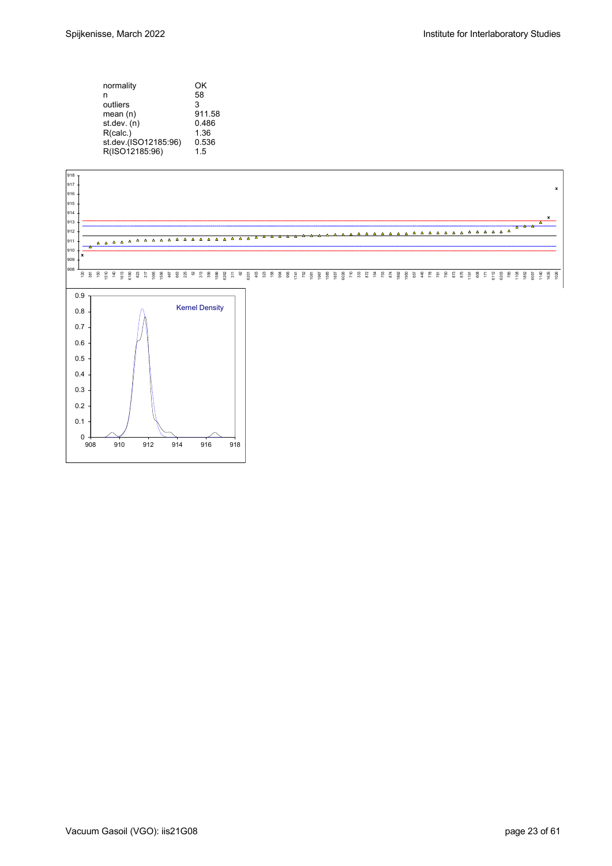| normality            | OK     |
|----------------------|--------|
| n                    | 58     |
| outliers             | 3      |
| mean(n)              | 911.58 |
| st.dev. (n)          | 0.486  |
| R(calc.)             | 1.36   |
| st.dev.(ISO12185:96) | 0.536  |
| R(ISO12185:96)       | 1.5    |
|                      |        |

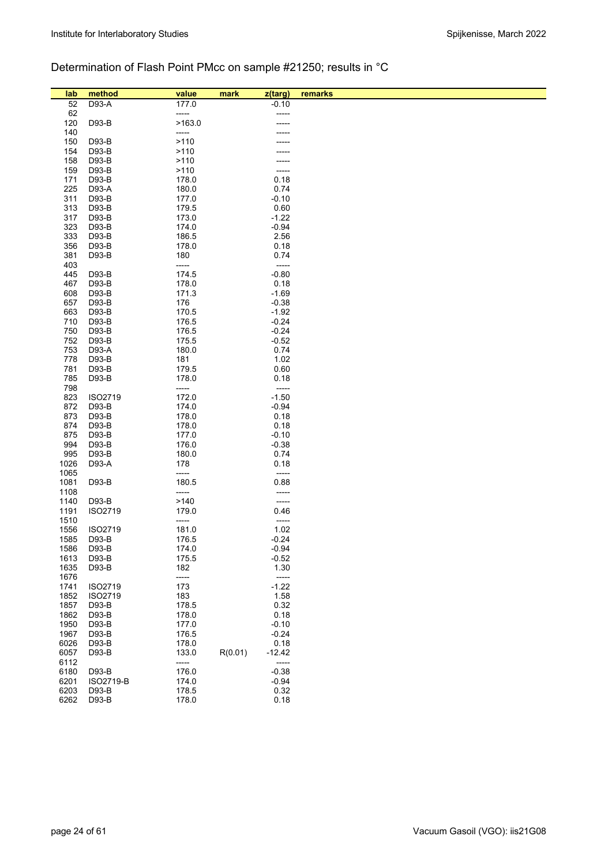## Determination of Flash Point PMcc on sample #21250; results in °C

| lab<br>52    | method<br>D93-A | value<br>177.0 | mark    | z(targ)<br>$-0.10$       | remarks |
|--------------|-----------------|----------------|---------|--------------------------|---------|
| 62           |                 | -----          |         | -----                    |         |
| 120          | D93-B           | >163.0         |         |                          |         |
| 140          |                 | -----          |         |                          |         |
| 150          | D93-B           | >110           |         |                          |         |
| 154          | D93-B           | >110           |         |                          |         |
| 158          | D93-B           | >110           |         |                          |         |
| 159          | D93-B           | >110           |         |                          |         |
| 171          | D93-B           | 178.0          |         | 0.18                     |         |
| 225          | D93-A           | 180.0          |         | 0.74                     |         |
| 311          | D93-B           | 177.0          |         | $-0.10$                  |         |
| 313          | D93-B           | 179.5          |         | 0.60                     |         |
| 317          | D93-B           | 173.0          |         | $-1.22$                  |         |
| 323          | D93-B           | 174.0          |         | $-0.94$                  |         |
| 333          | D93-B           | 186.5          |         | 2.56                     |         |
| 356<br>381   | D93-B<br>D93-B  | 178.0<br>180   |         | 0.18<br>0.74             |         |
| 403          |                 | -----          |         | -----                    |         |
| 445          | D93-B           | 174.5          |         | $-0.80$                  |         |
| 467          | D93-B           | 178.0          |         | 0.18                     |         |
| 608          | D93-B           | 171.3          |         | $-1.69$                  |         |
| 657          | D93-B           | 176            |         | $-0.38$                  |         |
| 663          | D93-B           | 170.5          |         | $-1.92$                  |         |
| 710          | D93-B           | 176.5          |         | $-0.24$                  |         |
| 750          | D93-B           | 176.5          |         | $-0.24$                  |         |
| 752          | D93-B           | 175.5          |         | $-0.52$                  |         |
| 753          | D93-A           | 180.0          |         | 0.74                     |         |
| 778          | D93-B           | 181            |         | 1.02                     |         |
| 781          | D93-B           | 179.5          |         | 0.60                     |         |
| 785          | D93-B           | 178.0          |         | 0.18                     |         |
| 798<br>823   | ISO2719         | -----<br>172.0 |         | -----<br>$-1.50$         |         |
| 872          | D93-B           | 174.0          |         | $-0.94$                  |         |
| 873          | D93-B           | 178.0          |         | 0.18                     |         |
| 874          | D93-B           | 178.0          |         | 0.18                     |         |
| 875          | D93-B           | 177.0          |         | $-0.10$                  |         |
| 994          | D93-B           | 176.0          |         | $-0.38$                  |         |
| 995          | D93-B           | 180.0          |         | 0.74                     |         |
| 1026         | D93-A           | 178            |         | 0.18                     |         |
| 1065         |                 | -----          |         | -----                    |         |
| 1081         | D93-B           | 180.5          |         | 0.88                     |         |
| 1108         |                 | -----          |         | -----                    |         |
| 1140         | D93-B           | >140           |         | -----                    |         |
| 1191         | ISO2719         | 179.0          |         | 0.46                     |         |
| 1510<br>1556 | ISO2719         | -----<br>181.0 |         | -----<br>1.02            |         |
| 1585         | D93-B           | 176.5          |         | $-0.24$                  |         |
| 1586         | D93-B           | 174.0          |         | $-0.94$                  |         |
| 1613         | D93-B           | 175.5          |         | $-0.52$                  |         |
| 1635         | D93-B           | 182            |         | 1.30                     |         |
| 1676         |                 | -----          |         | $\overline{\phantom{a}}$ |         |
| 1741         | ISO2719         | 173            |         | $-1.22$                  |         |
| 1852         | ISO2719         | 183            |         | 1.58                     |         |
| 1857         | D93-B           | 178.5          |         | 0.32                     |         |
| 1862         | D93-B           | 178.0          |         | 0.18                     |         |
| 1950         | D93-B           | 177.0          |         | $-0.10$                  |         |
| 1967         | D93-B           | 176.5          |         | $-0.24$                  |         |
| 6026<br>6057 | D93-B           | 178.0<br>133.0 | R(0.01) | 0.18                     |         |
| 6112         | D93-B           | -----          |         | $-12.42$<br>-----        |         |
| 6180         | D93-B           | 176.0          |         | $-0.38$                  |         |
| 6201         | ISO2719-B       | 174.0          |         | $-0.94$                  |         |
| 6203         | D93-B           | 178.5          |         | 0.32                     |         |
| 6262         | D93-B           | 178.0          |         | 0.18                     |         |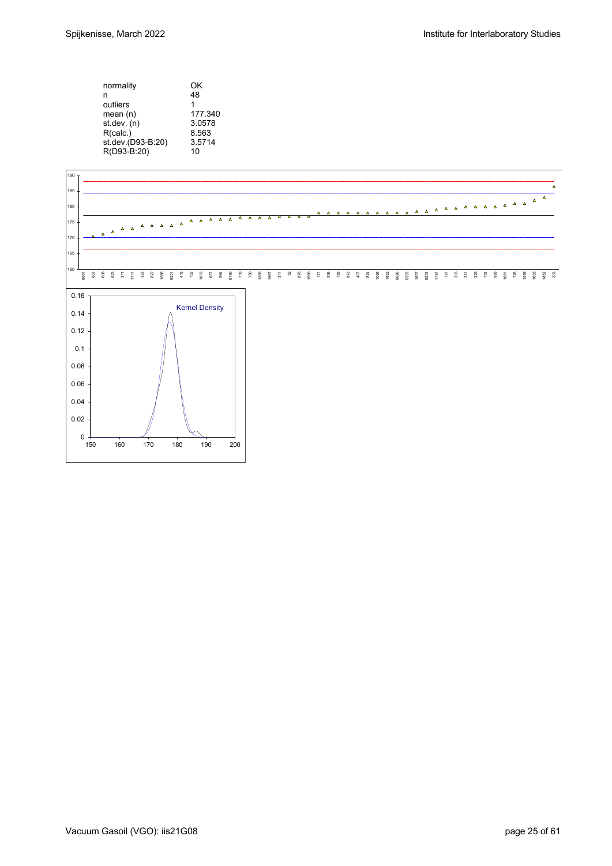| normality         | OK      |
|-------------------|---------|
| n                 | 48      |
| outliers          | 1       |
| mean(n)           | 177.340 |
| st.dev. (n)       | 3.0578  |
| R(calc.)          | 8.563   |
| st.dev.(D93-B:20) | 3.5714  |
| R(D93-B:20)       | 10      |
|                   |         |

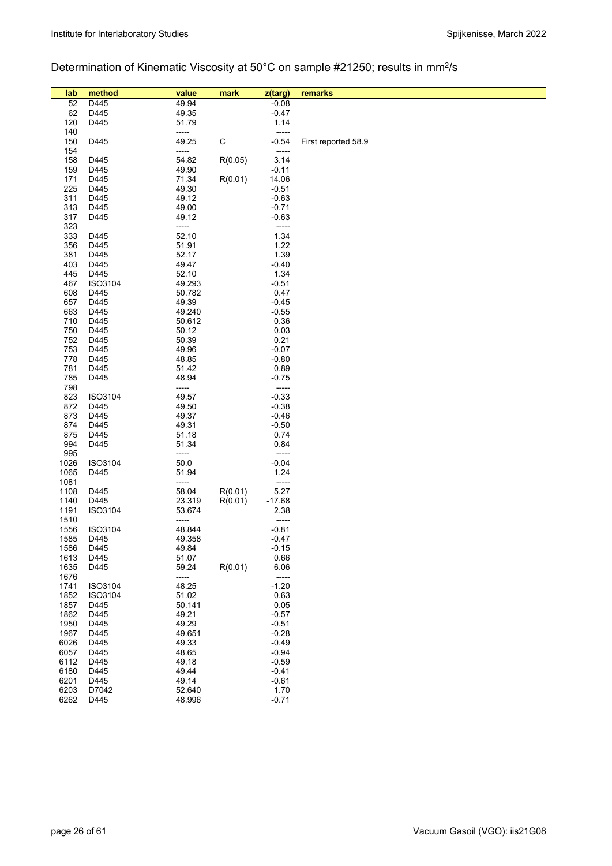## Determination of Kinematic Viscosity at 50°C on sample #21250; results in mm2/s

| lab        | method  | value          | mark        | z(targ)       | remarks             |
|------------|---------|----------------|-------------|---------------|---------------------|
| 52         | D445    | 49.94          |             | $-0.08$       |                     |
| 62         | D445    | 49.35          |             | $-0.47$       |                     |
| 120        | D445    | 51.79          |             | 1.14          |                     |
| 140        |         | -----          |             | -----         |                     |
| 150        | D445    | 49.25          | $\mathsf C$ | $-0.54$       | First reported 58.9 |
| 154        |         | -----          |             | -----         |                     |
| 158        | D445    | 54.82          | R(0.05)     | 3.14          |                     |
| 159        | D445    | 49.90          |             | $-0.11$       |                     |
| 171        | D445    | 71.34          | R(0.01)     | 14.06         |                     |
| 225        | D445    | 49.30          |             | $-0.51$       |                     |
| 311        | D445    | 49.12          |             | $-0.63$       |                     |
| 313        | D445    | 49.00          |             | $-0.71$       |                     |
| 317        | D445    | 49.12          |             | $-0.63$       |                     |
| 323        |         | -----          |             | -----         |                     |
| 333        | D445    | 52.10          |             | 1.34          |                     |
| 356        | D445    | 51.91          |             | 1.22          |                     |
| 381        | D445    | 52.17          |             | 1.39          |                     |
| 403        | D445    | 49.47          |             | $-0.40$       |                     |
| 445        | D445    | 52.10          |             | 1.34          |                     |
| 467        | ISO3104 | 49.293         |             | $-0.51$       |                     |
| 608        | D445    | 50.782         |             | 0.47          |                     |
| 657        | D445    | 49.39          |             | $-0.45$       |                     |
| 663        | D445    | 49.240         |             | $-0.55$       |                     |
| 710        | D445    | 50.612         |             | 0.36          |                     |
| 750        | D445    | 50.12          |             | 0.03          |                     |
| 752        | D445    | 50.39          |             | 0.21          |                     |
| 753        | D445    | 49.96          |             | $-0.07$       |                     |
| 778        | D445    | 48.85          |             | $-0.80$       |                     |
| 781        | D445    | 51.42          |             | 0.89          |                     |
| 785        | D445    | 48.94          |             | $-0.75$       |                     |
| 798        |         | -----          |             | -----         |                     |
| 823        | ISO3104 | 49.57          |             | $-0.33$       |                     |
| 872        | D445    | 49.50          |             | $-0.38$       |                     |
| 873        | D445    | 49.37          |             | $-0.46$       |                     |
| 874        | D445    | 49.31          |             | $-0.50$       |                     |
| 875        | D445    | 51.18          |             | 0.74          |                     |
| 994<br>995 | D445    | 51.34<br>----- |             | 0.84<br>----- |                     |
| 1026       | ISO3104 | 50.0           |             | $-0.04$       |                     |
| 1065       | D445    | 51.94          |             | 1.24          |                     |
| 1081       |         | -----          |             | -----         |                     |
| 1108       | D445    | 58.04          | R(0.01)     | 5.27          |                     |
| 1140       | D445    | 23.319         | R(0.01)     | $-17.68$      |                     |
| 1191       | ISO3104 | 53.674         |             | 2.38          |                     |
| 1510       |         | -----          |             | -----         |                     |
| 1556       | ISO3104 | 48.844         |             | $-0.81$       |                     |
| 1585       | D445    | 49.358         |             | $-0.47$       |                     |
| 1586       | D445    | 49.84          |             | $-0.15$       |                     |
| 1613       | D445    | 51.07          |             | 0.66          |                     |
| 1635       | D445    | 59.24          | R(0.01)     | 6.06          |                     |
| 1676       |         | -----          |             | -----         |                     |
| 1741       | ISO3104 | 48.25          |             | $-1.20$       |                     |
| 1852       | ISO3104 | 51.02          |             | 0.63          |                     |
| 1857       | D445    | 50.141         |             | 0.05          |                     |
| 1862       | D445    | 49.21          |             | $-0.57$       |                     |
| 1950       | D445    | 49.29          |             | $-0.51$       |                     |
| 1967       | D445    | 49.651         |             | $-0.28$       |                     |
| 6026       | D445    | 49.33          |             | $-0.49$       |                     |
| 6057       | D445    | 48.65          |             | $-0.94$       |                     |
| 6112       | D445    | 49.18          |             | $-0.59$       |                     |
| 6180       | D445    | 49.44          |             | $-0.41$       |                     |
| 6201       | D445    | 49.14          |             | $-0.61$       |                     |
| 6203       | D7042   | 52.640         |             | 1.70          |                     |
| 6262       | D445    | 48.996         |             | $-0.71$       |                     |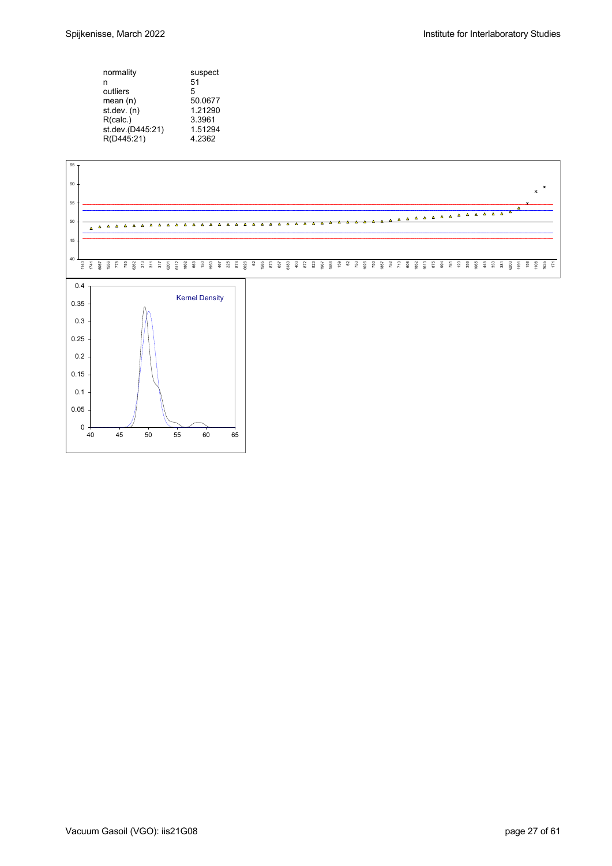| normality        | suspect |
|------------------|---------|
| n                | 51      |
| outliers         | 5       |
| mean(n)          | 50.0677 |
| st.dev. (n)      | 1.21290 |
| R(calc.)         | 3.3961  |
| st.dev.(D445:21) | 1.51294 |
| R(D445:21)       | 4.2362  |
|                  |         |

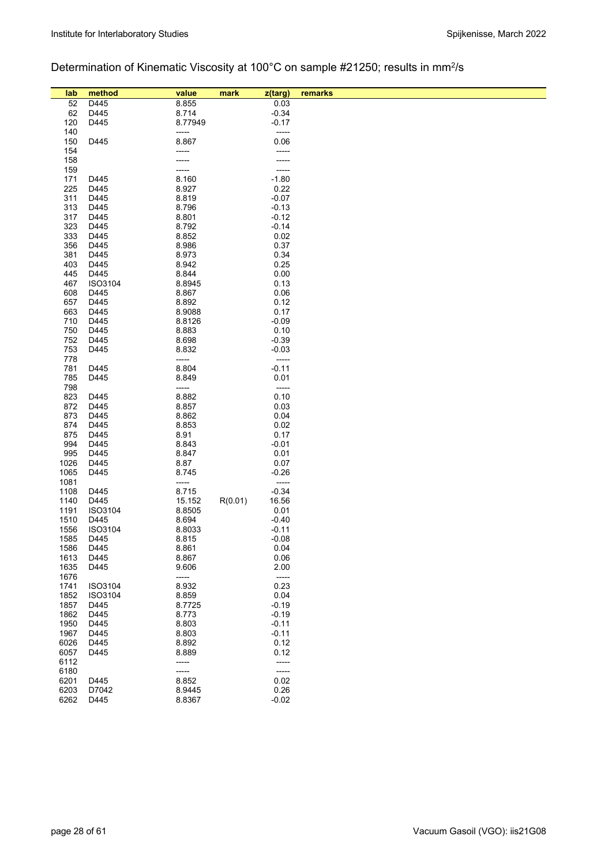## Determination of Kinematic Viscosity at 100°C on sample #21250; results in mm<sup>2</sup>/s

| lab  | method  | value   | mark    | z(targ)             | remarks |
|------|---------|---------|---------|---------------------|---------|
| 52   | D445    | 8.855   |         | 0.03                |         |
| 62   | D445    | 8.714   |         | $-0.34$             |         |
| 120  | D445    | 8.77949 |         | $-0.17$             |         |
| 140  |         | -----   |         | -----               |         |
| 150  | D445    | 8.867   |         | 0.06                |         |
| 154  |         |         |         | -----               |         |
| 158  |         |         |         | -----               |         |
| 159  |         |         |         | -----               |         |
| 171  | D445    | 8.160   |         | $-1.80$             |         |
| 225  | D445    | 8.927   |         | 0.22                |         |
| 311  | D445    | 8.819   |         | $-0.07$             |         |
| 313  | D445    | 8.796   |         | $-0.13$             |         |
| 317  | D445    | 8.801   |         | $-0.12$             |         |
| 323  | D445    | 8.792   |         | $-0.14$             |         |
| 333  | D445    | 8.852   |         | 0.02                |         |
| 356  | D445    | 8.986   |         | 0.37                |         |
| 381  | D445    | 8.973   |         | 0.34                |         |
| 403  | D445    | 8.942   |         | 0.25                |         |
| 445  | D445    | 8.844   |         | 0.00                |         |
| 467  | ISO3104 | 8.8945  |         | 0.13                |         |
| 608  | D445    | 8.867   |         | 0.06                |         |
| 657  | D445    | 8.892   |         | 0.12                |         |
| 663  | D445    | 8.9088  |         | 0.17                |         |
| 710  | D445    | 8.8126  |         | $-0.09$             |         |
| 750  | D445    | 8.883   |         | 0.10                |         |
| 752  | D445    | 8.698   |         | $-0.39$             |         |
| 753  | D445    | 8.832   |         | $-0.03$             |         |
| 778  |         | -----   |         | -----               |         |
| 781  | D445    | 8.804   |         | $-0.11$             |         |
| 785  | D445    | 8.849   |         | 0.01                |         |
| 798  |         | -----   |         | -----               |         |
| 823  | D445    | 8.882   |         | 0.10                |         |
| 872  | D445    | 8.857   |         | 0.03                |         |
| 873  | D445    | 8.862   |         | 0.04                |         |
| 874  | D445    | 8.853   |         | 0.02                |         |
| 875  | D445    | 8.91    |         | 0.17                |         |
| 994  | D445    | 8.843   |         | $-0.01$             |         |
| 995  | D445    | 8.847   |         | 0.01                |         |
| 1026 | D445    | 8.87    |         | 0.07                |         |
| 1065 | D445    | 8.745   |         | $-0.26$             |         |
| 1081 |         | -----   |         | -----               |         |
| 1108 | D445    | 8.715   |         | $-0.34$             |         |
| 1140 | D445    | 15.152  | R(0.01) | 16.56               |         |
| 1191 | ISO3104 | 8.8505  |         | 0.01                |         |
| 1510 | D445    | 8.694   |         | $-0.40$             |         |
| 1556 | ISO3104 | 8.8033  |         | $-0.11$             |         |
| 1585 | D445    | 8.815   |         | $-0.08$             |         |
| 1586 | D445    | 8.861   |         | 0.04                |         |
| 1613 | D445    | 8.867   |         | 0.06                |         |
| 1635 | D445    | 9.606   |         | 2.00                |         |
| 1676 |         | -----   |         | -----               |         |
| 1741 | ISO3104 | 8.932   |         | 0.23                |         |
| 1852 | ISO3104 | 8.859   |         | 0.04                |         |
| 1857 | D445    | 8.7725  |         | $-0.19$             |         |
| 1862 | D445    | 8.773   |         | $-0.19$             |         |
| 1950 | D445    | 8.803   |         | $-0.11$             |         |
| 1967 | D445    | 8.803   |         | $-0.11$             |         |
| 6026 | D445    | 8.892   |         | 0.12                |         |
| 6057 | D445    | 8.889   |         | 0.12                |         |
| 6112 |         | -----   |         | -----               |         |
| 6180 |         |         |         | $1 - 1 - 1 - 1 = 1$ |         |
| 6201 | D445    | 8.852   |         | 0.02                |         |
| 6203 | D7042   | 8.9445  |         | 0.26                |         |
| 6262 | D445    | 8.8367  |         | $-0.02$             |         |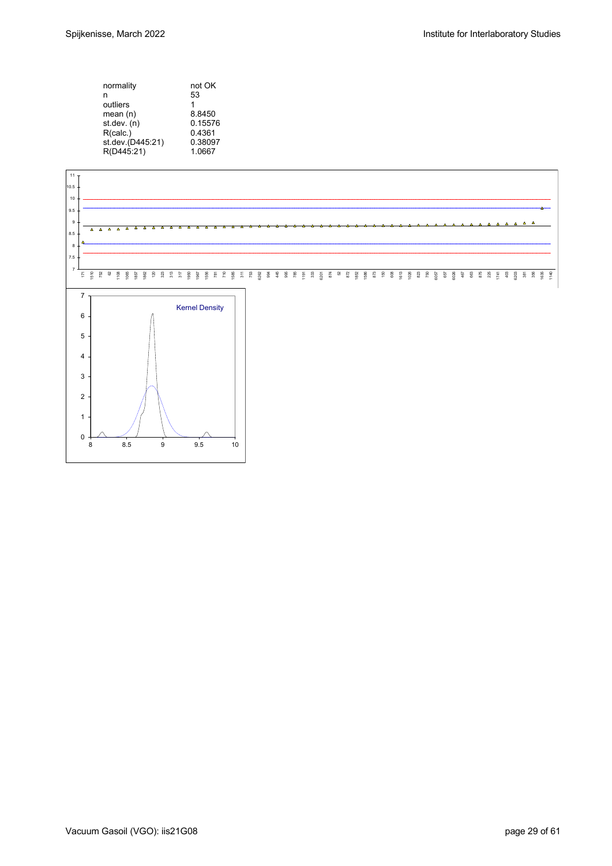| normality        | not OK  |
|------------------|---------|
| n                | 53      |
| outliers         | 1       |
| mean(n)          | 8.8450  |
| st.dev. (n)      | 0.15576 |
| R(calc.)         | 0.4361  |
| st.dev.(D445:21) | 0.38097 |
| R(D445:21)       | 1.0667  |
|                  |         |

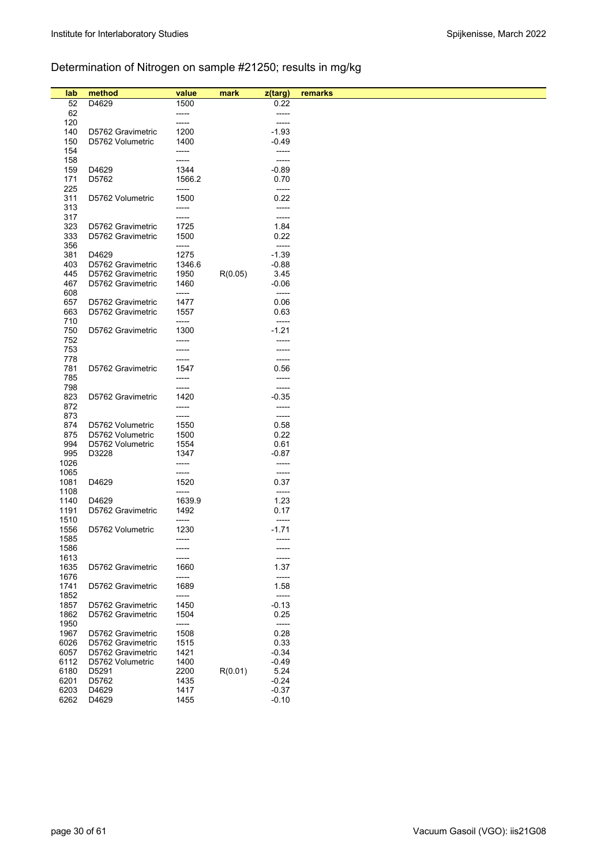## Determination of Nitrogen on sample #21250; results in mg/kg

| lab<br>52    | method<br>D4629   | value<br>1500 | mark    | z(targ)<br>0.22    | remarks |
|--------------|-------------------|---------------|---------|--------------------|---------|
| 62           |                   | -----         |         | -----              |         |
| 120          |                   |               |         |                    |         |
| 140          | D5762 Gravimetric | 1200          |         | $-1.93$            |         |
| 150          | D5762 Volumetric  | 1400          |         | $-0.49$            |         |
| 154          |                   | -----         |         | -----              |         |
| 158          |                   | -----         |         | -----              |         |
| 159          | D4629             | 1344          |         | $-0.89$            |         |
| 171          | D5762             | 1566.2        |         | 0.70               |         |
| 225          |                   | -----         |         | -----              |         |
| 311          | D5762 Volumetric  | 1500          |         | 0.22               |         |
| 313          |                   | -----         |         |                    |         |
| 317          |                   | -----         |         | -----              |         |
| 323          | D5762 Gravimetric | 1725          |         | 1.84               |         |
| 333          | D5762 Gravimetric | 1500          |         | 0.22               |         |
| 356          |                   | -----         |         | -----              |         |
| 381          | D4629             | 1275          |         | $-1.39$            |         |
| 403          | D5762 Gravimetric | 1346.6        |         | $-0.88$            |         |
| 445          | D5762 Gravimetric | 1950          | R(0.05) | 3.45               |         |
| 467          | D5762 Gravimetric | 1460          |         | $-0.06$            |         |
| 608          |                   | -----         |         | $-----$            |         |
| 657          | D5762 Gravimetric | 1477          |         | 0.06               |         |
| 663          | D5762 Gravimetric | 1557          |         | 0.63               |         |
| 710<br>750   | D5762 Gravimetric | -----<br>1300 |         | $-----$<br>$-1.21$ |         |
| 752          |                   |               |         |                    |         |
| 753          |                   |               |         | -----              |         |
| 778          |                   |               |         | -----              |         |
| 781          | D5762 Gravimetric | 1547          |         | 0.56               |         |
| 785          |                   |               |         | -----              |         |
| 798          |                   | -----         |         | -----              |         |
| 823          | D5762 Gravimetric | 1420          |         | $-0.35$            |         |
| 872          |                   | -----         |         | -----              |         |
| 873          |                   | -----         |         | -----              |         |
| 874          | D5762 Volumetric  | 1550          |         | 0.58               |         |
| 875          | D5762 Volumetric  | 1500          |         | 0.22               |         |
| 994          | D5762 Volumetric  | 1554          |         | 0.61               |         |
| 995          | D3228             | 1347          |         | $-0.87$            |         |
| 1026         |                   | -----         |         | -----              |         |
| 1065         |                   | -----         |         | -----              |         |
| 1081         | D4629             | 1520          |         | 0.37               |         |
| 1108         |                   | -----         |         | $-----$            |         |
| 1140         | D4629             | 1639.9        |         | 1.23               |         |
| 1191         | D5762 Gravimetric | 1492          |         | 0.17               |         |
| 1510         |                   | -----         |         | $-----$            |         |
| 1556         | D5762 Volumetric  | 1230          |         | $-1.71$            |         |
| 1585         |                   | -----         |         | -----              |         |
| 1586         |                   |               |         |                    |         |
| 1613<br>1635 |                   | 1660          |         | 1.37               |         |
| 1676         | D5762 Gravimetric | -----         |         | -----              |         |
| 1741         | D5762 Gravimetric | 1689          |         | 1.58               |         |
| 1852         |                   | -----         |         | -----              |         |
| 1857         | D5762 Gravimetric | 1450          |         | $-0.13$            |         |
| 1862         | D5762 Gravimetric | 1504          |         | 0.25               |         |
| 1950         |                   | -----         |         | $-----$            |         |
| 1967         | D5762 Gravimetric | 1508          |         | 0.28               |         |
| 6026         | D5762 Gravimetric | 1515          |         | 0.33               |         |
| 6057         | D5762 Gravimetric | 1421          |         | $-0.34$            |         |
| 6112         | D5762 Volumetric  | 1400          |         | $-0.49$            |         |
| 6180         | D5291             | 2200          | R(0.01) | 5.24               |         |
| 6201         | D5762             | 1435          |         | $-0.24$            |         |
| 6203         | D4629             | 1417          |         | $-0.37$            |         |
| 6262         | D4629             | 1455          |         | $-0.10$            |         |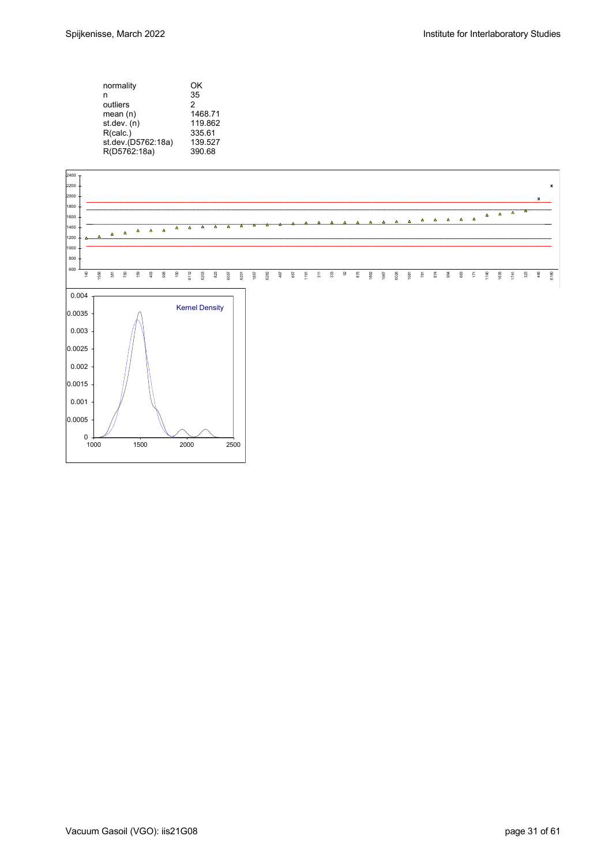| normality          | ΩK      |
|--------------------|---------|
| n                  | 35      |
| outliers           | 2       |
| mean(n)            | 1468.71 |
| st.dev. (n)        | 119.862 |
| R(calc.)           | 335.61  |
| st.dev.(D5762:18a) | 139.527 |
| R(D5762:18a)       | 390.68  |
|                    |         |

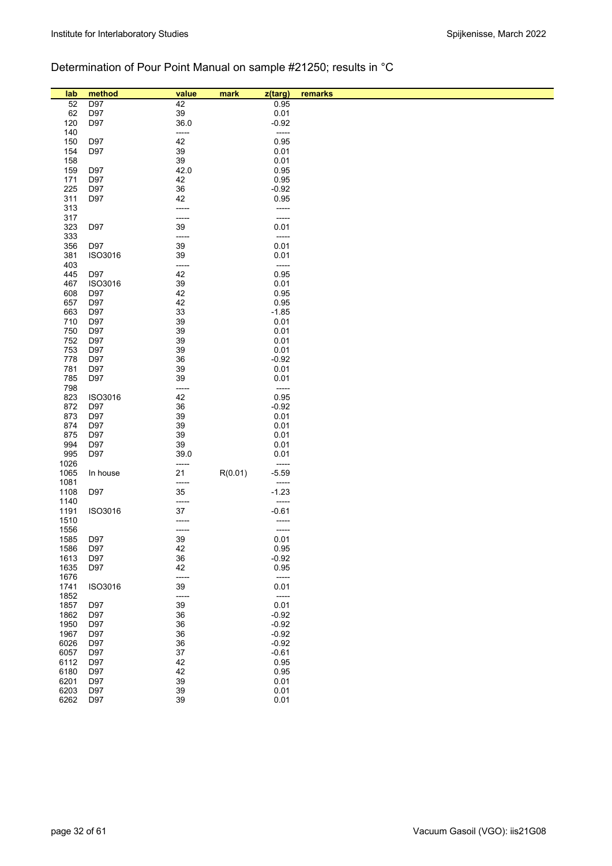## Determination of Pour Point Manual on sample #21250; results in °C

| lab        | method     | value    | mark    | z(targ)                  | remarks |
|------------|------------|----------|---------|--------------------------|---------|
| 52         | D97        | 42       |         | 0.95                     |         |
| 62         | D97        | 39       |         | 0.01                     |         |
| 120        | D97        | 36.0     |         | $-0.92$                  |         |
| 140        |            | -----    |         | -----                    |         |
| 150        | D97        | 42       |         | 0.95                     |         |
| 154        | D97        | 39       |         | 0.01                     |         |
| 158        |            | 39       |         | 0.01                     |         |
| 159        | D97        | 42.0     |         | 0.95                     |         |
| 171        | D97        | 42       |         | 0.95                     |         |
| 225        | D97        | 36       |         | $-0.92$                  |         |
| 311        | D97        | 42       |         | 0.95                     |         |
| 313        |            | -----    |         | -----                    |         |
| 317        |            | -----    |         | $-----$                  |         |
| 323        | D97        | 39       |         | 0.01                     |         |
| 333        |            | -----    |         | -----                    |         |
| 356        | D97        | 39       |         | 0.01                     |         |
| 381        | ISO3016    | 39       |         | 0.01                     |         |
| 403        |            | -----    |         | -----                    |         |
| 445        | D97        | 42       |         | 0.95                     |         |
| 467        | ISO3016    | 39       |         | 0.01                     |         |
| 608        | D97        | 42       |         | 0.95                     |         |
| 657        | D97        | 42       |         | 0.95                     |         |
| 663        | D97        | 33       |         | $-1.85$                  |         |
| 710        | D97        | 39       |         | 0.01                     |         |
| 750        | D97        | 39       |         | 0.01                     |         |
| 752        | D97        | 39       |         | 0.01                     |         |
| 753        | D97        | 39       |         | 0.01                     |         |
| 778        | D97        | 36       |         | $-0.92$                  |         |
| 781        | D97        | 39       |         | 0.01                     |         |
| 785        | D97        | 39       |         | 0.01                     |         |
| 798        |            | -----    |         | -----                    |         |
| 823        | ISO3016    | 42       |         | 0.95                     |         |
| 872        | D97        | 36       |         | $-0.92$                  |         |
| 873        | D97        | 39       |         | 0.01                     |         |
| 874        | D97        | 39       |         | 0.01                     |         |
| 875<br>994 | D97<br>D97 | 39<br>39 |         | 0.01<br>0.01             |         |
| 995        | D97        | 39.0     |         | 0.01                     |         |
| 1026       |            | -----    |         | -----                    |         |
| 1065       | In house   | 21       | R(0.01) | $-5.59$                  |         |
| 1081       |            | -----    |         | -----                    |         |
| 1108       | D97        | 35       |         | $-1.23$                  |         |
| 1140       |            | -----    |         | -----                    |         |
| 1191       | ISO3016    | $37\,$   |         | $-0.61$                  |         |
| 1510       |            | -----    |         | -----                    |         |
| 1556       |            | -----    |         | -----                    |         |
| 1585       | D97        | 39       |         | 0.01                     |         |
| 1586       | D97        | 42       |         | 0.95                     |         |
| 1613       | D97        | 36       |         | $-0.92$                  |         |
| 1635       | D97        | 42       |         | 0.95                     |         |
| 1676       |            | -----    |         | $\overline{\phantom{a}}$ |         |
| 1741       | ISO3016    | 39       |         | 0.01                     |         |
| 1852       |            | -----    |         | $-- -$                   |         |
| 1857       | D97        | 39       |         | 0.01                     |         |
| 1862       | D97        | 36       |         | $-0.92$                  |         |
| 1950       | D97        | 36       |         | $-0.92$                  |         |
| 1967       | D97        | 36       |         | $-0.92$                  |         |
| 6026       | D97        | 36       |         | $-0.92$                  |         |
| 6057       | D97        | 37       |         | $-0.61$                  |         |
| 6112       | D97        | 42       |         | 0.95                     |         |
| 6180       | D97        | 42       |         | 0.95                     |         |
| 6201       | D97        | 39       |         | 0.01                     |         |
| 6203       | D97        | 39       |         | 0.01                     |         |
| 6262       | D97        | 39       |         | 0.01                     |         |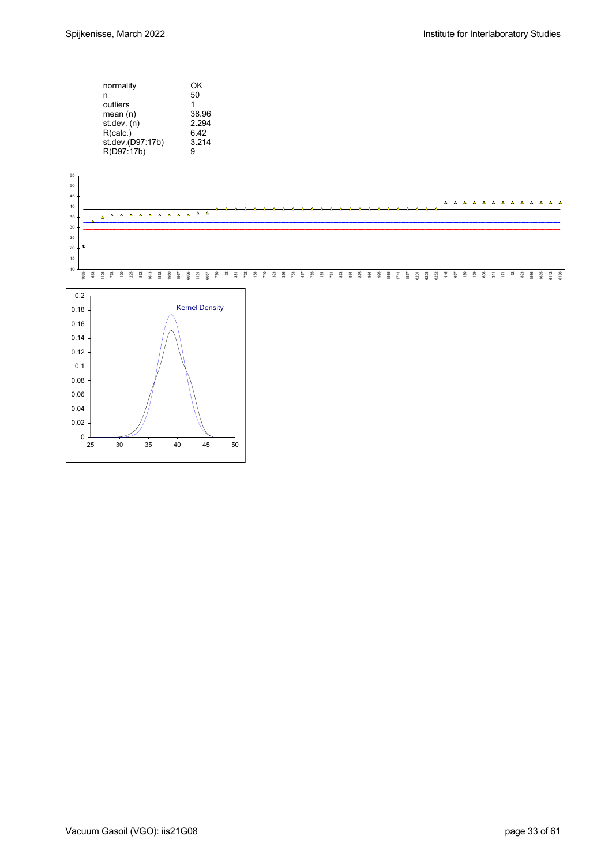| normality        | OK      |
|------------------|---------|
| n                | 50      |
| outliers         | 1       |
| mean(n)          | 38.96   |
| st.dev. (n)      | 2 2 9 4 |
| R(calc.)         | 6.42    |
| st.dev.(D97:17b) | 3.214   |
| R(D97:17b)       | g       |
|                  |         |

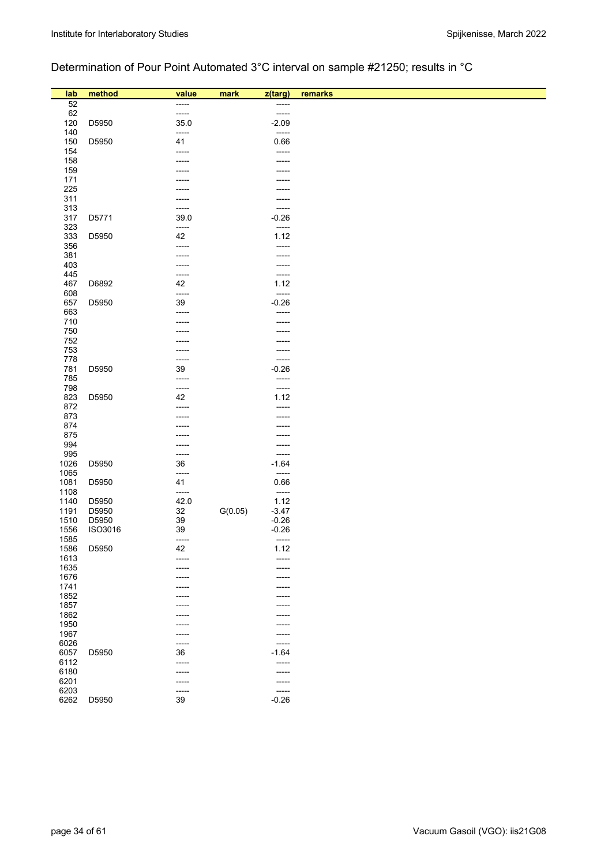## Determination of Pour Point Automated 3°C interval on sample #21250; results in °C

| lab          | method  | value          | mark    | z(targ)          | remarks |
|--------------|---------|----------------|---------|------------------|---------|
| 52<br>62     |         | -----          |         | -----            |         |
| 120          | D5950   | -----<br>35.0  |         | -----<br>$-2.09$ |         |
| 140          |         | -----          |         | -----            |         |
| 150          | D5950   | 41             |         | 0.66             |         |
| 154          |         | -----          |         | -----            |         |
| 158          |         |                |         | -----            |         |
| 159          |         |                |         |                  |         |
| 171          |         |                |         |                  |         |
| 225          |         |                |         |                  |         |
| 311          |         |                |         |                  |         |
| 313<br>317   | D5771   | -----<br>39.0  |         | -----<br>$-0.26$ |         |
| 323          |         | -----          |         | -----            |         |
| 333          | D5950   | 42             |         | 1.12             |         |
| 356          |         | -----          |         | -----            |         |
| 381          |         |                |         |                  |         |
| 403          |         |                |         | -----            |         |
| 445          |         | -----          |         | -----            |         |
| 467          | D6892   | 42             |         | 1.12             |         |
| 608<br>657   | D5950   | -----<br>39    |         | -----<br>$-0.26$ |         |
| 663          |         |                |         | -----            |         |
| 710          |         | -----          |         | -----            |         |
| 750          |         |                |         |                  |         |
| 752          |         |                |         |                  |         |
| 753          |         |                |         |                  |         |
| 778          |         | -----          |         | -----            |         |
| 781          | D5950   | 39             |         | $-0.26$          |         |
| 785<br>798   |         | -----<br>----- |         | -----<br>-----   |         |
| 823          | D5950   | 42             |         | 1.12             |         |
| 872          |         |                |         | -----            |         |
| 873          |         |                |         |                  |         |
| 874          |         |                |         |                  |         |
| 875          |         |                |         |                  |         |
| 994          |         |                |         | -----            |         |
| 995          |         | -----          |         | -----            |         |
| 1026<br>1065 | D5950   | 36<br>-----    |         | $-1.64$<br>----- |         |
| 1081         | D5950   | 41             |         | 0.66             |         |
| 1108         |         | -----          |         | -----            |         |
| 1140         | D5950   | 42.0           |         | 1.12             |         |
| 1191         | D5950   | 32             | G(0.05) | $-3.47$          |         |
| 1510         | D5950   | 39             |         | $-0.26$          |         |
| 1556         | ISO3016 | 39             |         | $-0.26$          |         |
| 1585         |         |                |         |                  |         |
| 1586         | D5950   | 42             |         | 1.12             |         |
| 1613<br>1635 |         | -----<br>----- |         | -----<br>-----   |         |
| 1676         |         | -----          |         | -----            |         |
| 1741         |         | ----           |         | -----            |         |
| 1852         |         |                |         |                  |         |
| 1857         |         | ----           |         |                  |         |
| 1862         |         |                |         |                  |         |
| 1950         |         |                |         |                  |         |
| 1967         |         | -----          |         | -----            |         |
| 6026         |         | -----          |         | -----            |         |
| 6057<br>6112 | D5950   | 36<br>-----    |         | $-1.64$<br>----- |         |
| 6180         |         | -----          |         | -----            |         |
| 6201         |         | -----          |         | -----            |         |
| 6203         |         | -----          |         | -----            |         |
| 6262         | D5950   | 39             |         | $-0.26$          |         |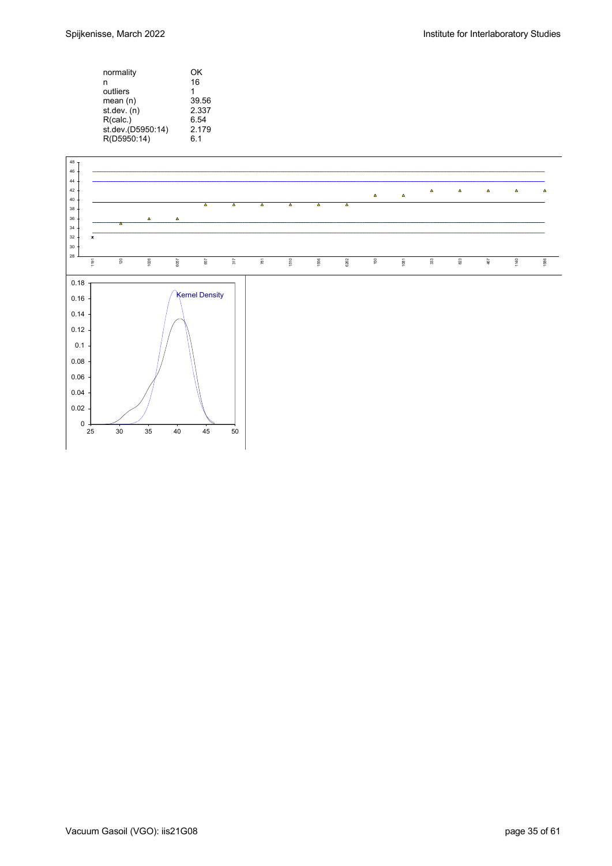| normality         | OK    |
|-------------------|-------|
| n                 | 16    |
| outliers          | 1     |
| mean (n)          | 39.56 |
| st.dev. (n)       | 2.337 |
| R(calc.)          | 6.54  |
| st.dev.(D5950:14) | 2.179 |
| R(D5950:14)       | 6 1   |
|                   |       |

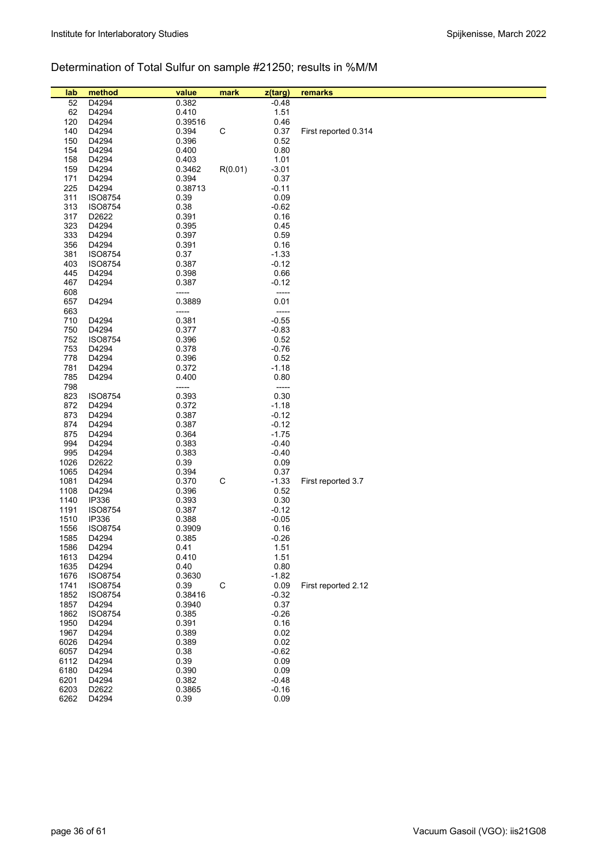## Determination of Total Sulfur on sample #21250; results in %M/M

| lab          | method         | value           |             |                    |                      |
|--------------|----------------|-----------------|-------------|--------------------|----------------------|
| 52           | D4294          | 0.382           | mark        | z(targ)<br>$-0.48$ | remarks              |
| 62           | D4294          | 0.410           |             | 1.51               |                      |
| 120          | D4294          | 0.39516         |             | 0.46               |                      |
| 140          | D4294          | 0.394           | $\mathsf C$ | 0.37               | First reported 0.314 |
| 150          | D4294          | 0.396           |             | 0.52               |                      |
| 154          | D4294          | 0.400           |             | 0.80               |                      |
| 158          | D4294          | 0.403           |             | 1.01               |                      |
| 159          | D4294          | 0.3462          | R(0.01)     | $-3.01$            |                      |
| 171          | D4294          | 0.394           |             | 0.37               |                      |
| 225          | D4294          | 0.38713         |             | $-0.11$            |                      |
| 311          | <b>ISO8754</b> | 0.39            |             | 0.09               |                      |
| 313          | <b>ISO8754</b> | 0.38            |             | $-0.62$            |                      |
| 317          | D2622          | 0.391           |             | 0.16               |                      |
| 323          | D4294          | 0.395           |             | 0.45               |                      |
| 333          | D4294          | 0.397           |             | 0.59               |                      |
| 356          | D4294          | 0.391           |             | 0.16               |                      |
| 381          | <b>ISO8754</b> | 0.37            |             | $-1.33$            |                      |
| 403          | <b>ISO8754</b> | 0.387           |             | $-0.12$            |                      |
| 445          | D4294          | 0.398           |             | 0.66               |                      |
| 467          | D4294          | 0.387           |             | $-0.12$            |                      |
| 608          |                | -----           |             | -----              |                      |
| 657          | D4294          | 0.3889          |             | 0.01               |                      |
| 663          |                | -----           |             | -----              |                      |
| 710          | D4294          | 0.381           |             | $-0.55$            |                      |
| 750          | D4294          | 0.377           |             | $-0.83$            |                      |
| 752          | <b>ISO8754</b> | 0.396           |             | 0.52               |                      |
| 753          | D4294          | 0.378           |             | $-0.76$            |                      |
| 778          | D4294          | 0.396           |             | 0.52               |                      |
| 781          | D4294          | 0.372           |             | $-1.18$            |                      |
| 785          | D4294          | 0.400           |             | 0.80               |                      |
| 798          |                | -----           |             | -----              |                      |
| 823          | <b>ISO8754</b> | 0.393           |             | 0.30               |                      |
| 872          | D4294<br>D4294 | 0.372           |             | $-1.18$            |                      |
| 873<br>874   | D4294          | 0.387           |             | $-0.12$<br>$-0.12$ |                      |
| 875          | D4294          | 0.387<br>0.364  |             | $-1.75$            |                      |
| 994          | D4294          | 0.383           |             | $-0.40$            |                      |
| 995          | D4294          | 0.383           |             | $-0.40$            |                      |
| 1026         | D2622          | 0.39            |             | 0.09               |                      |
| 1065         | D4294          | 0.394           |             | 0.37               |                      |
| 1081         | D4294          | 0.370           | $\mathsf C$ | $-1.33$            | First reported 3.7   |
| 1108         | D4294          | 0.396           |             | 0.52               |                      |
| 1140         | <b>IP336</b>   | 0.393           |             | 0.30               |                      |
| 1191         | <b>ISO8754</b> | 0.387           |             | $-0.12$            |                      |
| 1510         | <b>IP336</b>   | 0.388           |             | $-0.05$            |                      |
| 1556         | <b>ISO8754</b> | 0.3909          |             | 0.16               |                      |
| 1585         | D4294          | 0.385           |             | $-0.26$            |                      |
| 1586         | D4294          | 0.41            |             | 1.51               |                      |
| 1613         | D4294          | 0.410           |             | 1.51               |                      |
| 1635         | D4294          | 0.40            |             | 0.80               |                      |
| 1676         | <b>ISO8754</b> | 0.3630          |             | $-1.82$            |                      |
| 1741         | <b>ISO8754</b> | 0.39            | C           | 0.09               | First reported 2.12  |
| 1852         | <b>ISO8754</b> | 0.38416         |             | $-0.32$            |                      |
| 1857         | D4294          | 0.3940          |             | 0.37               |                      |
| 1862         | <b>ISO8754</b> | 0.385           |             | $-0.26$            |                      |
| 1950         | D4294          | 0.391           |             | 0.16               |                      |
| 1967         | D4294          | 0.389           |             | 0.02               |                      |
| 6026         | D4294          | 0.389           |             | 0.02               |                      |
| 6057         | D4294          | 0.38            |             | $-0.62$            |                      |
| 6112         | D4294          | 0.39            |             | 0.09               |                      |
| 6180         | D4294          | 0.390           |             | 0.09               |                      |
| 6201<br>6203 | D4294<br>D2622 | 0.382<br>0.3865 |             | $-0.48$            |                      |
| 6262         | D4294          | 0.39            |             | $-0.16$<br>0.09    |                      |
|              |                |                 |             |                    |                      |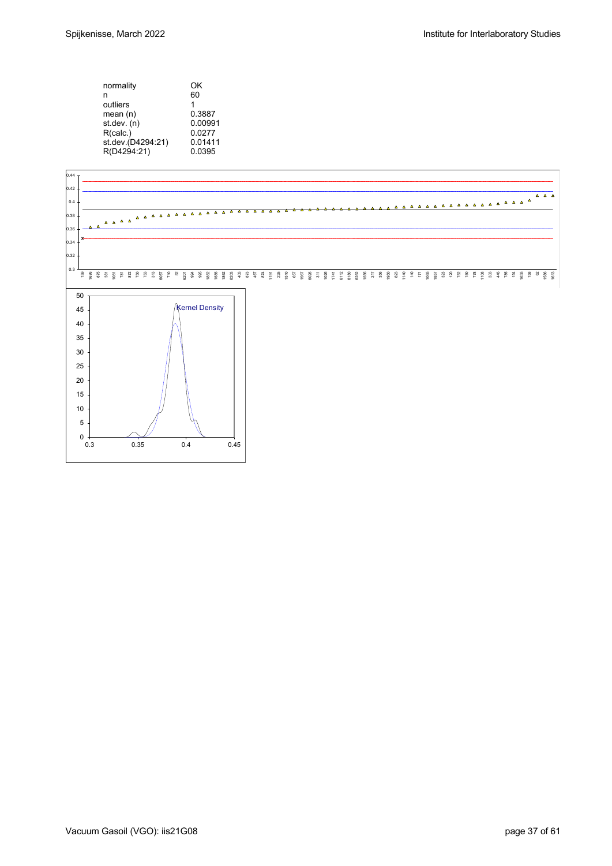| normality<br>n<br>outliers<br>mean(n)<br>st.dev. (n)<br>R(calc.)<br>st.dev.(D4294:21) | OK<br>60<br>1<br>0.3887<br>0.00991<br>0.0277<br>0.01411 |
|---------------------------------------------------------------------------------------|---------------------------------------------------------|
| R(D4294:21)                                                                           | 0.0395                                                  |
|                                                                                       |                                                         |

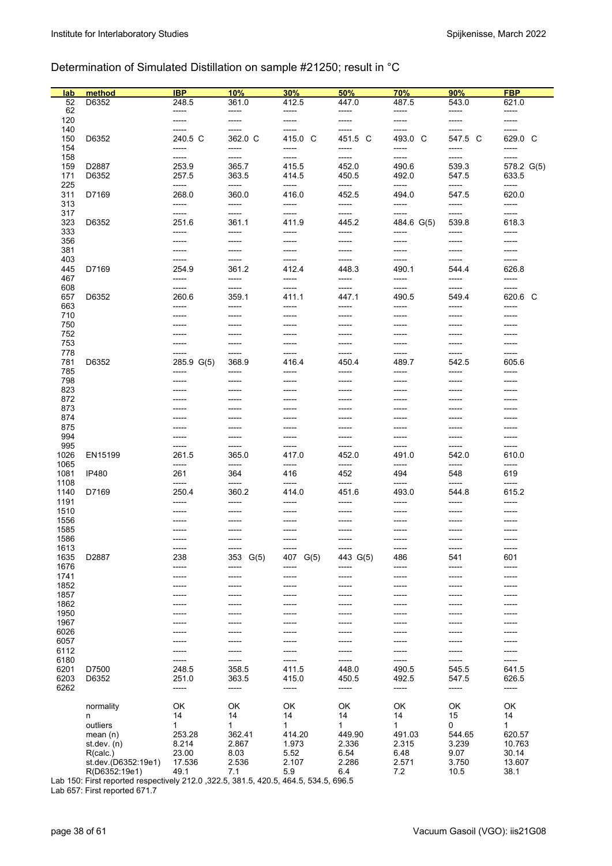#### Determination of Simulated Distillation on sample #21250; result in °C

| lab  | method              | <b>IBP</b> | 10%          | 30%          | 50%          | 70%        | 90%     | <b>FBP</b> |
|------|---------------------|------------|--------------|--------------|--------------|------------|---------|------------|
| 52   | D6352               | 248.5      | 361.0        | 412.5        | 447.0        | 487.5      | 543.0   | 621.0      |
| 62   |                     | -----      | -----        | -----        | -----        | -----      | -----   | -----      |
| 120  |                     | -----      | -----        | -----        | -----        | -----      | -----   | -----      |
| 140  |                     |            | -----        | -----        | -----        | -----      | -----   | -----      |
| 150  | D6352               | 240.5 C    | 362.0 C      | 415.0 C      | 451.5 C      | 493.0 C    | 547.5 C | 629.0 C    |
| 154  |                     | -----      | -----        | -----        | -----        | $-----$    | -----   | -----      |
| 158  |                     | -----      | -----        | -----        | -----        | -----      | -----   | -----      |
| 159  | D2887               | 253.9      | 365.7        | 415.5        | 452.0        | 490.6      | 539.3   | 578.2 G(5) |
| 171  | D6352               | 257.5      | 363.5        | 414.5        | 450.5        | 492.0      | 547.5   | 633.5      |
| 225  |                     | -----      | -----        | -----        | -----        | -----      | -----   | -----      |
| 311  | D7169               | 268.0      | 360.0        | 416.0        | 452.5        | 494.0      | 547.5   | 620.0      |
| 313  |                     | -----      | $-----$      | -----        | -----        | $-----$    | -----   | -----      |
| 317  |                     | -----      | -----        | -----        | -----        | -----      | -----   | -----      |
| 323  | D6352               | 251.6      | 361.1        | 411.9        | 445.2        | 484.6 G(5) | 539.8   | 618.3      |
| 333  |                     | -----      | -----        | -----        | -----        | -----      | -----   | -----      |
| 356  |                     | -----      | -----        | -----        | -----        | -----      | -----   | -----      |
| 381  |                     | -----      | -----        | -----        | -----        | -----      | -----   | -----      |
| 403  |                     | -----      | -----        | -----        | -----        | -----      | -----   | -----      |
| 445  | D7169               | 254.9      | 361.2        | 412.4        | 448.3        | 490.1      | 544.4   | 626.8      |
| 467  |                     | -----      | -----        | -----        | -----        | -----      | -----   | -----      |
| 608  |                     |            | -----        | -----        |              |            |         | -----      |
| 657  | D6352               | 260.6      | 359.1        | 411.1        | 447.1        | 490.5      | 549.4   | 620.6 C    |
| 663  |                     | -----      | -----        | -----        | -----        | -----      | -----   | -----      |
| 710  |                     | -----      | -----        | -----        | -----        | ------     | -----   | -----      |
| 750  |                     |            | -----        | -----        | -----        |            |         |            |
| 752  |                     | -----      | -----        | -----        | -----        | ------     | -----   |            |
| 753  |                     | -----      | -----        | -----        | -----        | ------     | -----   | -----      |
| 778  |                     |            | -----        | -----        | -----        | -----      | -----   | -----      |
| 781  | D6352               | 285.9 G(5) | 368.9        | 416.4        | 450.4        | 489.7      | 542.5   | 605.6      |
| 785  |                     | -----      | -----        | -----        | -----        | -----      | -----   | -----      |
| 798  |                     |            | -----        | -----        | -----        | -----      | -----   | -----      |
| 823  |                     |            |              | -----        | -----        |            | -----   |            |
| 872  |                     |            |              |              |              |            |         |            |
| 873  |                     |            |              | -----        | -----        |            |         |            |
| 874  |                     |            | -----        | -----        | -----        | -----      | -----   |            |
| 875  |                     | -----      | -----        | -----        | -----        | ------     | -----   |            |
| 994  |                     | -----      | -----        | -----        | -----        | -----      | -----   | -----      |
| 995  |                     | -----      | -----        | -----        | -----        | -----      | -----   | -----      |
| 1026 | EN15199             | 261.5      | 365.0        | 417.0        | 452.0        | 491.0      | 542.0   | 610.0      |
| 1065 |                     | -----      | -----        | -----        | -----        | -----      | -----   | -----      |
| 1081 | <b>IP480</b>        | 261        | 364          | 416          | 452          | 494        | 548     | 619        |
| 1108 |                     | -----      | -----        | -----        | -----        | -----      | -----   | -----      |
| 1140 | D7169               | 250.4      | 360.2        | 414.0        | 451.6        | 493.0      | 544.8   | 615.2      |
| 1191 |                     |            |              |              | -----        |            |         |            |
| 1510 |                     |            | -----        | -----        | -----        | -----      | -----   |            |
| 1556 |                     |            |              |              |              |            |         |            |
| 1585 |                     |            |              | -----        | -----        | -----      | -----   |            |
| 1586 |                     |            | -----        | -----        | -----        | -----      | -----   | -----      |
| 1613 |                     | -----      | -----        | -----        | -----        | -----      | -----   | -----      |
| 1635 | D2887               | 238        | 353 G(5)     | 407 G(5)     | 443 G(5)     | 486        | 541     | 601        |
| 1676 |                     | -----      | -----        | $--- -$      | -----        | -----      | -----   | -----      |
| 1741 |                     |            | -----        | -----        | -----        |            |         |            |
| 1852 |                     |            | -----        | -----        | -----        |            |         |            |
| 1857 |                     |            |              |              |              |            |         |            |
| 1862 |                     |            | -----        | -----        | -----        |            |         |            |
| 1950 |                     |            |              |              |              |            |         |            |
| 1967 |                     |            |              |              |              |            |         |            |
| 6026 |                     |            |              |              |              |            |         |            |
| 6057 |                     |            |              | -----        |              |            |         |            |
| 6112 |                     |            |              |              |              |            |         |            |
| 6180 |                     | -----      | -----        | -----        |              |            |         | -----      |
| 6201 | D7500               | 248.5      | 358.5        | 411.5        | 448.0        | 490.5      | 545.5   | 641.5      |
| 6203 | D6352               | 251.0      | 363.5        | 415.0        | 450.5        | 492.5      | 547.5   | 626.5      |
| 6262 |                     | -----      | -----        | -----        | -----        | -----      | -----   | -----      |
|      |                     |            |              |              |              |            |         |            |
|      | normality           | OK         | OK           | OK           | OK           | OK         | OK      | OK         |
|      | n                   | 14         | 14           | 14           | 14           | 14         | 15      | 14         |
|      | outliers            | 1          | $\mathbf{1}$ | $\mathbf{1}$ | $\mathbf{1}$ | 1          | 0       | 1          |
|      | mean $(n)$          | 253.28     | 362.41       | 414.20       | 449.90       | 491.03     | 544.65  | 620.57     |
|      | st.dev. $(n)$       | 8.214      | 2.867        | 1.973        | 2.336        | 2.315      | 3.239   | 10.763     |
|      | R(calc.)            | 23.00      | 8.03         | 5.52         | 6.54         | 6.48       | 9.07    | 30.14      |
|      | st.dev.(D6352:19e1) | 17.536     | 2.536        | 2.107        | 2.286        | 2.571      | 3.750   | 13.607     |
|      | R(D6352:19e1)       | 49.1       | 7.1          | 5.9          | 6.4          | 7.2        | 10.5    | 38.1       |

Lab 150: First reported respectively 212.0 ,322.5, 381.5, 420.5, 464.5, 534.5, 696.5

Lab 657: First reported 671.7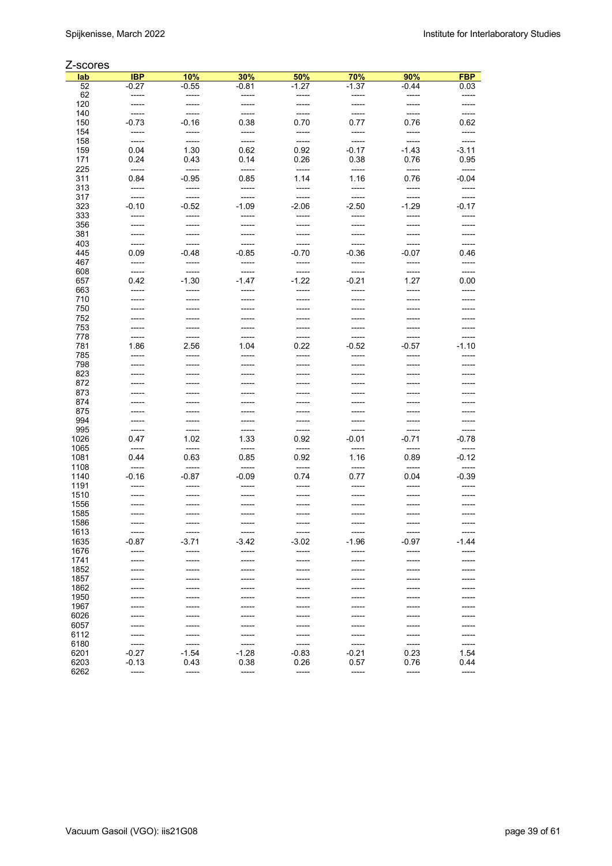| Z-scores     |                      |                    |                    |                  |                    |                  |                  |
|--------------|----------------------|--------------------|--------------------|------------------|--------------------|------------------|------------------|
| lab          | <b>IBP</b>           | 10%                | 30%                | 50%              | 70%                | 90%              | <b>FBP</b>       |
| 52           | $-0.27$              | $-0.55$            | -0.81              | $-1.27$          | $-1.37$            | $-0.44$          | 0.03             |
| 62<br>120    | -----<br>$-----$     | -----<br>-----     | -----<br>-----     | -----<br>-----   | -----<br>$-----$   | -----<br>-----   | -----            |
| 140          | $-----$              | -----              | -----              | -----            | $-----$            | -----            | -----            |
| 150          | $-0.73$              | $-0.16$            | 0.38               | 0.70             | 0.77               | 0.76             | 0.62             |
| 154          | -----                | -----              | -----              | -----            | -----              | -----            | -----            |
| 158<br>159   | $-----$<br>0.04      | -----<br>1.30      | -----<br>0.62      | -----<br>0.92    | $-----$<br>$-0.17$ | -----<br>$-1.43$ | -----<br>$-3.11$ |
| 171          | 0.24                 | 0.43               | 0.14               | 0.26             | 0.38               | 0.76             | 0.95             |
| 225          | $-----$              | $-----$            | -----              | $-----$          | $-----$            | -----            | -----            |
| 311          | 0.84                 | $-0.95$            | 0.85               | 1.14             | 1.16               | 0.76             | $-0.04$          |
| 313<br>317   | -----<br>-----       | $-----$<br>-----   | $-----$<br>-----   | -----<br>-----   | $-----$<br>-----   | -----<br>-----   | -----<br>-----   |
| 323          | $-0.10$              | $-0.52$            | $-1.09$            | $-2.06$          | $-2.50$            | $-1.29$          | $-0.17$          |
| 333          | $-----$              | -----              | -----              | -----            | -----              | -----            |                  |
| 356          | $-----$              | -----              | -----              | -----            | -----              | -----            | -----            |
| 381          | -----                | -----              | -----              | -----            | -----              | -----            | ----             |
| 403<br>445   | $-----$<br>0.09      | $-----$<br>$-0.48$ | $-----$<br>$-0.85$ | -----<br>$-0.70$ | -----<br>$-0.36$   | -----<br>$-0.07$ | -----<br>0.46    |
| 467          | $-----$              | $-----$            | -----              | -----            | -----              | -----            |                  |
| 608          | $-----$              | $-----$            | $-----$            | -----            | -----              | -----            | -----            |
| 657          | 0.42                 | $-1.30$            | $-1.47$            | $-1.22$          | $-0.21$            | 1.27             | 0.00             |
| 663          | $-----$              | -----              | -----              | -----            | -----              | -----            | -----            |
| 710<br>750   | $-----$<br>$- - - -$ | -----<br>-----     | -----<br>-----     | -----<br>-----   | -----<br>-----     | -----            | -----            |
| 752          | $-----$              | -----              | -----              | -----            | -----              | $--- -$          |                  |
| 753          | $-----$              | -----              | -----              | -----            | -----              | -----            | -----            |
| 778          | -----                | -----              | -----              | -----            | -----              | -----            | -----            |
| 781          | 1.86                 | 2.56               | 1.04               | 0.22             | $-0.52$            | $-0.57$          | $-1.10$          |
| 785<br>798   | $-----$<br>$-----$   | -----<br>-----     | -----<br>-----     | -----<br>-----   | -----<br>-----     | -----<br>-----   |                  |
| 823          | -----                | -----              | -----              | -----            | -----              | -----            | -----            |
| 872          | $-----$              | -----              | -----              | -----            | -----              | ------           | -----            |
| 873          | -----                | -----              | -----              | -----            | -----              | ------           | -----            |
| 874<br>875   | -----<br>-----       | -----<br>-----     | -----<br>-----     | -----<br>-----   | -----<br>-----     | ------<br>-----  | -----<br>-----   |
| 994          | $-----$              | -----              | -----              | -----            | -----              | -----            | -----            |
| 995          | $-----$              | -----              | $-----$            | -----            | $-----$            | -----            | -----            |
| 1026         | 0.47                 | 1.02               | 1.33               | 0.92             | $-0.01$            | $-0.71$          | $-0.78$          |
| 1065         | $-----$<br>0.44      | -----              | -----              | -----            | -----              | -----            | -----            |
| 1081<br>1108 | $-----$              | 0.63<br>-----      | 0.85<br>-----      | 0.92<br>-----    | 1.16<br>-----      | 0.89<br>-----    | $-0.12$          |
| 1140         | $-0.16$              | $-0.87$            | $-0.09$            | 0.74             | 0.77               | 0.04             | $-0.39$          |
| 1191         | -----                | -----              | -----              | -----            | -----              |                  |                  |
| 1510         | -----                |                    | -----              | -----            | -----              | -----            |                  |
| 1556<br>1585 | -----<br>$-----1$    | $- - - - -$        | -----<br>-----     | -----<br>-----   | -----<br>$--- -$   | -----<br>-----   |                  |
| 1586         |                      | ------             | -----              | ------           | $-----$            |                  |                  |
| 1613         | $-----$              | -----              | -----              | -----            | -----              | -----            |                  |
| 1635         | $-0.87$              | $-3.71$            | $-3.42$            | $-3.02$          | $-1.96$            | $-0.97$          | $-1.44$          |
| 1676<br>1741 | -----                | -----              | -----<br>-----     | -----<br>------  | -----              | -----<br>-----   |                  |
| 1852         | -----                | ------<br>-----    | -----              | -----            | $-----1$<br>-----  |                  |                  |
| 1857         |                      |                    |                    | -----            | -----              |                  |                  |
| 1862         | -----                | -----              |                    | -----            |                    |                  |                  |
| 1950         |                      |                    |                    |                  |                    |                  |                  |
| 1967<br>6026 | -----                |                    |                    | -----            |                    |                  |                  |
| 6057         | -----                | -----              |                    | -----            |                    |                  |                  |
| 6112         |                      |                    |                    |                  |                    |                  |                  |
| 6180         | -----                | -----              | -----              | -----            | -----              | -----            |                  |
| 6201         | $-0.27$              | $-1.54$            | $-1.28$            | $-0.83$          | $-0.21$            | 0.23             | 1.54             |
| 6203<br>6262 | $-0.13$<br>-----     | 0.43<br>-----      | 0.38<br>-----      | 0.26<br>-----    | 0.57<br>-----      | 0.76             | 0.44             |
|              |                      |                    |                    |                  |                    |                  |                  |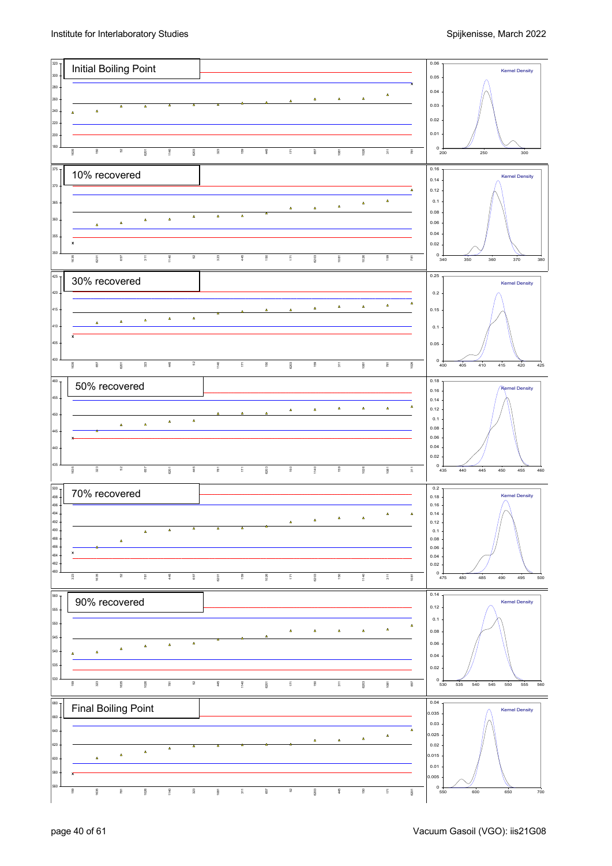159

159

323

1635

 $\Delta$ 

1635

Final Boiling Point

781

 $\Delta$ 

1026

1026

 $\Delta$ 

781

1140

 $\overline{\phantom{a}}$ 

52

323

445

1081

1140

 $\frac{1}{31}$ 

6201

657

 $\overline{\epsilon}$ 

52

150

6203

 $\frac{1}{5}$ 

445

6203

150

 $\Delta$ 

1081

 $\hat{\mathbf{z}}$ 

171

657

6201

 $\mathbf{o}$ 0.02 0.04

 $\overline{0}$ 0.005 0.01 0.015 0.02  $0.025$ 0.03 0.035  $0.04$ 

|                |                |                |                      |                |                |          |                     |         |                         |                |                          |                |                |                | U.U I                                                    |
|----------------|----------------|----------------|----------------------|----------------|----------------|----------|---------------------|---------|-------------------------|----------------|--------------------------|----------------|----------------|----------------|----------------------------------------------------------|
| 1635           | 150            | $^{\rm s}$     | 6201                 | 1140           | 6203           | 323      | 159                 | 445     | $\overline{\mathbf{5}}$ | 657            | 1081                     | 1026           | $\overline{5}$ | $781$          | $0-1$<br>200<br>250<br>300                               |
|                | 10% recovered  |                |                      |                |                |          |                     |         |                         |                |                          |                |                |                | 0.16<br><b>Kernel Density</b><br>0.14                    |
|                |                |                |                      |                |                |          |                     |         |                         |                |                          |                |                |                | 0.12                                                     |
|                |                |                |                      |                |                |          |                     |         | $\Delta$                | $\pmb{\Delta}$ | $\Delta$                 | $\Delta$       | $\pmb{\Delta}$ |                | 0.1<br>0.08                                              |
|                | $\pmb{\Delta}$ | $\pmb{\Delta}$ | $\Delta$             | $\Delta$       | $\pmb{\Delta}$ | $\Delta$ | $\Delta$            |         |                         |                |                          |                |                |                | 0.06                                                     |
|                |                |                |                      |                |                |          |                     |         |                         |                |                          |                |                |                | 0.04<br>0.02                                             |
| 1635           | 6201           | 657            | $\overline{5}$       | 1140           | $^{\circ}_{5}$ | $323\,$  | 445                 | $150\,$ | $\overline{\Sigma}$     | 6203           | 1081                     | 1026           | 159            | $781\,$        | $\mathsf{o}\,$<br>350<br>370<br>340<br>360<br>380        |
|                |                |                |                      |                |                |          |                     |         |                         |                |                          |                |                |                | 0.25                                                     |
|                | 30% recovered  |                |                      |                |                |          |                     |         |                         |                |                          |                |                |                | <b>Kernel Density</b>                                    |
|                |                |                |                      |                |                |          |                     |         |                         | $\Delta$       | $\pmb{\Delta}$           | $\pmb{\Delta}$ | $\pmb{\Delta}$ | $\Delta$       | $0.2\,$                                                  |
|                | $\Delta$       | $\pmb{\Delta}$ | $\Delta$             | $\pmb{\Delta}$ | $\pmb{\Delta}$ |          |                     |         |                         |                |                          |                |                |                | 0.15                                                     |
|                |                |                |                      |                |                |          |                     |         |                         |                |                          |                |                |                | 0.1                                                      |
|                |                |                |                      |                |                |          |                     |         |                         |                |                          |                |                |                | 0.05                                                     |
| 1635           | 657            | 6201           | $_{323}$             | 445            | $^{\rm S2}$    | 1140     | $\overline{\Sigma}$ | 150     | 6203                    | 159            | $\frac{1}{5}$            | 1081           | $\rm ^{781}$   | 1026           | $\mathbf 0$<br>410<br>405<br>415<br>420<br>400<br>425    |
|                | 50% recovered  |                |                      |                |                |          |                     |         |                         |                |                          |                |                |                | 0.18<br><b>Rernel Density</b>                            |
|                |                |                |                      |                |                |          |                     |         |                         |                |                          |                |                |                | 0.16<br>0.14                                             |
|                |                |                |                      | $\pmb{\Delta}$ | $\pmb{\Delta}$ |          |                     |         | $\Delta$                | $\pmb{\Delta}$ | $\pmb{\Delta}$           | $\pmb{\Delta}$ | $\pmb{\Delta}$ |                | 0.12<br>0.1                                              |
|                |                | $\pmb{\Delta}$ | $\Delta$             |                |                |          |                     |         |                         |                |                          |                |                |                | 0.08<br>0.06                                             |
|                |                |                |                      |                |                |          |                     |         |                         |                |                          |                |                |                | 0.04                                                     |
| 1635           | $3\mathbb{Z}3$ | $\boxtimes$    | $65\!\!\overline{0}$ | 6201           | 445            | $781\,$  | $\overline{\Sigma}$ | 6203    | $180\,$                 | 140            | $\overline{\phantom{a}}$ | 1026           | 1081           | $\overline{5}$ | 0.02<br>$\mathbf 0$<br>445<br>450                        |
|                |                |                |                      |                |                |          |                     |         |                         |                |                          |                |                |                | 435<br>440<br>455<br>460                                 |
|                | 70% recovered  |                |                      |                |                |          |                     |         |                         |                |                          |                |                |                | $0.2\,$<br><b>Kernel Density</b><br>0.18                 |
|                |                |                |                      |                |                |          |                     |         |                         |                | $\pmb{\Delta}$           | $\pmb{\Delta}$ | $\pmb{\Delta}$ |                | 0.16<br>0.14                                             |
|                |                |                | $\Delta$             | $\pmb{\Delta}$ |                |          |                     |         | $\Delta$                | $\pmb{\Delta}$ |                          |                |                |                | 0.12<br>0.1                                              |
|                |                | $\pmb{\Delta}$ |                      |                |                |          |                     |         |                         |                |                          |                |                |                | 0.08<br>0.06                                             |
|                |                |                |                      |                |                |          |                     |         |                         |                |                          |                |                |                | 0.04<br>0.02                                             |
| $\mathfrak{A}$ | 1635           | $_{\rm 52}$    | $\overline{n}$       | $445$          | 657            | 6201     | 159                 | $1026$  | $\overline{\mathbb{S}}$ | 6203           | $150\,$                  | 1140           | $31\,1$        | $1081$         | $\mathsf{o}\,$<br>475<br>480<br>485<br>495<br>500<br>490 |
|                |                |                |                      |                |                |          |                     |         |                         |                |                          |                |                |                | 0.14                                                     |
|                | 90% recovered  |                |                      |                |                |          |                     |         |                         |                |                          |                |                |                | <b>Kernel Density</b><br>0.12                            |
|                |                |                |                      |                |                |          |                     |         | $\pmb{\Delta}$          | $\Delta$       | $\pmb{\Delta}$           | $\Delta$       | $\pmb{\Delta}$ |                | 0.1<br>0.08                                              |
|                |                | $\Delta$       | $\Delta$             | $\pmb{\Delta}$ | $\pmb{\Delta}$ |          |                     |         |                         |                |                          |                |                |                | 0.06                                                     |

#### Institute for Interlaboratory Studies **Spitering Community** Spijkenisse, March 2022 0.06 Initial Boiling Point 320 <sub>30</sub> 0.05 280 0.04  $\hat{\mathbf{A}}$  $\Delta$  $\Delta$ 260 0.03  $\overline{\mathbf{A}}$  $\Delta$ 240 0.02 <sub>220</sub> 0.01 200 .<br>190 1635 10% 375 370 365 360 355 350 1635 425 420 415 410 405 400 1635 460  $50^{\circ}$ 455 450 445 440 435 1635

Kernel Density

550 600 650 700

530 535 540 545 550 555 560

Kernel Density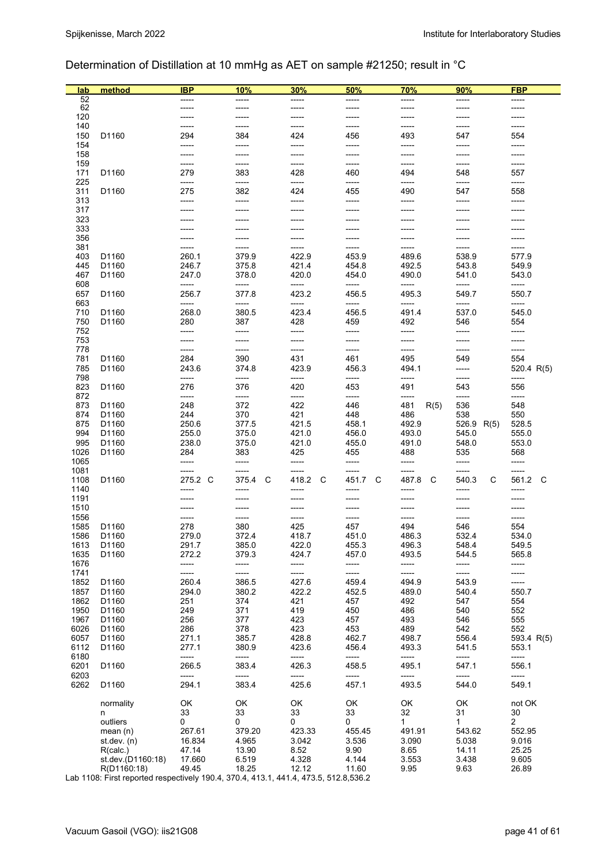## Determination of Distillation at 10 mmHg as AET on sample #21250; result in °C

| lab          | method                                                                                | <b>IBP</b>     | 10%            | 30%            | 50%            | 70%                    | 90%            | <b>FBP</b>               |
|--------------|---------------------------------------------------------------------------------------|----------------|----------------|----------------|----------------|------------------------|----------------|--------------------------|
| 52           |                                                                                       | -----          | -----          | -----          | -----          | -----                  | -----          | -----                    |
| 62           |                                                                                       | -----          | -----          | -----          | -----          | -----                  | -----          | -----                    |
| 120          |                                                                                       |                | -----          |                |                | -----                  |                |                          |
| 140          |                                                                                       |                |                | -----          |                | -----                  |                |                          |
| 150<br>154   | D1160                                                                                 | 294            | 384<br>-----   | 424<br>-----   | 456<br>-----   | 493<br>-----           | 547            | 554<br>-----             |
| 158          |                                                                                       | -----<br>----- | -----          | -----          | -----          | -----                  |                |                          |
| 159          |                                                                                       |                | -----          | -----          | -----          | -----                  |                |                          |
| 171          | D1160                                                                                 | 279            | 383            | 428            | 460            | 494                    | 548            | 557                      |
| 225          |                                                                                       | -----          | -----          | -----          | -----          | -----                  | -----          | -----                    |
| 311          | D1160                                                                                 | 275            | 382            | 424            | 455            | 490                    | 547            | 558                      |
| 313          |                                                                                       | -----          | -----          | -----          | -----          | -----                  |                | -----                    |
| 317          |                                                                                       |                |                |                |                |                        |                |                          |
| 323          |                                                                                       |                |                |                |                |                        |                |                          |
| 333          |                                                                                       |                |                |                |                |                        |                |                          |
| 356          |                                                                                       |                |                | -----          | -----          | -----                  |                |                          |
| 381<br>403   | D <sub>1160</sub>                                                                     | 260.1          | 379.9          | 422.9          | 453.9          | 489.6                  | 538.9          | 577.9                    |
| 445          | D <sub>1160</sub>                                                                     | 246.7          | 375.8          | 421.4          | 454.8          | 492.5                  | 543.8          | 549.9                    |
| 467          | D <sub>1160</sub>                                                                     | 247.0          | 378.0          | 420.0          | 454.0          | 490.0                  | 541.0          | 543.0                    |
| 608          |                                                                                       | -----          | -----          | -----          | -----          | -----                  | -----          | -----                    |
| 657          | D1160                                                                                 | 256.7          | 377.8          | 423.2          | 456.5          | 495.3                  | 549.7          | 550.7                    |
| 663          |                                                                                       | -----          | -----          | -----          | -----          | -----                  | -----          | -----                    |
| 710          | D <sub>1160</sub>                                                                     | 268.0          | 380.5          | 423.4          | 456.5          | 491.4                  | 537.0          | 545.0                    |
| 750          | D <sub>1160</sub>                                                                     | 280            | 387            | 428            | 459            | 492                    | 546            | 554                      |
| 752          |                                                                                       | -----          | -----          | -----          | -----          | -----                  | -----          | -----                    |
| 753          |                                                                                       | -----          | -----          | -----          | -----          | -----                  | -----          | -----                    |
| 778          |                                                                                       | -----          | -----          | -----          | -----<br>461   | -----<br>495           |                | -----                    |
| 781<br>785   | D <sub>1160</sub><br>D1160                                                            | 284<br>243.6   | 390<br>374.8   | 431<br>423.9   | 456.3          | 494.1                  | 549<br>-----   | 554<br>520.4 R(5)        |
| 798          |                                                                                       | -----          | -----          | -----          | -----          | -----                  |                | -----                    |
| 823          | D <sub>1160</sub>                                                                     | 276            | 376            | 420            | 453            | 491                    | 543            | 556                      |
| 872          |                                                                                       | -----          | -----          | -----          | -----          | -----                  | -----          | -----                    |
| 873          | D <sub>1160</sub>                                                                     | 248            | 372            | 422            | 446            | 481<br>R(5)            | 536            | 548                      |
| 874          | D1160                                                                                 | 244            | 370            | 421            | 448            | 486                    | 538            | 550                      |
| 875          | D <sub>1160</sub>                                                                     | 250.6          | 377.5          | 421.5          | 458.1          | 492.9                  | 526.9 R(5)     | 528.5                    |
| 994          | D1160                                                                                 | 255.0          | 375.0          | 421.0          | 456.0          | 493.0                  | 545.0          | 555.0                    |
| 995          | D <sub>1160</sub>                                                                     | 238.0          | 375.0          | 421.0          | 455.0          | 491.0                  | 548.0          | 553.0                    |
| 1026<br>1065 | D <sub>1160</sub>                                                                     | 284<br>-----   | 383<br>-----   | 425<br>-----   | 455<br>-----   | 488<br>-----           | 535<br>-----   | 568<br>-----             |
| 1081         |                                                                                       | -----          | -----          | -----          |                | -----                  |                | -----                    |
| 1108         | D1160                                                                                 | 275.2 C        | 375.4<br>C     | 418.2<br>C     | 451.7<br>C     | 487.8<br>C             | 540.3<br>С     | 561.2<br>C               |
| 1140         |                                                                                       |                | -----          | -----          | -----          | -----                  | -----          | -----                    |
| 1191         |                                                                                       |                | -----          | -----          | -----          | -----                  | -----          | -----                    |
| 1510         |                                                                                       |                | -----          | ----           |                | -----                  |                |                          |
| 1556         |                                                                                       |                | -----          | -----          |                | -----                  |                |                          |
| 1585         | D <sub>1160</sub>                                                                     | 278            | 380            | 425            | 457            | 494                    | 546            | 554                      |
| 1586         | D1160                                                                                 | 279.0          | 372.4          | 418.7          | 451.0          | 486.3                  | 532.4          | 534.0                    |
| 1613<br>1635 | D1160<br>D1160                                                                        | 291.7<br>272.2 | 385.0<br>379.3 | 422.0<br>424.7 | 455.3<br>457.0 | 496.3<br>493.5         | 548.4<br>544.5 | 549.5<br>565.8           |
| 1676         |                                                                                       | -----          | -----          | -----          | -----          | -----                  | -----          | -----                    |
| 1741         |                                                                                       | -----          | -----          | -----          | -----          | -----                  | -----          | -----                    |
| 1852         | D1160                                                                                 | 260.4          | 386.5          | 427.6          | 459.4          | 494.9                  | 543.9          | -----                    |
| 1857         | D1160                                                                                 | 294.0          | 380.2          | 422.2          | 452.5          | 489.0                  | 540.4          | 550.7                    |
| 1862         | D1160                                                                                 | 251            | 374            | 421            | 457            | 492                    | 547            | 554                      |
| 1950         | D1160                                                                                 | 249            | 371            | 419            | 450            | 486                    | 540            | 552                      |
| 1967         | D1160                                                                                 | 256            | 377            | 423            | 457            | 493                    | 546            | 555                      |
| 6026<br>6057 | D1160<br>D1160                                                                        | 286<br>271.1   | 378<br>385.7   | 423<br>428.8   | 453<br>462.7   | 489<br>498.7           | 542<br>556.4   | 552                      |
| 6112         | D <sub>1160</sub>                                                                     | 277.1          | 380.9          | 423.6          | 456.4          | 493.3                  | 541.5          | 593.4 R(5)<br>553.1      |
| 6180         |                                                                                       | -----          | -----          | -----          | -----          | -----                  | -----          | -----                    |
| 6201         | D1160                                                                                 | 266.5          | 383.4          | 426.3          | 458.5          | 495.1                  | 547.1          | 556.1                    |
| 6203         |                                                                                       | -----          | -----          | -----          | -----          | -----                  | -----          | -----                    |
| 6262         | D1160                                                                                 | 294.1          | 383.4          | 425.6          | 457.1          | 493.5                  | 544.0          | 549.1                    |
|              |                                                                                       |                |                |                |                |                        |                |                          |
|              | normality                                                                             | OK             | OK             | OK             | OK             | OK                     | OK             | not OK                   |
|              | n                                                                                     | 33             | 33             | 33             | 33             | 32                     | 31             | 30                       |
|              | outliers                                                                              | 0<br>267.61    | 0<br>379.20    | 0<br>423.33    | 0<br>455.45    | $\mathbf{1}$<br>491.91 | 1<br>543.62    | $\overline{c}$<br>552.95 |
|              | mean $(n)$<br>st.dev. (n)                                                             | 16.834         | 4.965          | 3.042          | 3.536          | 3.090                  | 5.038          | 9.016                    |
|              | R(calc.)                                                                              | 47.14          | 13.90          | 8.52           | 9.90           | 8.65                   | 14.11          | 25.25                    |
|              | st.dev.(D1160:18)                                                                     | 17.660         | 6.519          | 4.328          | 4.144          | 3.553                  | 3.438          | 9.605                    |
|              | R(D1160:18)                                                                           | 49.45          | 18.25          | 12.12          | 11.60          | 9.95                   | 9.63           | 26.89                    |
|              | Lab 1108: First reported respectively 190.4, 370.4, 413.1, 441.4, 473.5, 512.8, 536.2 |                |                |                |                |                        |                |                          |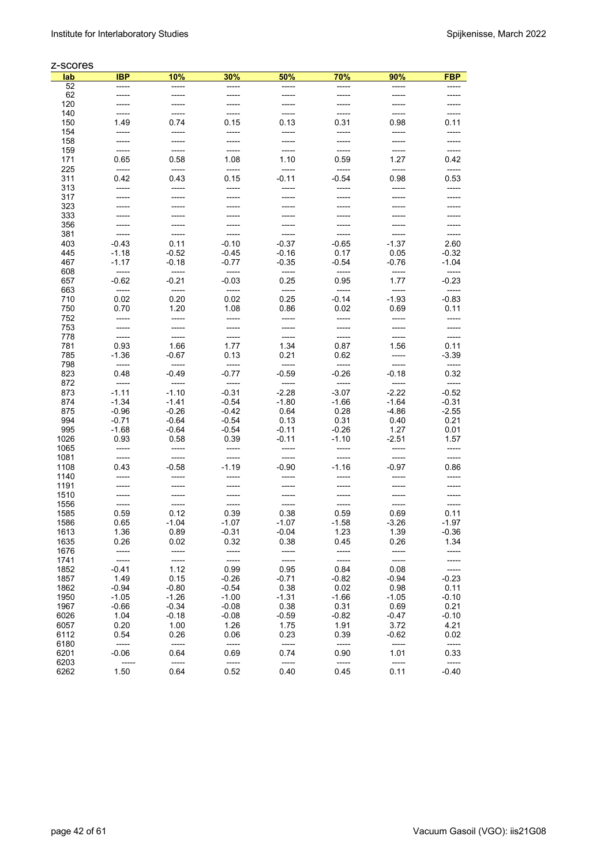| <b>IBP</b><br>10%<br>30%<br>50%<br>70%<br>90%<br>FBP.<br>lab<br>52<br>-----<br>-----<br>-----<br>-----<br>-----<br>62<br>-----<br>-----<br>-----<br>-----<br>$--- -$<br>-----<br>120<br>-----<br>-----<br>-----<br>140<br>$-----$<br>-----<br>-----<br>-----<br>-----<br>-----<br>$--- -$<br>150<br>1.49<br>0.15<br>0.13<br>0.31<br>0.98<br>0.11<br>0.74<br>154<br>-----<br>-----<br>-----<br>-----<br>-----<br>-----<br>-----<br>158<br>-----<br>-----<br>-----<br>-----<br>-----<br>-----<br>-----<br>159<br>$-----$<br>-----<br>$-----$<br>-----<br>-----<br>-----<br>-----<br>171<br>0.65<br>0.58<br>1.08<br>1.10<br>0.59<br>1.27<br>0.42<br>225<br>-----<br>-----<br>-----<br>-----<br>-----<br>-----<br>-----<br>0.42<br>311<br>0.43<br>0.15<br>$-0.11$<br>-0.54<br>0.98<br>0.53<br>313<br>-----<br>-----<br>317<br>-----<br>-----<br>-----<br>-----<br>323<br>-----<br>-----<br>-----<br>333<br>-----<br>-----<br>-----<br>-----<br>356<br>-----<br>-----<br>-----<br>-----<br>-----<br>381<br>-----<br>-----<br>-----<br>-----<br>-----<br>-----<br>$-0.43$<br>0.11<br>$-0.10$<br>$-0.37$<br>$-0.65$<br>$-1.37$<br>2.60<br>403<br>445<br>$-1.18$<br>$-0.52$<br>$-0.16$<br>0.17<br>0.05<br>$-0.32$<br>$-0.45$<br>467<br>$-1.17$<br>$-0.35$<br>$-0.54$<br>$-0.18$<br>$-0.77$<br>$-0.76$<br>-1.04<br>608<br>$-----$<br>-----<br>-----<br>$-----$<br>-----<br>$-----$<br>$-----$<br>657<br>$-0.62$<br>$-0.21$<br>$-0.03$<br>0.25<br>0.95<br>1.77<br>$-0.23$<br>663<br>$-----$<br>-----<br>-----<br>-----<br>$-----$<br>-----<br>-----<br>0.25<br>$-0.14$<br>$-1.93$<br>710<br>0.02<br>0.20<br>0.02<br>$-0.83$<br>750<br>1.20<br>0.02<br>0.69<br>0.11<br>0.70<br>1.08<br>0.86<br>752<br>-----<br>-----<br>-----<br>-----<br>-----<br>-----<br>-----<br>753<br>-----<br>-----<br>-----<br>-----<br>-----<br>778<br>-----<br>-----<br>-----<br>-----<br>-----<br>$- - - -$<br>-----<br>0.93<br>1.66<br>1.77<br>1.34<br>0.87<br>1.56<br>0.11<br>781<br>785<br>$-1.36$<br>$-0.67$<br>0.13<br>0.21<br>0.62<br>$-3.39$<br>$-----$<br>798<br>$-----$<br>-----<br>-----<br>$-----$<br>-----<br>$-----$<br>$-----$<br>$-0.26$<br>823<br>0.48<br>$-0.49$<br>$-0.77$<br>$-0.59$<br>$-0.18$<br>0.32<br>872<br>-----<br>-----<br>-----<br>-----<br>-----<br>-----<br>-----<br>$-2.28$<br>$-2.22$<br>873<br>$-1.11$<br>$-1.10$<br>$-0.31$<br>$-3.07$<br>$-0.52$<br>874<br>$-1.34$<br>$-1.41$<br>$-1.80$<br>$-1.64$<br>$-0.31$<br>$-0.54$<br>-1.66<br>875<br>$-0.96$<br>$-0.26$<br>$-4.86$<br>$-2.55$<br>$-0.42$<br>0.64<br>0.28<br>994<br>$-0.71$<br>0.21<br>$-0.64$<br>$-0.54$<br>0.13<br>0.31<br>0.40<br>995<br>$-0.11$<br>$-0.26$<br>1.27<br>0.01<br>$-1.68$<br>$-0.64$<br>$-0.54$<br>1.57<br>1026<br>0.93<br>0.58<br>0.39<br>$-0.11$<br>-1.10<br>$-2.51$<br>1065<br>-----<br>-----<br>-----<br>-----<br>-----<br>-----<br>-----<br>1081<br>-----<br>-----<br>-----<br>-----<br>-----<br>-----<br>-----<br>$-0.90$<br>$-1.16$<br>1108<br>0.43<br>$-0.58$<br>$-1.19$<br>$-0.97$<br>0.86<br>1140<br>-----<br>-----<br>-----<br>-----<br>-----<br>1191<br>-----<br>-----<br>-----<br>1510<br>-----<br>-----<br>-----<br>-----<br>1556<br>-----<br>-----<br>-----<br>-----<br>-----<br>-----<br>0.59<br>0.12<br>0.39<br>0.38<br>0.59<br>0.69<br>0.11<br>1585<br>$-1.07$<br>$-1.58$<br>1586<br>$-1.04$<br>$-1.07$<br>$-3.26$<br>$-1.97$<br>0.65<br>1.23<br>1613<br>1.36<br>0.89<br>$-0.31$<br>$-0.04$<br>1.39<br>$-0.36$<br>1635<br>0.02<br>0.32<br>0.38<br>0.45<br>0.26<br>1.34<br>0.26<br>1676<br>-----<br>-----<br>-----<br>-----<br>-----<br>-----<br>-----<br>1741<br>-----<br>-----<br>-----<br>-----<br>---<br>1.12<br>0.95<br>0.84<br>1852<br>$-0.41$<br>0.99<br>0.08<br>$-0.26$<br>$-0.71$<br>$-0.82$<br>$-0.94$<br>1857<br>1.49<br>0.15<br>$-0.23$<br>1862<br>$-0.80$<br>$-0.54$<br>0.38<br>0.02<br>0.98<br>0.11<br>-0.94<br>1950<br>$-1.26$<br>$-1.31$<br>$-1.66$<br>$-0.10$<br>-1.05<br>$-1.00$<br>-1.05<br>1967<br>0.38<br>0.31<br>0.69<br>0.21<br>$-0.66$<br>$-0.34$<br>$-0.08$<br>$-0.59$<br>$-0.82$<br>6026<br>1.04<br>$-0.18$<br>$-0.08$<br>-0.47<br>$-0.10$<br>1.91<br>6057<br>0.20<br>1.00<br>1.26<br>1.75<br>3.72<br>4.21<br>6112<br>0.54<br>0.26<br>0.06<br>0.23<br>0.39<br>$-0.62$<br>0.02<br>6180<br>-----<br>-----<br>-----<br>-----<br>-----<br>---<br>-----<br>6201<br>$-0.06$<br>0.64<br>0.69<br>0.74<br>0.90<br>1.01<br>0.33 | z-scores |       |       |       |       |       |       |       |
|---------------------------------------------------------------------------------------------------------------------------------------------------------------------------------------------------------------------------------------------------------------------------------------------------------------------------------------------------------------------------------------------------------------------------------------------------------------------------------------------------------------------------------------------------------------------------------------------------------------------------------------------------------------------------------------------------------------------------------------------------------------------------------------------------------------------------------------------------------------------------------------------------------------------------------------------------------------------------------------------------------------------------------------------------------------------------------------------------------------------------------------------------------------------------------------------------------------------------------------------------------------------------------------------------------------------------------------------------------------------------------------------------------------------------------------------------------------------------------------------------------------------------------------------------------------------------------------------------------------------------------------------------------------------------------------------------------------------------------------------------------------------------------------------------------------------------------------------------------------------------------------------------------------------------------------------------------------------------------------------------------------------------------------------------------------------------------------------------------------------------------------------------------------------------------------------------------------------------------------------------------------------------------------------------------------------------------------------------------------------------------------------------------------------------------------------------------------------------------------------------------------------------------------------------------------------------------------------------------------------------------------------------------------------------------------------------------------------------------------------------------------------------------------------------------------------------------------------------------------------------------------------------------------------------------------------------------------------------------------------------------------------------------------------------------------------------------------------------------------------------------------------------------------------------------------------------------------------------------------------------------------------------------------------------------------------------------------------------------------------------------------------------------------------------------------------------------------------------------------------------------------------------------------------------------------------------------------------------------------------------------------------------------------------------------------------------------------------------------------------------------------------------------------------------------------------------------------------------------------------------------------------------------------------------------------------------------------------------------------------------------------------------------------------------------------------------------------------------------------------------------------------------------------------------------------------------------------------------------------------------------------------------------------------------------------------------------------------|----------|-------|-------|-------|-------|-------|-------|-------|
|                                                                                                                                                                                                                                                                                                                                                                                                                                                                                                                                                                                                                                                                                                                                                                                                                                                                                                                                                                                                                                                                                                                                                                                                                                                                                                                                                                                                                                                                                                                                                                                                                                                                                                                                                                                                                                                                                                                                                                                                                                                                                                                                                                                                                                                                                                                                                                                                                                                                                                                                                                                                                                                                                                                                                                                                                                                                                                                                                                                                                                                                                                                                                                                                                                                                                                                                                                                                                                                                                                                                                                                                                                                                                                                                                                                                                                                                                                                                                                                                                                                                                                                                                                                                                                                                                                                                             |          |       |       |       |       |       |       |       |
|                                                                                                                                                                                                                                                                                                                                                                                                                                                                                                                                                                                                                                                                                                                                                                                                                                                                                                                                                                                                                                                                                                                                                                                                                                                                                                                                                                                                                                                                                                                                                                                                                                                                                                                                                                                                                                                                                                                                                                                                                                                                                                                                                                                                                                                                                                                                                                                                                                                                                                                                                                                                                                                                                                                                                                                                                                                                                                                                                                                                                                                                                                                                                                                                                                                                                                                                                                                                                                                                                                                                                                                                                                                                                                                                                                                                                                                                                                                                                                                                                                                                                                                                                                                                                                                                                                                                             |          |       |       |       |       |       |       |       |
|                                                                                                                                                                                                                                                                                                                                                                                                                                                                                                                                                                                                                                                                                                                                                                                                                                                                                                                                                                                                                                                                                                                                                                                                                                                                                                                                                                                                                                                                                                                                                                                                                                                                                                                                                                                                                                                                                                                                                                                                                                                                                                                                                                                                                                                                                                                                                                                                                                                                                                                                                                                                                                                                                                                                                                                                                                                                                                                                                                                                                                                                                                                                                                                                                                                                                                                                                                                                                                                                                                                                                                                                                                                                                                                                                                                                                                                                                                                                                                                                                                                                                                                                                                                                                                                                                                                                             |          |       |       |       |       |       |       |       |
|                                                                                                                                                                                                                                                                                                                                                                                                                                                                                                                                                                                                                                                                                                                                                                                                                                                                                                                                                                                                                                                                                                                                                                                                                                                                                                                                                                                                                                                                                                                                                                                                                                                                                                                                                                                                                                                                                                                                                                                                                                                                                                                                                                                                                                                                                                                                                                                                                                                                                                                                                                                                                                                                                                                                                                                                                                                                                                                                                                                                                                                                                                                                                                                                                                                                                                                                                                                                                                                                                                                                                                                                                                                                                                                                                                                                                                                                                                                                                                                                                                                                                                                                                                                                                                                                                                                                             |          |       |       |       |       |       |       |       |
|                                                                                                                                                                                                                                                                                                                                                                                                                                                                                                                                                                                                                                                                                                                                                                                                                                                                                                                                                                                                                                                                                                                                                                                                                                                                                                                                                                                                                                                                                                                                                                                                                                                                                                                                                                                                                                                                                                                                                                                                                                                                                                                                                                                                                                                                                                                                                                                                                                                                                                                                                                                                                                                                                                                                                                                                                                                                                                                                                                                                                                                                                                                                                                                                                                                                                                                                                                                                                                                                                                                                                                                                                                                                                                                                                                                                                                                                                                                                                                                                                                                                                                                                                                                                                                                                                                                                             |          |       |       |       |       |       |       |       |
|                                                                                                                                                                                                                                                                                                                                                                                                                                                                                                                                                                                                                                                                                                                                                                                                                                                                                                                                                                                                                                                                                                                                                                                                                                                                                                                                                                                                                                                                                                                                                                                                                                                                                                                                                                                                                                                                                                                                                                                                                                                                                                                                                                                                                                                                                                                                                                                                                                                                                                                                                                                                                                                                                                                                                                                                                                                                                                                                                                                                                                                                                                                                                                                                                                                                                                                                                                                                                                                                                                                                                                                                                                                                                                                                                                                                                                                                                                                                                                                                                                                                                                                                                                                                                                                                                                                                             |          |       |       |       |       |       |       |       |
|                                                                                                                                                                                                                                                                                                                                                                                                                                                                                                                                                                                                                                                                                                                                                                                                                                                                                                                                                                                                                                                                                                                                                                                                                                                                                                                                                                                                                                                                                                                                                                                                                                                                                                                                                                                                                                                                                                                                                                                                                                                                                                                                                                                                                                                                                                                                                                                                                                                                                                                                                                                                                                                                                                                                                                                                                                                                                                                                                                                                                                                                                                                                                                                                                                                                                                                                                                                                                                                                                                                                                                                                                                                                                                                                                                                                                                                                                                                                                                                                                                                                                                                                                                                                                                                                                                                                             |          |       |       |       |       |       |       |       |
|                                                                                                                                                                                                                                                                                                                                                                                                                                                                                                                                                                                                                                                                                                                                                                                                                                                                                                                                                                                                                                                                                                                                                                                                                                                                                                                                                                                                                                                                                                                                                                                                                                                                                                                                                                                                                                                                                                                                                                                                                                                                                                                                                                                                                                                                                                                                                                                                                                                                                                                                                                                                                                                                                                                                                                                                                                                                                                                                                                                                                                                                                                                                                                                                                                                                                                                                                                                                                                                                                                                                                                                                                                                                                                                                                                                                                                                                                                                                                                                                                                                                                                                                                                                                                                                                                                                                             |          |       |       |       |       |       |       |       |
|                                                                                                                                                                                                                                                                                                                                                                                                                                                                                                                                                                                                                                                                                                                                                                                                                                                                                                                                                                                                                                                                                                                                                                                                                                                                                                                                                                                                                                                                                                                                                                                                                                                                                                                                                                                                                                                                                                                                                                                                                                                                                                                                                                                                                                                                                                                                                                                                                                                                                                                                                                                                                                                                                                                                                                                                                                                                                                                                                                                                                                                                                                                                                                                                                                                                                                                                                                                                                                                                                                                                                                                                                                                                                                                                                                                                                                                                                                                                                                                                                                                                                                                                                                                                                                                                                                                                             |          |       |       |       |       |       |       |       |
|                                                                                                                                                                                                                                                                                                                                                                                                                                                                                                                                                                                                                                                                                                                                                                                                                                                                                                                                                                                                                                                                                                                                                                                                                                                                                                                                                                                                                                                                                                                                                                                                                                                                                                                                                                                                                                                                                                                                                                                                                                                                                                                                                                                                                                                                                                                                                                                                                                                                                                                                                                                                                                                                                                                                                                                                                                                                                                                                                                                                                                                                                                                                                                                                                                                                                                                                                                                                                                                                                                                                                                                                                                                                                                                                                                                                                                                                                                                                                                                                                                                                                                                                                                                                                                                                                                                                             |          |       |       |       |       |       |       |       |
|                                                                                                                                                                                                                                                                                                                                                                                                                                                                                                                                                                                                                                                                                                                                                                                                                                                                                                                                                                                                                                                                                                                                                                                                                                                                                                                                                                                                                                                                                                                                                                                                                                                                                                                                                                                                                                                                                                                                                                                                                                                                                                                                                                                                                                                                                                                                                                                                                                                                                                                                                                                                                                                                                                                                                                                                                                                                                                                                                                                                                                                                                                                                                                                                                                                                                                                                                                                                                                                                                                                                                                                                                                                                                                                                                                                                                                                                                                                                                                                                                                                                                                                                                                                                                                                                                                                                             |          |       |       |       |       |       |       |       |
|                                                                                                                                                                                                                                                                                                                                                                                                                                                                                                                                                                                                                                                                                                                                                                                                                                                                                                                                                                                                                                                                                                                                                                                                                                                                                                                                                                                                                                                                                                                                                                                                                                                                                                                                                                                                                                                                                                                                                                                                                                                                                                                                                                                                                                                                                                                                                                                                                                                                                                                                                                                                                                                                                                                                                                                                                                                                                                                                                                                                                                                                                                                                                                                                                                                                                                                                                                                                                                                                                                                                                                                                                                                                                                                                                                                                                                                                                                                                                                                                                                                                                                                                                                                                                                                                                                                                             |          |       |       |       |       |       |       |       |
|                                                                                                                                                                                                                                                                                                                                                                                                                                                                                                                                                                                                                                                                                                                                                                                                                                                                                                                                                                                                                                                                                                                                                                                                                                                                                                                                                                                                                                                                                                                                                                                                                                                                                                                                                                                                                                                                                                                                                                                                                                                                                                                                                                                                                                                                                                                                                                                                                                                                                                                                                                                                                                                                                                                                                                                                                                                                                                                                                                                                                                                                                                                                                                                                                                                                                                                                                                                                                                                                                                                                                                                                                                                                                                                                                                                                                                                                                                                                                                                                                                                                                                                                                                                                                                                                                                                                             |          |       |       |       |       |       |       |       |
|                                                                                                                                                                                                                                                                                                                                                                                                                                                                                                                                                                                                                                                                                                                                                                                                                                                                                                                                                                                                                                                                                                                                                                                                                                                                                                                                                                                                                                                                                                                                                                                                                                                                                                                                                                                                                                                                                                                                                                                                                                                                                                                                                                                                                                                                                                                                                                                                                                                                                                                                                                                                                                                                                                                                                                                                                                                                                                                                                                                                                                                                                                                                                                                                                                                                                                                                                                                                                                                                                                                                                                                                                                                                                                                                                                                                                                                                                                                                                                                                                                                                                                                                                                                                                                                                                                                                             |          |       |       |       |       |       |       |       |
|                                                                                                                                                                                                                                                                                                                                                                                                                                                                                                                                                                                                                                                                                                                                                                                                                                                                                                                                                                                                                                                                                                                                                                                                                                                                                                                                                                                                                                                                                                                                                                                                                                                                                                                                                                                                                                                                                                                                                                                                                                                                                                                                                                                                                                                                                                                                                                                                                                                                                                                                                                                                                                                                                                                                                                                                                                                                                                                                                                                                                                                                                                                                                                                                                                                                                                                                                                                                                                                                                                                                                                                                                                                                                                                                                                                                                                                                                                                                                                                                                                                                                                                                                                                                                                                                                                                                             |          |       |       |       |       |       |       |       |
|                                                                                                                                                                                                                                                                                                                                                                                                                                                                                                                                                                                                                                                                                                                                                                                                                                                                                                                                                                                                                                                                                                                                                                                                                                                                                                                                                                                                                                                                                                                                                                                                                                                                                                                                                                                                                                                                                                                                                                                                                                                                                                                                                                                                                                                                                                                                                                                                                                                                                                                                                                                                                                                                                                                                                                                                                                                                                                                                                                                                                                                                                                                                                                                                                                                                                                                                                                                                                                                                                                                                                                                                                                                                                                                                                                                                                                                                                                                                                                                                                                                                                                                                                                                                                                                                                                                                             |          |       |       |       |       |       |       |       |
|                                                                                                                                                                                                                                                                                                                                                                                                                                                                                                                                                                                                                                                                                                                                                                                                                                                                                                                                                                                                                                                                                                                                                                                                                                                                                                                                                                                                                                                                                                                                                                                                                                                                                                                                                                                                                                                                                                                                                                                                                                                                                                                                                                                                                                                                                                                                                                                                                                                                                                                                                                                                                                                                                                                                                                                                                                                                                                                                                                                                                                                                                                                                                                                                                                                                                                                                                                                                                                                                                                                                                                                                                                                                                                                                                                                                                                                                                                                                                                                                                                                                                                                                                                                                                                                                                                                                             |          |       |       |       |       |       |       |       |
|                                                                                                                                                                                                                                                                                                                                                                                                                                                                                                                                                                                                                                                                                                                                                                                                                                                                                                                                                                                                                                                                                                                                                                                                                                                                                                                                                                                                                                                                                                                                                                                                                                                                                                                                                                                                                                                                                                                                                                                                                                                                                                                                                                                                                                                                                                                                                                                                                                                                                                                                                                                                                                                                                                                                                                                                                                                                                                                                                                                                                                                                                                                                                                                                                                                                                                                                                                                                                                                                                                                                                                                                                                                                                                                                                                                                                                                                                                                                                                                                                                                                                                                                                                                                                                                                                                                                             |          |       |       |       |       |       |       |       |
|                                                                                                                                                                                                                                                                                                                                                                                                                                                                                                                                                                                                                                                                                                                                                                                                                                                                                                                                                                                                                                                                                                                                                                                                                                                                                                                                                                                                                                                                                                                                                                                                                                                                                                                                                                                                                                                                                                                                                                                                                                                                                                                                                                                                                                                                                                                                                                                                                                                                                                                                                                                                                                                                                                                                                                                                                                                                                                                                                                                                                                                                                                                                                                                                                                                                                                                                                                                                                                                                                                                                                                                                                                                                                                                                                                                                                                                                                                                                                                                                                                                                                                                                                                                                                                                                                                                                             |          |       |       |       |       |       |       |       |
|                                                                                                                                                                                                                                                                                                                                                                                                                                                                                                                                                                                                                                                                                                                                                                                                                                                                                                                                                                                                                                                                                                                                                                                                                                                                                                                                                                                                                                                                                                                                                                                                                                                                                                                                                                                                                                                                                                                                                                                                                                                                                                                                                                                                                                                                                                                                                                                                                                                                                                                                                                                                                                                                                                                                                                                                                                                                                                                                                                                                                                                                                                                                                                                                                                                                                                                                                                                                                                                                                                                                                                                                                                                                                                                                                                                                                                                                                                                                                                                                                                                                                                                                                                                                                                                                                                                                             |          |       |       |       |       |       |       |       |
|                                                                                                                                                                                                                                                                                                                                                                                                                                                                                                                                                                                                                                                                                                                                                                                                                                                                                                                                                                                                                                                                                                                                                                                                                                                                                                                                                                                                                                                                                                                                                                                                                                                                                                                                                                                                                                                                                                                                                                                                                                                                                                                                                                                                                                                                                                                                                                                                                                                                                                                                                                                                                                                                                                                                                                                                                                                                                                                                                                                                                                                                                                                                                                                                                                                                                                                                                                                                                                                                                                                                                                                                                                                                                                                                                                                                                                                                                                                                                                                                                                                                                                                                                                                                                                                                                                                                             |          |       |       |       |       |       |       |       |
|                                                                                                                                                                                                                                                                                                                                                                                                                                                                                                                                                                                                                                                                                                                                                                                                                                                                                                                                                                                                                                                                                                                                                                                                                                                                                                                                                                                                                                                                                                                                                                                                                                                                                                                                                                                                                                                                                                                                                                                                                                                                                                                                                                                                                                                                                                                                                                                                                                                                                                                                                                                                                                                                                                                                                                                                                                                                                                                                                                                                                                                                                                                                                                                                                                                                                                                                                                                                                                                                                                                                                                                                                                                                                                                                                                                                                                                                                                                                                                                                                                                                                                                                                                                                                                                                                                                                             |          |       |       |       |       |       |       |       |
|                                                                                                                                                                                                                                                                                                                                                                                                                                                                                                                                                                                                                                                                                                                                                                                                                                                                                                                                                                                                                                                                                                                                                                                                                                                                                                                                                                                                                                                                                                                                                                                                                                                                                                                                                                                                                                                                                                                                                                                                                                                                                                                                                                                                                                                                                                                                                                                                                                                                                                                                                                                                                                                                                                                                                                                                                                                                                                                                                                                                                                                                                                                                                                                                                                                                                                                                                                                                                                                                                                                                                                                                                                                                                                                                                                                                                                                                                                                                                                                                                                                                                                                                                                                                                                                                                                                                             |          |       |       |       |       |       |       |       |
|                                                                                                                                                                                                                                                                                                                                                                                                                                                                                                                                                                                                                                                                                                                                                                                                                                                                                                                                                                                                                                                                                                                                                                                                                                                                                                                                                                                                                                                                                                                                                                                                                                                                                                                                                                                                                                                                                                                                                                                                                                                                                                                                                                                                                                                                                                                                                                                                                                                                                                                                                                                                                                                                                                                                                                                                                                                                                                                                                                                                                                                                                                                                                                                                                                                                                                                                                                                                                                                                                                                                                                                                                                                                                                                                                                                                                                                                                                                                                                                                                                                                                                                                                                                                                                                                                                                                             |          |       |       |       |       |       |       |       |
|                                                                                                                                                                                                                                                                                                                                                                                                                                                                                                                                                                                                                                                                                                                                                                                                                                                                                                                                                                                                                                                                                                                                                                                                                                                                                                                                                                                                                                                                                                                                                                                                                                                                                                                                                                                                                                                                                                                                                                                                                                                                                                                                                                                                                                                                                                                                                                                                                                                                                                                                                                                                                                                                                                                                                                                                                                                                                                                                                                                                                                                                                                                                                                                                                                                                                                                                                                                                                                                                                                                                                                                                                                                                                                                                                                                                                                                                                                                                                                                                                                                                                                                                                                                                                                                                                                                                             |          |       |       |       |       |       |       |       |
|                                                                                                                                                                                                                                                                                                                                                                                                                                                                                                                                                                                                                                                                                                                                                                                                                                                                                                                                                                                                                                                                                                                                                                                                                                                                                                                                                                                                                                                                                                                                                                                                                                                                                                                                                                                                                                                                                                                                                                                                                                                                                                                                                                                                                                                                                                                                                                                                                                                                                                                                                                                                                                                                                                                                                                                                                                                                                                                                                                                                                                                                                                                                                                                                                                                                                                                                                                                                                                                                                                                                                                                                                                                                                                                                                                                                                                                                                                                                                                                                                                                                                                                                                                                                                                                                                                                                             |          |       |       |       |       |       |       |       |
|                                                                                                                                                                                                                                                                                                                                                                                                                                                                                                                                                                                                                                                                                                                                                                                                                                                                                                                                                                                                                                                                                                                                                                                                                                                                                                                                                                                                                                                                                                                                                                                                                                                                                                                                                                                                                                                                                                                                                                                                                                                                                                                                                                                                                                                                                                                                                                                                                                                                                                                                                                                                                                                                                                                                                                                                                                                                                                                                                                                                                                                                                                                                                                                                                                                                                                                                                                                                                                                                                                                                                                                                                                                                                                                                                                                                                                                                                                                                                                                                                                                                                                                                                                                                                                                                                                                                             |          |       |       |       |       |       |       |       |
|                                                                                                                                                                                                                                                                                                                                                                                                                                                                                                                                                                                                                                                                                                                                                                                                                                                                                                                                                                                                                                                                                                                                                                                                                                                                                                                                                                                                                                                                                                                                                                                                                                                                                                                                                                                                                                                                                                                                                                                                                                                                                                                                                                                                                                                                                                                                                                                                                                                                                                                                                                                                                                                                                                                                                                                                                                                                                                                                                                                                                                                                                                                                                                                                                                                                                                                                                                                                                                                                                                                                                                                                                                                                                                                                                                                                                                                                                                                                                                                                                                                                                                                                                                                                                                                                                                                                             |          |       |       |       |       |       |       |       |
|                                                                                                                                                                                                                                                                                                                                                                                                                                                                                                                                                                                                                                                                                                                                                                                                                                                                                                                                                                                                                                                                                                                                                                                                                                                                                                                                                                                                                                                                                                                                                                                                                                                                                                                                                                                                                                                                                                                                                                                                                                                                                                                                                                                                                                                                                                                                                                                                                                                                                                                                                                                                                                                                                                                                                                                                                                                                                                                                                                                                                                                                                                                                                                                                                                                                                                                                                                                                                                                                                                                                                                                                                                                                                                                                                                                                                                                                                                                                                                                                                                                                                                                                                                                                                                                                                                                                             |          |       |       |       |       |       |       |       |
|                                                                                                                                                                                                                                                                                                                                                                                                                                                                                                                                                                                                                                                                                                                                                                                                                                                                                                                                                                                                                                                                                                                                                                                                                                                                                                                                                                                                                                                                                                                                                                                                                                                                                                                                                                                                                                                                                                                                                                                                                                                                                                                                                                                                                                                                                                                                                                                                                                                                                                                                                                                                                                                                                                                                                                                                                                                                                                                                                                                                                                                                                                                                                                                                                                                                                                                                                                                                                                                                                                                                                                                                                                                                                                                                                                                                                                                                                                                                                                                                                                                                                                                                                                                                                                                                                                                                             |          |       |       |       |       |       |       |       |
|                                                                                                                                                                                                                                                                                                                                                                                                                                                                                                                                                                                                                                                                                                                                                                                                                                                                                                                                                                                                                                                                                                                                                                                                                                                                                                                                                                                                                                                                                                                                                                                                                                                                                                                                                                                                                                                                                                                                                                                                                                                                                                                                                                                                                                                                                                                                                                                                                                                                                                                                                                                                                                                                                                                                                                                                                                                                                                                                                                                                                                                                                                                                                                                                                                                                                                                                                                                                                                                                                                                                                                                                                                                                                                                                                                                                                                                                                                                                                                                                                                                                                                                                                                                                                                                                                                                                             |          |       |       |       |       |       |       |       |
|                                                                                                                                                                                                                                                                                                                                                                                                                                                                                                                                                                                                                                                                                                                                                                                                                                                                                                                                                                                                                                                                                                                                                                                                                                                                                                                                                                                                                                                                                                                                                                                                                                                                                                                                                                                                                                                                                                                                                                                                                                                                                                                                                                                                                                                                                                                                                                                                                                                                                                                                                                                                                                                                                                                                                                                                                                                                                                                                                                                                                                                                                                                                                                                                                                                                                                                                                                                                                                                                                                                                                                                                                                                                                                                                                                                                                                                                                                                                                                                                                                                                                                                                                                                                                                                                                                                                             |          |       |       |       |       |       |       |       |
|                                                                                                                                                                                                                                                                                                                                                                                                                                                                                                                                                                                                                                                                                                                                                                                                                                                                                                                                                                                                                                                                                                                                                                                                                                                                                                                                                                                                                                                                                                                                                                                                                                                                                                                                                                                                                                                                                                                                                                                                                                                                                                                                                                                                                                                                                                                                                                                                                                                                                                                                                                                                                                                                                                                                                                                                                                                                                                                                                                                                                                                                                                                                                                                                                                                                                                                                                                                                                                                                                                                                                                                                                                                                                                                                                                                                                                                                                                                                                                                                                                                                                                                                                                                                                                                                                                                                             |          |       |       |       |       |       |       |       |
|                                                                                                                                                                                                                                                                                                                                                                                                                                                                                                                                                                                                                                                                                                                                                                                                                                                                                                                                                                                                                                                                                                                                                                                                                                                                                                                                                                                                                                                                                                                                                                                                                                                                                                                                                                                                                                                                                                                                                                                                                                                                                                                                                                                                                                                                                                                                                                                                                                                                                                                                                                                                                                                                                                                                                                                                                                                                                                                                                                                                                                                                                                                                                                                                                                                                                                                                                                                                                                                                                                                                                                                                                                                                                                                                                                                                                                                                                                                                                                                                                                                                                                                                                                                                                                                                                                                                             |          |       |       |       |       |       |       |       |
|                                                                                                                                                                                                                                                                                                                                                                                                                                                                                                                                                                                                                                                                                                                                                                                                                                                                                                                                                                                                                                                                                                                                                                                                                                                                                                                                                                                                                                                                                                                                                                                                                                                                                                                                                                                                                                                                                                                                                                                                                                                                                                                                                                                                                                                                                                                                                                                                                                                                                                                                                                                                                                                                                                                                                                                                                                                                                                                                                                                                                                                                                                                                                                                                                                                                                                                                                                                                                                                                                                                                                                                                                                                                                                                                                                                                                                                                                                                                                                                                                                                                                                                                                                                                                                                                                                                                             |          |       |       |       |       |       |       |       |
|                                                                                                                                                                                                                                                                                                                                                                                                                                                                                                                                                                                                                                                                                                                                                                                                                                                                                                                                                                                                                                                                                                                                                                                                                                                                                                                                                                                                                                                                                                                                                                                                                                                                                                                                                                                                                                                                                                                                                                                                                                                                                                                                                                                                                                                                                                                                                                                                                                                                                                                                                                                                                                                                                                                                                                                                                                                                                                                                                                                                                                                                                                                                                                                                                                                                                                                                                                                                                                                                                                                                                                                                                                                                                                                                                                                                                                                                                                                                                                                                                                                                                                                                                                                                                                                                                                                                             |          |       |       |       |       |       |       |       |
|                                                                                                                                                                                                                                                                                                                                                                                                                                                                                                                                                                                                                                                                                                                                                                                                                                                                                                                                                                                                                                                                                                                                                                                                                                                                                                                                                                                                                                                                                                                                                                                                                                                                                                                                                                                                                                                                                                                                                                                                                                                                                                                                                                                                                                                                                                                                                                                                                                                                                                                                                                                                                                                                                                                                                                                                                                                                                                                                                                                                                                                                                                                                                                                                                                                                                                                                                                                                                                                                                                                                                                                                                                                                                                                                                                                                                                                                                                                                                                                                                                                                                                                                                                                                                                                                                                                                             |          |       |       |       |       |       |       |       |
|                                                                                                                                                                                                                                                                                                                                                                                                                                                                                                                                                                                                                                                                                                                                                                                                                                                                                                                                                                                                                                                                                                                                                                                                                                                                                                                                                                                                                                                                                                                                                                                                                                                                                                                                                                                                                                                                                                                                                                                                                                                                                                                                                                                                                                                                                                                                                                                                                                                                                                                                                                                                                                                                                                                                                                                                                                                                                                                                                                                                                                                                                                                                                                                                                                                                                                                                                                                                                                                                                                                                                                                                                                                                                                                                                                                                                                                                                                                                                                                                                                                                                                                                                                                                                                                                                                                                             |          |       |       |       |       |       |       |       |
|                                                                                                                                                                                                                                                                                                                                                                                                                                                                                                                                                                                                                                                                                                                                                                                                                                                                                                                                                                                                                                                                                                                                                                                                                                                                                                                                                                                                                                                                                                                                                                                                                                                                                                                                                                                                                                                                                                                                                                                                                                                                                                                                                                                                                                                                                                                                                                                                                                                                                                                                                                                                                                                                                                                                                                                                                                                                                                                                                                                                                                                                                                                                                                                                                                                                                                                                                                                                                                                                                                                                                                                                                                                                                                                                                                                                                                                                                                                                                                                                                                                                                                                                                                                                                                                                                                                                             |          |       |       |       |       |       |       |       |
|                                                                                                                                                                                                                                                                                                                                                                                                                                                                                                                                                                                                                                                                                                                                                                                                                                                                                                                                                                                                                                                                                                                                                                                                                                                                                                                                                                                                                                                                                                                                                                                                                                                                                                                                                                                                                                                                                                                                                                                                                                                                                                                                                                                                                                                                                                                                                                                                                                                                                                                                                                                                                                                                                                                                                                                                                                                                                                                                                                                                                                                                                                                                                                                                                                                                                                                                                                                                                                                                                                                                                                                                                                                                                                                                                                                                                                                                                                                                                                                                                                                                                                                                                                                                                                                                                                                                             |          |       |       |       |       |       |       |       |
|                                                                                                                                                                                                                                                                                                                                                                                                                                                                                                                                                                                                                                                                                                                                                                                                                                                                                                                                                                                                                                                                                                                                                                                                                                                                                                                                                                                                                                                                                                                                                                                                                                                                                                                                                                                                                                                                                                                                                                                                                                                                                                                                                                                                                                                                                                                                                                                                                                                                                                                                                                                                                                                                                                                                                                                                                                                                                                                                                                                                                                                                                                                                                                                                                                                                                                                                                                                                                                                                                                                                                                                                                                                                                                                                                                                                                                                                                                                                                                                                                                                                                                                                                                                                                                                                                                                                             |          |       |       |       |       |       |       |       |
|                                                                                                                                                                                                                                                                                                                                                                                                                                                                                                                                                                                                                                                                                                                                                                                                                                                                                                                                                                                                                                                                                                                                                                                                                                                                                                                                                                                                                                                                                                                                                                                                                                                                                                                                                                                                                                                                                                                                                                                                                                                                                                                                                                                                                                                                                                                                                                                                                                                                                                                                                                                                                                                                                                                                                                                                                                                                                                                                                                                                                                                                                                                                                                                                                                                                                                                                                                                                                                                                                                                                                                                                                                                                                                                                                                                                                                                                                                                                                                                                                                                                                                                                                                                                                                                                                                                                             |          |       |       |       |       |       |       |       |
|                                                                                                                                                                                                                                                                                                                                                                                                                                                                                                                                                                                                                                                                                                                                                                                                                                                                                                                                                                                                                                                                                                                                                                                                                                                                                                                                                                                                                                                                                                                                                                                                                                                                                                                                                                                                                                                                                                                                                                                                                                                                                                                                                                                                                                                                                                                                                                                                                                                                                                                                                                                                                                                                                                                                                                                                                                                                                                                                                                                                                                                                                                                                                                                                                                                                                                                                                                                                                                                                                                                                                                                                                                                                                                                                                                                                                                                                                                                                                                                                                                                                                                                                                                                                                                                                                                                                             |          |       |       |       |       |       |       |       |
|                                                                                                                                                                                                                                                                                                                                                                                                                                                                                                                                                                                                                                                                                                                                                                                                                                                                                                                                                                                                                                                                                                                                                                                                                                                                                                                                                                                                                                                                                                                                                                                                                                                                                                                                                                                                                                                                                                                                                                                                                                                                                                                                                                                                                                                                                                                                                                                                                                                                                                                                                                                                                                                                                                                                                                                                                                                                                                                                                                                                                                                                                                                                                                                                                                                                                                                                                                                                                                                                                                                                                                                                                                                                                                                                                                                                                                                                                                                                                                                                                                                                                                                                                                                                                                                                                                                                             |          |       |       |       |       |       |       |       |
|                                                                                                                                                                                                                                                                                                                                                                                                                                                                                                                                                                                                                                                                                                                                                                                                                                                                                                                                                                                                                                                                                                                                                                                                                                                                                                                                                                                                                                                                                                                                                                                                                                                                                                                                                                                                                                                                                                                                                                                                                                                                                                                                                                                                                                                                                                                                                                                                                                                                                                                                                                                                                                                                                                                                                                                                                                                                                                                                                                                                                                                                                                                                                                                                                                                                                                                                                                                                                                                                                                                                                                                                                                                                                                                                                                                                                                                                                                                                                                                                                                                                                                                                                                                                                                                                                                                                             |          |       |       |       |       |       |       |       |
|                                                                                                                                                                                                                                                                                                                                                                                                                                                                                                                                                                                                                                                                                                                                                                                                                                                                                                                                                                                                                                                                                                                                                                                                                                                                                                                                                                                                                                                                                                                                                                                                                                                                                                                                                                                                                                                                                                                                                                                                                                                                                                                                                                                                                                                                                                                                                                                                                                                                                                                                                                                                                                                                                                                                                                                                                                                                                                                                                                                                                                                                                                                                                                                                                                                                                                                                                                                                                                                                                                                                                                                                                                                                                                                                                                                                                                                                                                                                                                                                                                                                                                                                                                                                                                                                                                                                             |          |       |       |       |       |       |       |       |
|                                                                                                                                                                                                                                                                                                                                                                                                                                                                                                                                                                                                                                                                                                                                                                                                                                                                                                                                                                                                                                                                                                                                                                                                                                                                                                                                                                                                                                                                                                                                                                                                                                                                                                                                                                                                                                                                                                                                                                                                                                                                                                                                                                                                                                                                                                                                                                                                                                                                                                                                                                                                                                                                                                                                                                                                                                                                                                                                                                                                                                                                                                                                                                                                                                                                                                                                                                                                                                                                                                                                                                                                                                                                                                                                                                                                                                                                                                                                                                                                                                                                                                                                                                                                                                                                                                                                             |          |       |       |       |       |       |       |       |
|                                                                                                                                                                                                                                                                                                                                                                                                                                                                                                                                                                                                                                                                                                                                                                                                                                                                                                                                                                                                                                                                                                                                                                                                                                                                                                                                                                                                                                                                                                                                                                                                                                                                                                                                                                                                                                                                                                                                                                                                                                                                                                                                                                                                                                                                                                                                                                                                                                                                                                                                                                                                                                                                                                                                                                                                                                                                                                                                                                                                                                                                                                                                                                                                                                                                                                                                                                                                                                                                                                                                                                                                                                                                                                                                                                                                                                                                                                                                                                                                                                                                                                                                                                                                                                                                                                                                             |          |       |       |       |       |       |       |       |
|                                                                                                                                                                                                                                                                                                                                                                                                                                                                                                                                                                                                                                                                                                                                                                                                                                                                                                                                                                                                                                                                                                                                                                                                                                                                                                                                                                                                                                                                                                                                                                                                                                                                                                                                                                                                                                                                                                                                                                                                                                                                                                                                                                                                                                                                                                                                                                                                                                                                                                                                                                                                                                                                                                                                                                                                                                                                                                                                                                                                                                                                                                                                                                                                                                                                                                                                                                                                                                                                                                                                                                                                                                                                                                                                                                                                                                                                                                                                                                                                                                                                                                                                                                                                                                                                                                                                             |          |       |       |       |       |       |       |       |
|                                                                                                                                                                                                                                                                                                                                                                                                                                                                                                                                                                                                                                                                                                                                                                                                                                                                                                                                                                                                                                                                                                                                                                                                                                                                                                                                                                                                                                                                                                                                                                                                                                                                                                                                                                                                                                                                                                                                                                                                                                                                                                                                                                                                                                                                                                                                                                                                                                                                                                                                                                                                                                                                                                                                                                                                                                                                                                                                                                                                                                                                                                                                                                                                                                                                                                                                                                                                                                                                                                                                                                                                                                                                                                                                                                                                                                                                                                                                                                                                                                                                                                                                                                                                                                                                                                                                             |          |       |       |       |       |       |       |       |
|                                                                                                                                                                                                                                                                                                                                                                                                                                                                                                                                                                                                                                                                                                                                                                                                                                                                                                                                                                                                                                                                                                                                                                                                                                                                                                                                                                                                                                                                                                                                                                                                                                                                                                                                                                                                                                                                                                                                                                                                                                                                                                                                                                                                                                                                                                                                                                                                                                                                                                                                                                                                                                                                                                                                                                                                                                                                                                                                                                                                                                                                                                                                                                                                                                                                                                                                                                                                                                                                                                                                                                                                                                                                                                                                                                                                                                                                                                                                                                                                                                                                                                                                                                                                                                                                                                                                             |          |       |       |       |       |       |       |       |
|                                                                                                                                                                                                                                                                                                                                                                                                                                                                                                                                                                                                                                                                                                                                                                                                                                                                                                                                                                                                                                                                                                                                                                                                                                                                                                                                                                                                                                                                                                                                                                                                                                                                                                                                                                                                                                                                                                                                                                                                                                                                                                                                                                                                                                                                                                                                                                                                                                                                                                                                                                                                                                                                                                                                                                                                                                                                                                                                                                                                                                                                                                                                                                                                                                                                                                                                                                                                                                                                                                                                                                                                                                                                                                                                                                                                                                                                                                                                                                                                                                                                                                                                                                                                                                                                                                                                             |          |       |       |       |       |       |       |       |
|                                                                                                                                                                                                                                                                                                                                                                                                                                                                                                                                                                                                                                                                                                                                                                                                                                                                                                                                                                                                                                                                                                                                                                                                                                                                                                                                                                                                                                                                                                                                                                                                                                                                                                                                                                                                                                                                                                                                                                                                                                                                                                                                                                                                                                                                                                                                                                                                                                                                                                                                                                                                                                                                                                                                                                                                                                                                                                                                                                                                                                                                                                                                                                                                                                                                                                                                                                                                                                                                                                                                                                                                                                                                                                                                                                                                                                                                                                                                                                                                                                                                                                                                                                                                                                                                                                                                             |          |       |       |       |       |       |       |       |
| 1.50<br>0.52<br>0.40<br>0.45<br>0.11<br>$-0.40$<br>6262<br>0.64                                                                                                                                                                                                                                                                                                                                                                                                                                                                                                                                                                                                                                                                                                                                                                                                                                                                                                                                                                                                                                                                                                                                                                                                                                                                                                                                                                                                                                                                                                                                                                                                                                                                                                                                                                                                                                                                                                                                                                                                                                                                                                                                                                                                                                                                                                                                                                                                                                                                                                                                                                                                                                                                                                                                                                                                                                                                                                                                                                                                                                                                                                                                                                                                                                                                                                                                                                                                                                                                                                                                                                                                                                                                                                                                                                                                                                                                                                                                                                                                                                                                                                                                                                                                                                                                             | 6203     | ----- | ----- | ----- | ----- | ----- | ----- | ----- |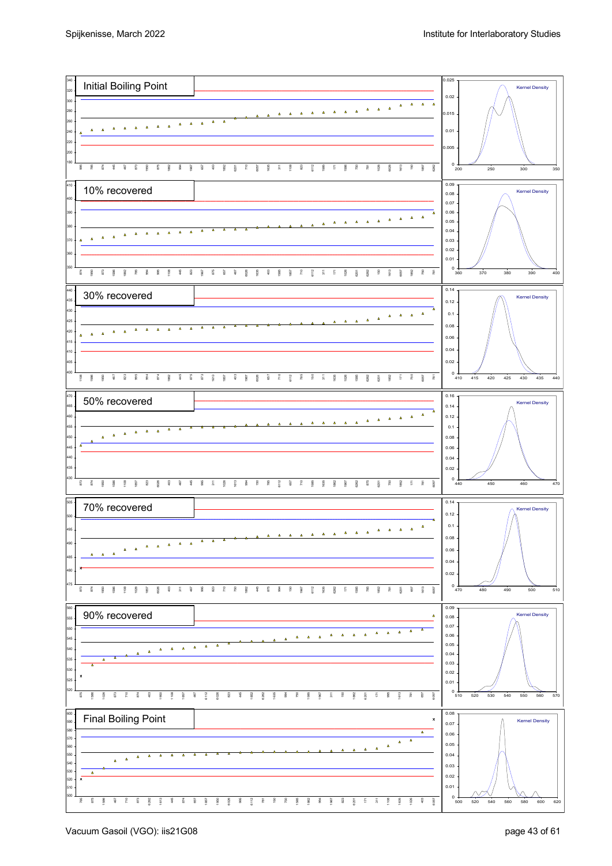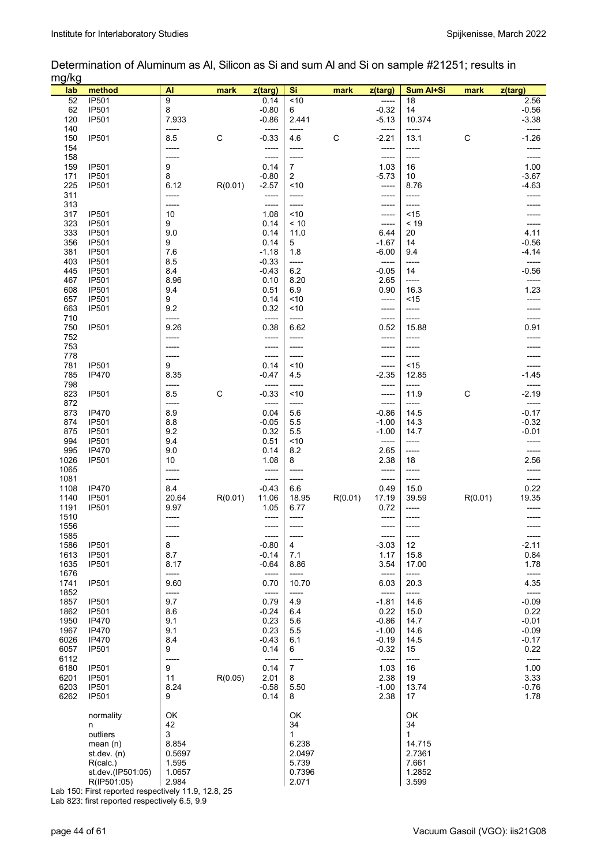#### Determination of Aluminum as Al, Silicon as Si and sum Al and Si on sample #21251; results in mg/kg

| lab          | method                                              | <b>AI</b>       | mark        | z(targ)            | Si                      | mark    | z(targ)            | Sum Al+Si       | mark    | z(targ)            |
|--------------|-----------------------------------------------------|-----------------|-------------|--------------------|-------------------------|---------|--------------------|-----------------|---------|--------------------|
| 52           | <b>IP501</b>                                        | 9               |             | 0.14               | ~10                     |         |                    | 18              |         | 2.56               |
| 62           | IP501                                               | 8               |             | $-0.80$            | 6                       |         | $-0.32$            | 14              |         | $-0.56$            |
| 120          | <b>IP501</b>                                        | 7.933           |             | $-0.86$            | 2.441                   |         | $-5.13$            | 10.374          |         | $-3.38$            |
| 140<br>150   | IP501                                               | -----<br>8.5    | C           | -----<br>$-0.33$   | -----<br>4.6            | C       | -----<br>$-2.21$   | -----<br>13.1   | C       | -----<br>$-1.26$   |
| 154          |                                                     | -----           |             |                    |                         |         | -----              | -----           |         |                    |
| 158          |                                                     | -----           |             | -----              | -----                   |         | -----              | -----           |         | -----              |
| 159          | <b>IP501</b>                                        | 9               |             | 0.14               | $\overline{7}$          |         | 1.03               | 16              |         | 1.00               |
| 171          | <b>IP501</b>                                        | 8               |             | $-0.80$            | $\overline{\mathbf{c}}$ |         | $-5.73$            | 10              |         | $-3.67$            |
| 225          | <b>IP501</b>                                        | 6.12            | R(0.01)     | $-2.57$            | ~10                     |         | -----              | 8.76            |         | $-4.63$            |
| 311          |                                                     | -----           |             | -----              | -----                   |         | -----              | -----           |         |                    |
| 313<br>317   | IP501                                               | 10              |             | -----<br>1.08      | -----<br>~10            |         | -----              | -----<br><15    |         |                    |
| 323          | IP501                                               | 9               |             | 0.14               | < 10                    |         | -----              | < 19            |         |                    |
| 333          | <b>IP501</b>                                        | 9.0             |             | 0.14               | 11.0                    |         | 6.44               | 20              |         | 4.11               |
| 356          | <b>IP501</b>                                        | 9               |             | 0.14               | 5                       |         | $-1.67$            | 14              |         | $-0.56$            |
| 381          | <b>IP501</b>                                        | 7.6             |             | $-1.18$            | 1.8                     |         | $-6.00$            | 9.4             |         | $-4.14$            |
| 403          | <b>IP501</b>                                        | 8.5             |             | $-0.33$            | -----                   |         | -----              | -----           |         | -----              |
| 445<br>467   | <b>IP501</b><br><b>IP501</b>                        | 8.4<br>8.96     |             | $-0.43$            | 6.2<br>8.20             |         | $-0.05$<br>2.65    | 14              |         | $-0.56$            |
| 608          | <b>IP501</b>                                        | 9.4             |             | 0.10<br>0.51       | 6.9                     |         | 0.90               | -----<br>16.3   |         | 1.23               |
| 657          | IP501                                               | 9               |             | 0.14               | < 10                    |         | -----              | <15             |         | -----              |
| 663          | IP501                                               | 9.2             |             | 0.32               | <10                     |         | -----              | -----           |         |                    |
| 710          |                                                     | -----           |             | -----              | -----                   |         | -----              | -----           |         |                    |
| 750          | <b>IP501</b>                                        | 9.26            |             | 0.38               | 6.62                    |         | 0.52               | 15.88           |         | 0.91               |
| 752          |                                                     | -----           |             | -----              | -----                   |         | -----              | -----           |         | ----               |
| 753<br>778   |                                                     | -----           |             | -----<br>-----     | -----<br>-----          |         | -----              | -----<br>-----  |         |                    |
| 781          | IP501                                               | 9               |             | 0.14               | <10                     |         | -----              | < 15            |         |                    |
| 785          | <b>IP470</b>                                        | 8.35            |             | $-0.47$            | 4.5                     |         | $-2.35$            | 12.85           |         | $-1.45$            |
| 798          |                                                     | -----           |             | -----              | -----                   |         | -----              | -----           |         |                    |
| 823          | IP501                                               | 8.5             | $\mathsf C$ | $-0.33$            | ~10                     |         | -----              | 11.9            | C       | $-2.19$            |
| 872          |                                                     | -----           |             | -----              | -----                   |         | -----              | -----           |         | -----              |
| 873<br>874   | <b>IP470</b><br><b>IP501</b>                        | 8.9<br>8.8      |             | 0.04<br>$-0.05$    | 5.6<br>5.5              |         | $-0.86$<br>$-1.00$ | 14.5<br>14.3    |         | $-0.17$<br>$-0.32$ |
| 875          | <b>IP501</b>                                        | 9.2             |             | 0.32               | 5.5                     |         | $-1.00$            | 14.7            |         | $-0.01$            |
| 994          | <b>IP501</b>                                        | 9.4             |             | 0.51               | ~10                     |         | -----              | -----           |         | -----              |
| 995          | <b>IP470</b>                                        | 9.0             |             | 0.14               | 8.2                     |         | 2.65               | -----           |         |                    |
| 1026         | <b>IP501</b>                                        | 10              |             | 1.08               | 8                       |         | 2.38               | 18              |         | 2.56               |
| 1065         |                                                     | -----           |             | -----              | -----                   |         | -----              | -----           |         |                    |
| 1081<br>1108 | <b>IP470</b>                                        | -----<br>8.4    |             | -----<br>$-0.43$   | -----<br>6.6            |         | -----<br>0.49      | -----<br>15.0   |         | -----<br>0.22      |
| 1140         | <b>IP501</b>                                        | 20.64           | R(0.01)     | 11.06              | 18.95                   | R(0.01) | 17.19              | 39.59           | R(0.01) | 19.35              |
| 1191         | <b>IP501</b>                                        | 9.97            |             | 1.05               | 6.77                    |         | 0.72               | -----           |         |                    |
| 1510         |                                                     | -----           |             | -----              | -----                   |         | -----              | -----           |         |                    |
| 1556         |                                                     |                 |             |                    |                         |         |                    |                 |         |                    |
| 1585         |                                                     | -----           |             | -----              | -----                   |         | -----              | -----           |         |                    |
| 1586<br>1613 | <b>IP501</b><br><b>IP501</b>                        | 8<br>8.7        |             | $-0.80$<br>$-0.14$ | 4<br>7.1                |         | $-3.03$<br>1.17    | 12<br>15.8      |         | $-2.11$<br>0.84    |
| 1635         | <b>IP501</b>                                        | 8.17            |             | $-0.64$            | 8.86                    |         | 3.54               | 17.00           |         | 1.78               |
| 1676         |                                                     | -----           |             | -----              | -----                   |         | -----              | -----           |         | -----              |
| 1741         | <b>IP501</b>                                        | 9.60            |             | 0.70               | 10.70                   |         | 6.03               | 20.3            |         | 4.35               |
| 1852         |                                                     | -----           |             | -----              | -----                   |         | -----              | -----           |         | -----              |
| 1857         | <b>IP501</b>                                        | 9.7             |             | 0.79               | 4.9                     |         | $-1.81$            | 14.6            |         | $-0.09$            |
| 1862<br>1950 | <b>IP501</b>                                        | 8.6<br>9.1      |             | $-0.24$            | 6.4<br>5.6              |         | 0.22<br>$-0.86$    | 15.0<br>14.7    |         | 0.22<br>$-0.01$    |
| 1967         | IP470<br><b>IP470</b>                               | 9.1             |             | 0.23<br>0.23       | 5.5                     |         | $-1.00$            | 14.6            |         | $-0.09$            |
| 6026         | <b>IP470</b>                                        | 8.4             |             | $-0.43$            | 6.1                     |         | $-0.19$            | 14.5            |         | $-0.17$            |
| 6057         | <b>IP501</b>                                        | 9               |             | 0.14               | 6                       |         | $-0.32$            | 15              |         | 0.22               |
| 6112         |                                                     | -----           |             | -----              | -----                   |         | -----              | -----           |         | -----              |
| 6180         | <b>IP501</b>                                        | 9               |             | 0.14               | $\overline{7}$          |         | 1.03               | 16              |         | 1.00               |
| 6201         | <b>IP501</b>                                        | 11              | R(0.05)     | 2.01               | 8                       |         | 2.38               | 19              |         | 3.33               |
| 6203<br>6262 | <b>IP501</b><br><b>IP501</b>                        | 8.24<br>9       |             | $-0.58$<br>0.14    | 5.50<br>8               |         | $-1.00$<br>2.38    | 13.74<br>17     |         | $-0.76$<br>1.78    |
|              |                                                     |                 |             |                    |                         |         |                    |                 |         |                    |
|              | normality                                           | OK              |             |                    | OK                      |         |                    | OK              |         |                    |
|              | n                                                   | 42              |             |                    | 34                      |         |                    | 34              |         |                    |
|              | outliers                                            | 3               |             |                    | 1                       |         |                    | $\mathbf{1}$    |         |                    |
|              | mean $(n)$                                          | 8.854           |             |                    | 6.238                   |         |                    | 14.715          |         |                    |
|              | st.dev. $(n)$<br>R(calc.)                           | 0.5697<br>1.595 |             |                    | 2.0497<br>5.739         |         |                    | 2.7361<br>7.661 |         |                    |
|              | st.dev.(IP501:05)                                   | 1.0657          |             |                    | 0.7396                  |         |                    | 1.2852          |         |                    |
|              | R(IP501:05)                                         | 2.984           |             |                    | 2.071                   |         |                    | 3.599           |         |                    |
|              | Lab 150: First reported respectively 11.9, 12.8, 25 |                 |             |                    |                         |         |                    |                 |         |                    |

Lab 823: first reported respectively 6.5, 9.9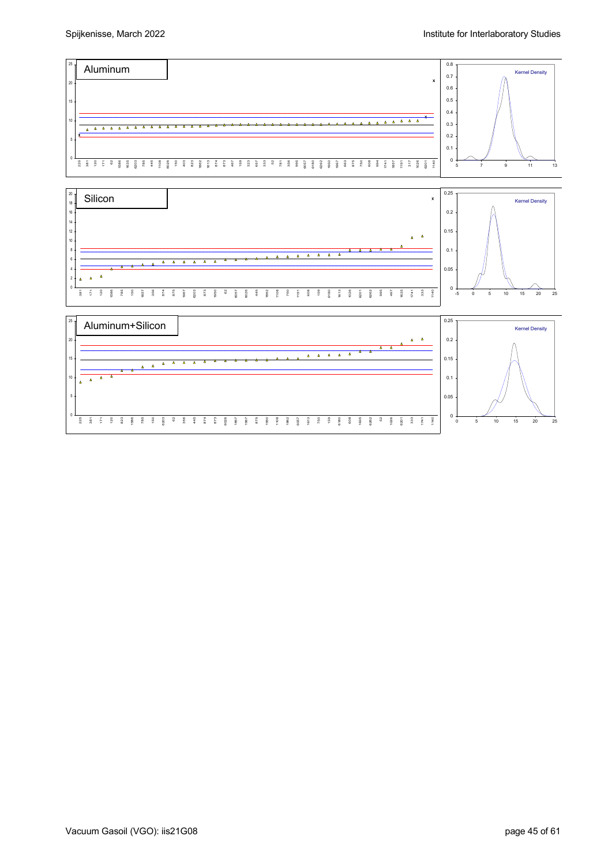



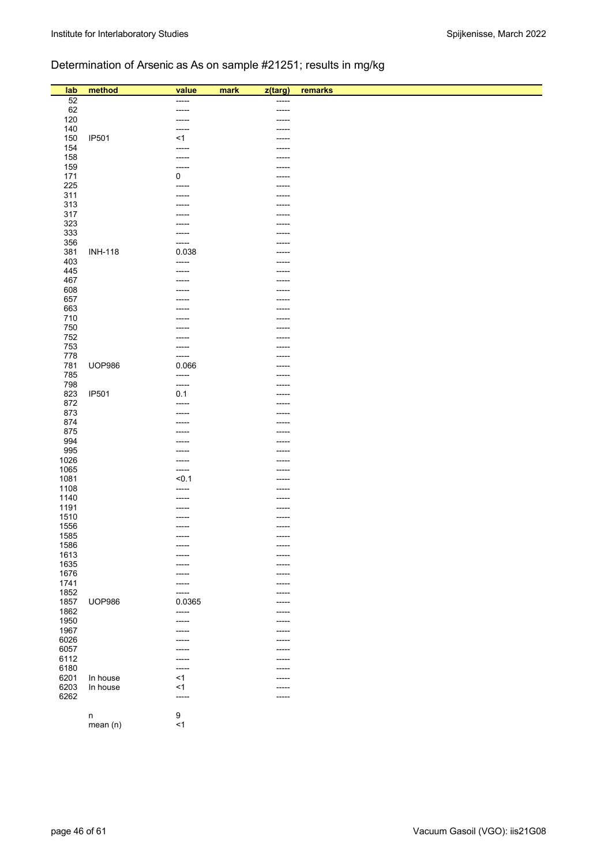## Determination of Arsenic as As on sample #21251; results in mg/kg

| lab          | method         | value            | mark |                  |         |
|--------------|----------------|------------------|------|------------------|---------|
| 52           |                | -----            |      | z(targ)<br>----- | remarks |
| 62           |                | -----            |      | -----            |         |
| 120          |                | -----            |      |                  |         |
| 140          |                | -----            |      | -----            |         |
| 150          | <b>IP501</b>   | $<$ 1            |      | -----            |         |
| 154          |                | -----            |      | -----            |         |
| 158          |                | -----            |      | $- - - - -$      |         |
| 159          |                | -----            |      | $--- -$          |         |
| 171          |                | 0                |      | -----            |         |
| 225          |                | -----            |      | -----            |         |
| 311          |                | -----            |      | -----            |         |
| 313<br>317   |                |                  |      | -----            |         |
| 323          |                |                  |      | -----<br>-----   |         |
| 333          |                | -----            |      | -----            |         |
| 356          |                | -----            |      |                  |         |
| 381          | <b>INH-118</b> | 0.038            |      | -----            |         |
| 403          |                | -----            |      |                  |         |
| 445          |                | -----            |      | -----            |         |
| 467          |                |                  |      | -----            |         |
| 608          |                |                  |      | -----            |         |
| 657          |                |                  |      | $- - - - -$      |         |
| 663          |                | -----            |      | -----            |         |
| 710          |                |                  |      | -----            |         |
| 750          |                |                  |      | -----            |         |
| 752<br>753   |                | -----<br>-----   |      | -----            |         |
| 778          |                | -----            |      | -----<br>-----   |         |
| 781          | <b>UOP986</b>  | 0.066            |      | -----            |         |
| 785          |                | $-----$          |      | -----            |         |
| 798          |                | -----            |      |                  |         |
| 823          | <b>IP501</b>   | 0.1              |      | -----            |         |
| 872          |                | -----            |      | -----            |         |
| 873          |                | -----            |      | -----            |         |
| 874          |                |                  |      | -----            |         |
| 875          |                | -----            |      | -----            |         |
| 994          |                |                  |      | -----            |         |
| 995          |                | -----            |      | -----            |         |
| 1026         |                | -----            |      | -----            |         |
| 1065<br>1081 |                | -----<br>< 0.1   |      | -----<br>-----   |         |
| 1108         |                | -----            |      | -----            |         |
| 1140         |                |                  |      | -----            |         |
| 1191         |                |                  |      | -----            |         |
| 1510         |                |                  |      | -----            |         |
| 1556         |                |                  |      | -----            |         |
| 1585         |                | -----            |      | -----            |         |
| 1586         |                | -----            |      | -----            |         |
| 1613         |                |                  |      |                  |         |
| 1635         |                |                  |      |                  |         |
| 1676         |                | ----             |      | -----            |         |
| 1741         |                |                  |      | -----            |         |
| 1852<br>1857 | <b>UOP986</b>  | -----<br>0.0365  |      | -----<br>-----   |         |
| 1862         |                | -----            |      | -----            |         |
| 1950         |                | -----            |      | -----            |         |
| 1967         |                |                  |      | -----            |         |
| 6026         |                |                  |      | -----            |         |
| 6057         |                |                  |      | -----            |         |
| 6112         |                | -----            |      | -----            |         |
| 6180         |                | -----            |      |                  |         |
| 6201         | In house       | <1               |      |                  |         |
| 6203         | In house       | $<$ 1            |      | -----            |         |
| 6262         |                | -----            |      | -----            |         |
|              |                |                  |      |                  |         |
|              | n              | $\boldsymbol{9}$ |      |                  |         |
|              | mean (n)       | $<1\,$           |      |                  |         |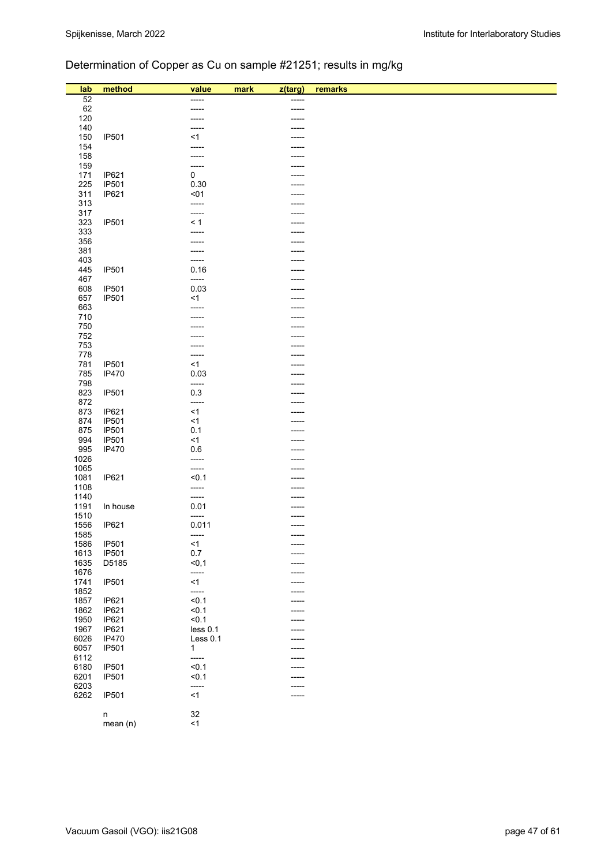## Determination of Copper as Cu on sample #21251; results in mg/kg

| lab          | method                | value                | mark<br>z(targ) | remarks |
|--------------|-----------------------|----------------------|-----------------|---------|
| 52           |                       | -----                | -----           |         |
| 62           |                       | -----                | -----           |         |
| 120          |                       | -----                |                 |         |
| 140          |                       | -----                |                 |         |
| 150          | IP501                 | < 1                  |                 |         |
| 154          |                       | -----                |                 |         |
| 158          |                       |                      |                 |         |
| 159<br>171   | IP621                 | -----<br>$\mathbf 0$ |                 |         |
| 225          | <b>IP501</b>          | 0.30                 |                 |         |
| 311          | IP621                 | $01$                 |                 |         |
| 313          |                       | -----                |                 |         |
| 317          |                       | ------               |                 |         |
| 323          | IP501                 | $\leq 1$             |                 |         |
| 333          |                       |                      |                 |         |
| 356          |                       |                      |                 |         |
| 381<br>403   |                       | -----<br>-----       |                 |         |
| 445          | IP501                 | 0.16                 |                 |         |
| 467          |                       | $-----$              |                 |         |
| 608          | IP501                 | 0.03                 |                 |         |
| 657          | <b>IP501</b>          | $<$ 1                |                 |         |
| 663          |                       | -----                |                 |         |
| 710          |                       |                      |                 |         |
| 750<br>752   |                       |                      |                 |         |
| 753          |                       |                      |                 |         |
| 778          |                       | -----                |                 |         |
| 781          | IP501                 | < 1                  |                 |         |
| 785          | <b>IP470</b>          | 0.03                 |                 |         |
| 798          |                       | -----                |                 |         |
| 823          | <b>IP501</b>          | 0.3                  |                 |         |
| 872<br>873   | IP621                 | -----<br>< 1         |                 |         |
| 874          | IP501                 | $<1\,$               |                 |         |
| 875          | <b>IP501</b>          | 0.1                  |                 |         |
| 994          | <b>IP501</b>          | $<$ 1                |                 |         |
| 995          | <b>IP470</b>          | 0.6                  |                 |         |
| 1026         |                       | -----                |                 |         |
| 1065         |                       | -----                |                 |         |
| 1081<br>1108 | IP621                 | < 0.1<br>-----       |                 |         |
| 1140         |                       | -----                |                 |         |
| 1191         | In house              | 0.01                 |                 |         |
| 1510         |                       | -----                |                 |         |
| 1556         | IP621                 | 0.011                |                 |         |
| 1585         |                       | -----                | -----           |         |
| 1586         | IP501                 | $<$ 1                |                 |         |
| 1613<br>1635 | IP501<br>D5185        | $0.7\,$<br>< 0, 1    |                 |         |
| 1676         |                       | -----                |                 |         |
| 1741         | IP501                 | < 1                  |                 |         |
| 1852         |                       | $-----$              |                 |         |
| 1857         | IP621                 | < 0.1                |                 |         |
| 1862         | IP621                 | < 0.1                |                 |         |
| 1950         | IP621                 | < 0.1                |                 |         |
| 1967<br>6026 | IP621<br><b>IP470</b> | less 0.1<br>Less 0.1 |                 |         |
| 6057         | IP501                 | $\mathbf{1}$         |                 |         |
| 6112         |                       | -----                |                 |         |
| 6180         | IP501                 | < 0.1                |                 |         |
| 6201         | <b>IP501</b>          | < 0.1                |                 |         |
| 6203         |                       | -----                |                 |         |
| 6262         | <b>IP501</b>          | $\leq$ 1             |                 |         |
|              |                       | 32                   |                 |         |
|              | n<br>mean(n)          | $<1\,$               |                 |         |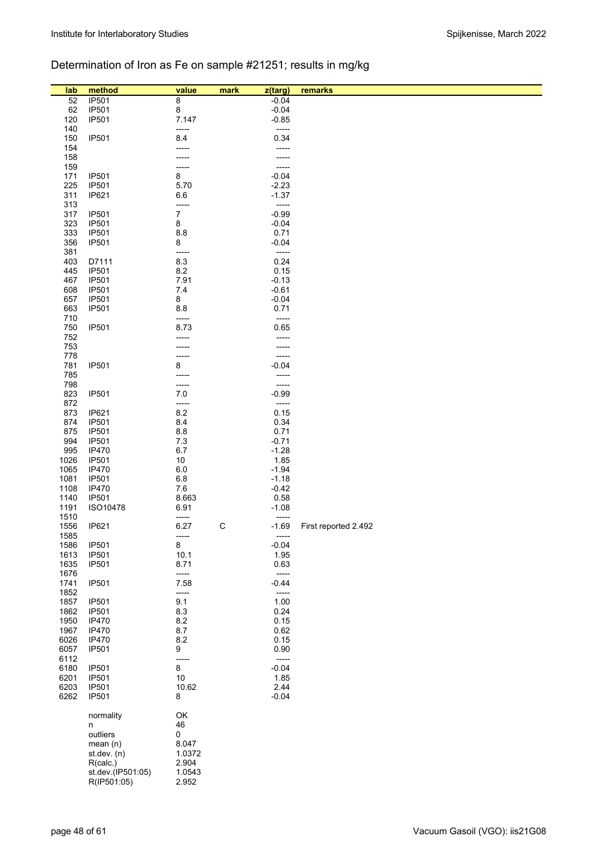## Determination of Iron as Fe on sample #21251; results in mg/kg

| lab          | method                       | value            | mark | z(targ)            | remarks              |
|--------------|------------------------------|------------------|------|--------------------|----------------------|
| 52           | IP501                        | 8                |      | $-0.04$            |                      |
| 62           | <b>IP501</b>                 | 8                |      | $-0.04$            |                      |
| 120          | <b>IP501</b>                 | 7.147            |      | $-0.85$            |                      |
| 140          |                              | -----            |      | -----              |                      |
| 150          | <b>IP501</b>                 | 8.4              |      | 0.34               |                      |
| 154          |                              | -----            |      | -----              |                      |
| 158          |                              |                  |      | -----              |                      |
| 159          |                              |                  |      | -----              |                      |
| 171          | <b>IP501</b>                 | 8                |      | $-0.04$            |                      |
| 225          | <b>IP501</b>                 | 5.70             |      | $-2.23$            |                      |
| 311          | IP621                        | 6.6              |      | $-1.37$            |                      |
| 313          |                              | -----            |      | -----              |                      |
| 317          | <b>IP501</b>                 | $\boldsymbol{7}$ |      | $-0.99$            |                      |
| 323          | <b>IP501</b>                 | 8                |      | $-0.04$            |                      |
| 333          | <b>IP501</b>                 | 8.8              |      | 0.71               |                      |
| 356          | <b>IP501</b>                 | 8                |      | $-0.04$            |                      |
| 381          |                              | -----            |      | -----              |                      |
| 403          | D7111                        | 8.3              |      | 0.24               |                      |
| 445          | <b>IP501</b>                 | 8.2              |      | 0.15               |                      |
| 467          | <b>IP501</b>                 | 7.91             |      | $-0.13$            |                      |
| 608          | <b>IP501</b>                 | $7.4$            |      | $-0.61$            |                      |
| 657<br>663   | IP501                        | 8<br>8.8         |      | $-0.04$            |                      |
| 710          | <b>IP501</b>                 | -----            |      | 0.71<br>-----      |                      |
| 750          | <b>IP501</b>                 | 8.73             |      | 0.65               |                      |
| 752          |                              |                  |      |                    |                      |
| 753          |                              |                  |      | -----              |                      |
| 778          |                              |                  |      | -----              |                      |
| 781          | IP501                        | 8                |      | $-0.04$            |                      |
| 785          |                              |                  |      |                    |                      |
| 798          |                              | -----            |      | -----              |                      |
| 823          | IP501                        | 7.0              |      | $-0.99$            |                      |
| 872          |                              | -----            |      | -----              |                      |
| 873          | IP621                        | 8.2              |      | 0.15               |                      |
| 874          | <b>IP501</b>                 | 8.4              |      | 0.34               |                      |
| 875          | <b>IP501</b>                 | 8.8              |      | 0.71               |                      |
| 994          | <b>IP501</b>                 | 7.3              |      | $-0.71$            |                      |
| 995          | <b>IP470</b>                 | 6.7              |      | $-1.28$            |                      |
| 1026         | <b>IP501</b><br><b>IP470</b> | $10$<br>6.0      |      | 1.85               |                      |
| 1065<br>1081 | <b>IP501</b>                 | 6.8              |      | $-1.94$<br>$-1.18$ |                      |
| 1108         | <b>IP470</b>                 | 7.6              |      | $-0.42$            |                      |
| 1140         | <b>IP501</b>                 | 8.663            |      | 0.58               |                      |
| 1191         | ISO10478                     | 6.91             |      | $-1.08$            |                      |
| 1510         |                              | -----            |      | -----              |                      |
| 1556         | IP621                        | 6.27             | C    | $-1.69$            | First reported 2.492 |
| 1585         |                              | -----            |      | -----              |                      |
| 1586         | IP501                        | $\bf 8$          |      | $-0.04$            |                      |
| 1613         | IP501                        | 10.1             |      | 1.95               |                      |
| 1635         | IP501                        | 8.71             |      | 0.63               |                      |
| 1676         |                              | -----            |      | -----              |                      |
| 1741         | IP501                        | 7.58             |      | $-0.44$            |                      |
| 1852         |                              | -----            |      | -----              |                      |
| 1857         | IP501                        | 9.1              |      | 1.00               |                      |
| 1862<br>1950 | <b>IP501</b><br><b>IP470</b> | 8.3<br>8.2       |      | 0.24<br>0.15       |                      |
| 1967         | <b>IP470</b>                 | 8.7              |      | 0.62               |                      |
| 6026         | <b>IP470</b>                 | 8.2              |      | 0.15               |                      |
| 6057         | IP501                        | 9                |      | 0.90               |                      |
| 6112         |                              | -----            |      | -----              |                      |
| 6180         | IP501                        | 8                |      | $-0.04$            |                      |
| 6201         | IP501                        | $10$             |      | 1.85               |                      |
| 6203         | <b>IP501</b>                 | 10.62            |      | 2.44               |                      |
| 6262         | <b>IP501</b>                 | 8                |      | $-0.04$            |                      |
|              |                              |                  |      |                    |                      |
|              | normality                    | OK               |      |                    |                      |
|              | n                            | 46               |      |                    |                      |
|              | outliers                     | $\pmb{0}$        |      |                    |                      |
|              | mean $(n)$<br>st.dev. (n)    | 8.047<br>1.0372  |      |                    |                      |
|              | R(calc.)                     | 2.904            |      |                    |                      |
|              | st.dev.(IP501:05)            | 1.0543           |      |                    |                      |
|              | R(IP501:05)                  | 2.952            |      |                    |                      |
|              |                              |                  |      |                    |                      |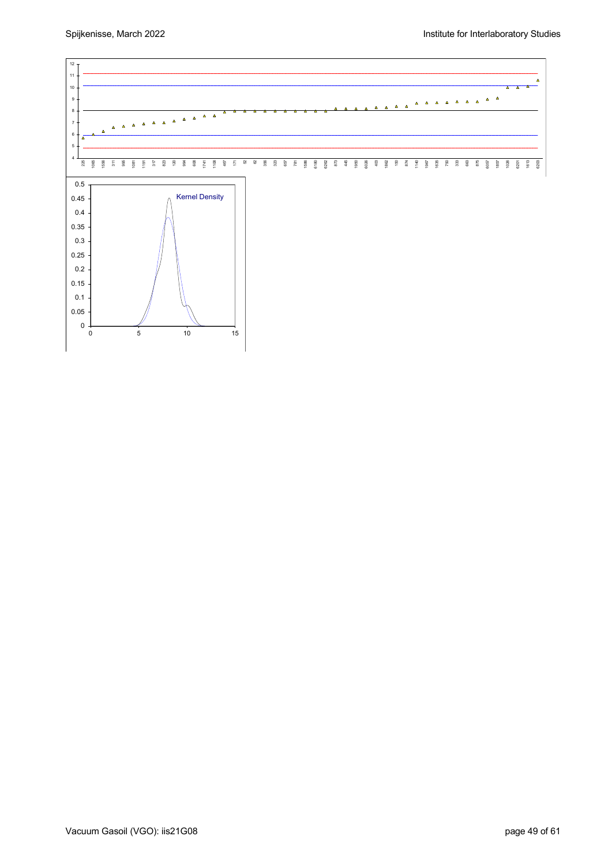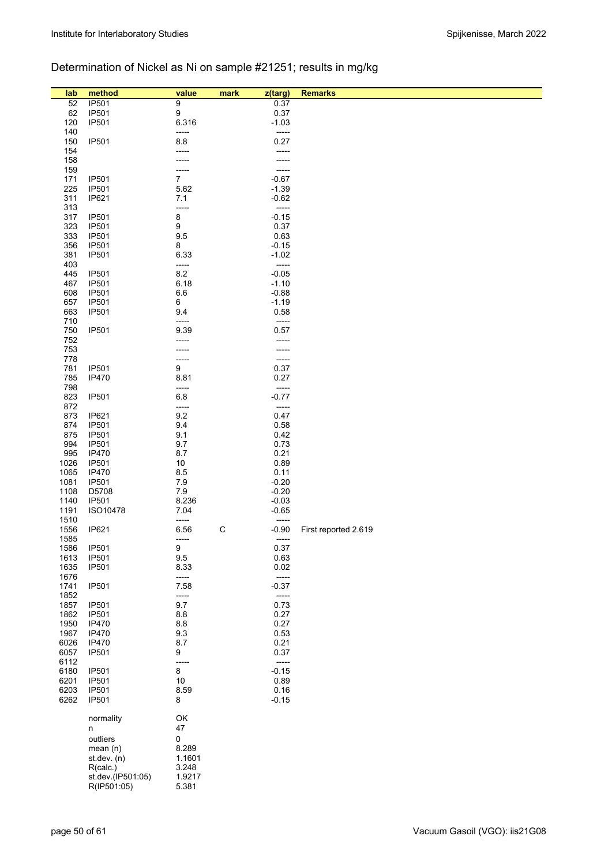## Determination of Nickel as Ni on sample #21251; results in mg/kg

| lab          | method                       | value           | mark | z(targ)            | <b>Remarks</b>       |
|--------------|------------------------------|-----------------|------|--------------------|----------------------|
| 52           | <b>IP501</b>                 | 9               |      | 0.37               |                      |
| 62           | <b>IP501</b>                 | 9               |      | 0.37               |                      |
| 120          | <b>IP501</b>                 | 6.316           |      | $-1.03$            |                      |
| 140          |                              | -----           |      | -----              |                      |
| 150          | <b>IP501</b>                 | 8.8             |      | 0.27               |                      |
| 154          |                              | -----           |      | -----              |                      |
| 158          |                              |                 |      |                    |                      |
| 159          |                              |                 |      | -----              |                      |
| 171          | <b>IP501</b>                 | $\overline{7}$  |      | $-0.67$            |                      |
| 225          | IP501                        | 5.62            |      | $-1.39$            |                      |
| 311          | IP621                        | 7.1             |      | $-0.62$            |                      |
| 313          |                              | -----           |      | -----              |                      |
| 317          | IP501                        | 8               |      | $-0.15$            |                      |
| 323          | <b>IP501</b>                 | 9               |      | 0.37               |                      |
| 333<br>356   | <b>IP501</b><br><b>IP501</b> | 9.5<br>8        |      | 0.63<br>$-0.15$    |                      |
| 381          | <b>IP501</b>                 | 6.33            |      | $-1.02$            |                      |
| 403          |                              | -----           |      | $-$ ----           |                      |
| 445          | <b>IP501</b>                 | $8.2\,$         |      | $-0.05$            |                      |
| 467          | <b>IP501</b>                 | 6.18            |      | $-1.10$            |                      |
| 608          | <b>IP501</b>                 | $6.6\,$         |      | $-0.88$            |                      |
| 657          | <b>IP501</b>                 | 6               |      | $-1.19$            |                      |
| 663          | <b>IP501</b>                 | 9.4             |      | 0.58               |                      |
| 710          |                              | -----           |      | -----              |                      |
| 750          | <b>IP501</b>                 | 9.39            |      | 0.57               |                      |
| 752          |                              |                 |      |                    |                      |
| 753          |                              |                 |      | -----              |                      |
| 778<br>781   | <b>IP501</b>                 | 9               |      | -----<br>0.37      |                      |
| 785          | IP470                        | 8.81            |      | 0.27               |                      |
| 798          |                              | -----           |      | -----              |                      |
| 823          | <b>IP501</b>                 | $6.8\,$         |      | $-0.77$            |                      |
| 872          |                              | -----           |      | -----              |                      |
| 873          | IP621                        | 9.2             |      | 0.47               |                      |
| 874          | <b>IP501</b>                 | 9.4             |      | 0.58               |                      |
| 875          | <b>IP501</b>                 | 9.1             |      | 0.42               |                      |
| 994          | <b>IP501</b>                 | 9.7             |      | 0.73               |                      |
| 995          | <b>IP470</b>                 | 8.7             |      | 0.21               |                      |
| 1026         | <b>IP501</b>                 | $10\,$          |      | 0.89               |                      |
| 1065         | <b>IP470</b>                 | 8.5             |      | 0.11               |                      |
| 1081         | IP501                        | 7.9             |      | $-0.20$            |                      |
| 1108         | D5708<br><b>IP501</b>        | 7.9<br>8.236    |      | $-0.20$            |                      |
| 1140<br>1191 | ISO10478                     | 7.04            |      | $-0.03$<br>$-0.65$ |                      |
| 1510         |                              | -----           |      | -----              |                      |
| 1556         | IP621                        | 6.56            | C    | $-0.90$            | First reported 2.619 |
| 1585         |                              | -----           |      | -----              |                      |
| 1586         | <b>IP501</b>                 | 9               |      | 0.37               |                      |
| 1613         | IP501                        | $9.5\,$         |      | 0.63               |                      |
| 1635         | IP501                        | 8.33            |      | 0.02               |                      |
| 1676         |                              | -----           |      | -----              |                      |
| 1741         | <b>IP501</b>                 | 7.58            |      | $-0.37$            |                      |
| 1852         |                              | -----           |      | -----              |                      |
| 1857<br>1862 | <b>IP501</b><br>IP501        | 9.7<br>8.8      |      | 0.73<br>0.27       |                      |
| 1950         | <b>IP470</b>                 | 8.8             |      | 0.27               |                      |
| 1967         | <b>IP470</b>                 | 9.3             |      | 0.53               |                      |
| 6026         | <b>IP470</b>                 | 8.7             |      | 0.21               |                      |
| 6057         | <b>IP501</b>                 | 9               |      | 0.37               |                      |
| 6112         |                              | -----           |      | -----              |                      |
| 6180         | <b>IP501</b>                 | 8               |      | $-0.15$            |                      |
| 6201         | <b>IP501</b>                 | $10\,$          |      | 0.89               |                      |
| 6203         | IP501                        | 8.59            |      | 0.16               |                      |
| 6262         | <b>IP501</b>                 | 8               |      | $-0.15$            |                      |
|              |                              |                 |      |                    |                      |
|              | normality                    | OK              |      |                    |                      |
|              | n                            | 47              |      |                    |                      |
|              | outliers                     | 0               |      |                    |                      |
|              | mean $(n)$<br>st.dev. (n)    | 8.289<br>1.1601 |      |                    |                      |
|              | R(calc.)                     | 3.248           |      |                    |                      |
|              | st.dev.(IP501:05)            | 1.9217          |      |                    |                      |
|              | R(IP501:05)                  | 5.381           |      |                    |                      |
|              |                              |                 |      |                    |                      |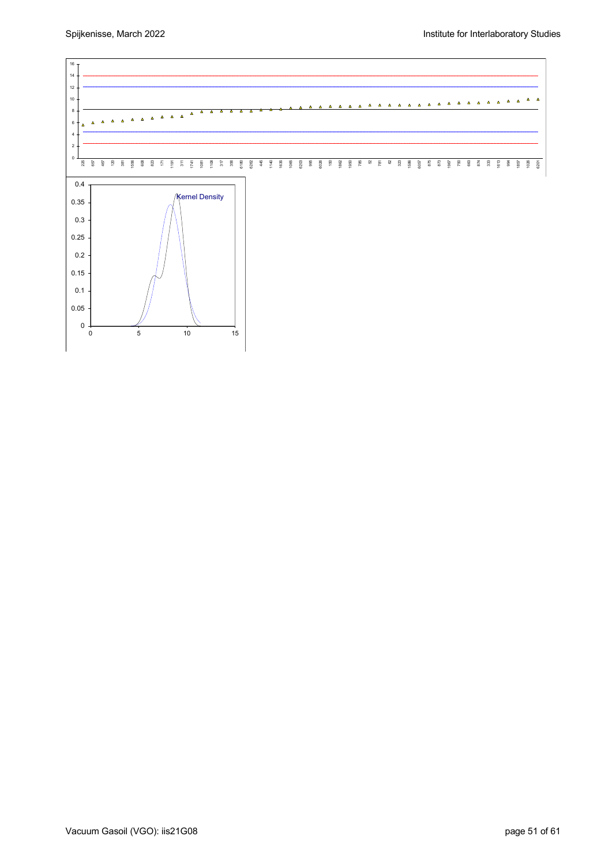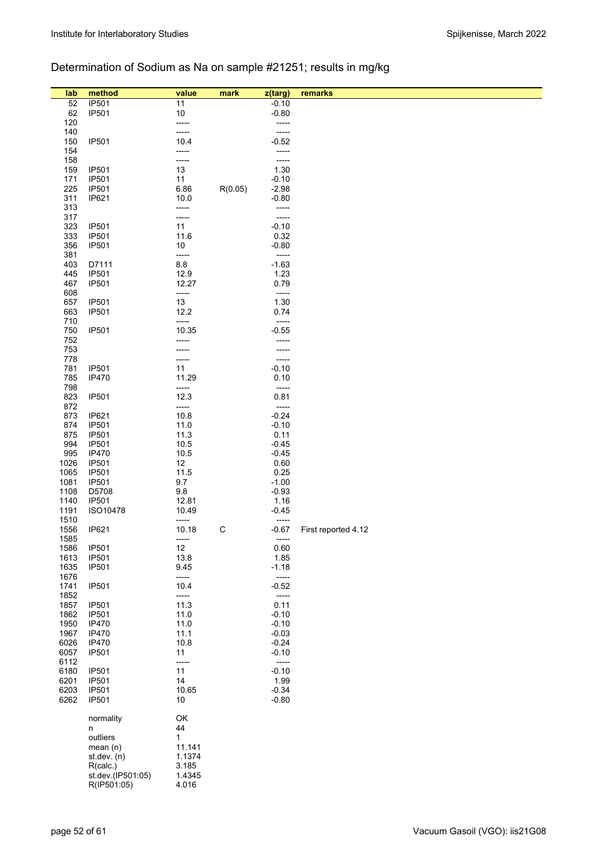## Determination of Sodium as Na on sample #21251; results in mg/kg

| lab        | method                       | value            | mark    | z(targ)            | remarks             |
|------------|------------------------------|------------------|---------|--------------------|---------------------|
| 52         | <b>IP501</b>                 | 11               |         | $-0.10$            |                     |
| 62         | IP501                        | 10               |         | $-0.80$            |                     |
| 120        |                              | -----            |         | -----              |                     |
| 140        |                              | -----            |         | -----              |                     |
| 150        | <b>IP501</b>                 | 10.4             |         | $-0.52$            |                     |
| 154        |                              | -----            |         | -----              |                     |
| 158        |                              | -----            |         | -----              |                     |
| 159        | <b>IP501</b>                 | $13$             |         | 1.30               |                     |
|            |                              |                  |         |                    |                     |
| 171<br>225 | <b>IP501</b><br><b>IP501</b> | 11<br>6.86       |         | $-0.10$<br>$-2.98$ |                     |
|            |                              |                  | R(0.05) |                    |                     |
| 311        | IP621                        | 10.0             |         | $-0.80$            |                     |
| 313        |                              | -----            |         | -----              |                     |
| 317        |                              | -----            |         | -----              |                     |
| 323        | IP501                        | 11               |         | $-0.10$            |                     |
| 333        | <b>IP501</b>                 | 11.6             |         | 0.32               |                     |
| 356        | <b>IP501</b>                 | 10               |         | $-0.80$            |                     |
| 381        | D7111                        | -----<br>$8.8\,$ |         | -----<br>$-1.63$   |                     |
| 403<br>445 | <b>IP501</b>                 | 12.9             |         | 1.23               |                     |
| 467        | <b>IP501</b>                 | 12.27            |         | 0.79               |                     |
| 608        |                              | -----            |         | -----              |                     |
| 657        | <b>IP501</b>                 | 13               |         | 1.30               |                     |
| 663        | <b>IP501</b>                 | 12.2             |         | 0.74               |                     |
| 710        |                              | -----            |         | -----              |                     |
| 750        | <b>IP501</b>                 | 10.35            |         | $-0.55$            |                     |
| 752        |                              | -----            |         | -----              |                     |
| 753        |                              | -----            |         | -----              |                     |
| 778        |                              | -----            |         | -----              |                     |
| 781        | <b>IP501</b>                 | 11               |         | $-0.10$            |                     |
| 785        | IP470                        | 11.29            |         | 0.10               |                     |
| 798        |                              | -----            |         | -----              |                     |
| 823        | <b>IP501</b>                 | 12.3             |         | 0.81               |                     |
| 872        |                              | -----            |         | -----              |                     |
| 873        | IP621                        | 10.8             |         | $-0.24$            |                     |
| 874        | <b>IP501</b>                 | 11.0             |         | $-0.10$            |                     |
| 875        | <b>IP501</b>                 | 11.3             |         | 0.11               |                     |
| 994        | <b>IP501</b>                 | 10.5             |         | $-0.45$            |                     |
| 995        | IP470                        | 10.5             |         | $-0.45$            |                     |
| 1026       | <b>IP501</b>                 | 12               |         | 0.60               |                     |
| 1065       | <b>IP501</b>                 | 11.5             |         | 0.25               |                     |
| 1081       | <b>IP501</b>                 | 9.7              |         | $-1.00$            |                     |
| 1108       | D5708                        | 9.8              |         | $-0.93$            |                     |
| 1140       | IP501                        | 12.81            |         | 1.16               |                     |
| 1191       | ISO10478                     | 10.49            |         | $-0.45$            |                     |
| 1510       |                              | -----            |         | -----              |                     |
| 1556       | IP621                        | 10.18            | C       | $-0.67$            | First reported 4.12 |
| 1585       |                              | -----            |         | -----              |                     |
| 1586       | <b>IP501</b>                 | 12               |         | 0.60               |                     |
| 1613       | <b>IP501</b>                 | 13.8             |         | 1.85               |                     |
| 1635       | IP501                        | 9.45             |         | $-1.18$            |                     |
| 1676       |                              | -----            |         | -----              |                     |
| 1741       | IP501                        | 10.4             |         | $-0.52$            |                     |
| 1852       |                              | -----            |         | -----              |                     |
| 1857       | <b>IP501</b>                 | 11.3             |         | 0.11               |                     |
| 1862       | <b>IP501</b>                 | 11.0             |         | $-0.10$            |                     |
| 1950       | <b>IP470</b>                 | 11.0             |         | $-0.10$            |                     |
| 1967       | <b>IP470</b>                 | 11.1             |         | $-0.03$            |                     |
| 6026       | <b>IP470</b>                 | 10.8             |         | $-0.24$            |                     |
| 6057       | IP501                        | 11               |         | $-0.10$            |                     |
| 6112       |                              | -----            |         | -----              |                     |
| 6180       | <b>IP501</b>                 | 11               |         | $-0.10$            |                     |
| 6201       | <b>IP501</b>                 | 14               |         | 1.99               |                     |
| 6203       | <b>IP501</b>                 | 10.65            |         | $-0.34$            |                     |
| 6262       | <b>IP501</b>                 | 10               |         | $-0.80$            |                     |
|            |                              |                  |         |                    |                     |
|            | normality                    | OK               |         |                    |                     |
|            | n                            | 44               |         |                    |                     |
|            | outliers                     | 1                |         |                    |                     |
|            | mean $(n)$                   | 11.141           |         |                    |                     |
|            | st.dev. (n)                  | 1.1374           |         |                    |                     |
|            | R(calc.)                     | 3.185            |         |                    |                     |
|            | st.dev.(IP501:05)            | 1.4345           |         |                    |                     |
|            | R(IP501:05)                  | 4.016            |         |                    |                     |
|            |                              |                  |         |                    |                     |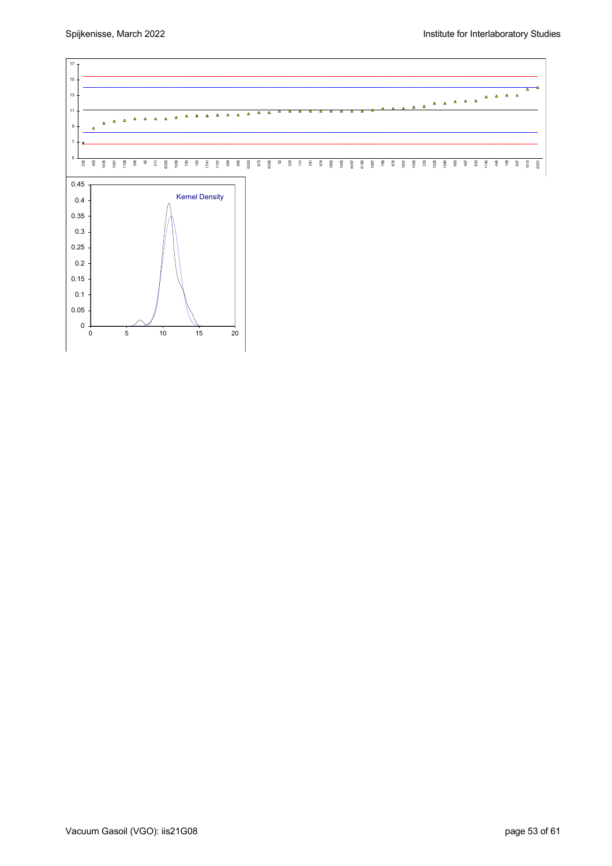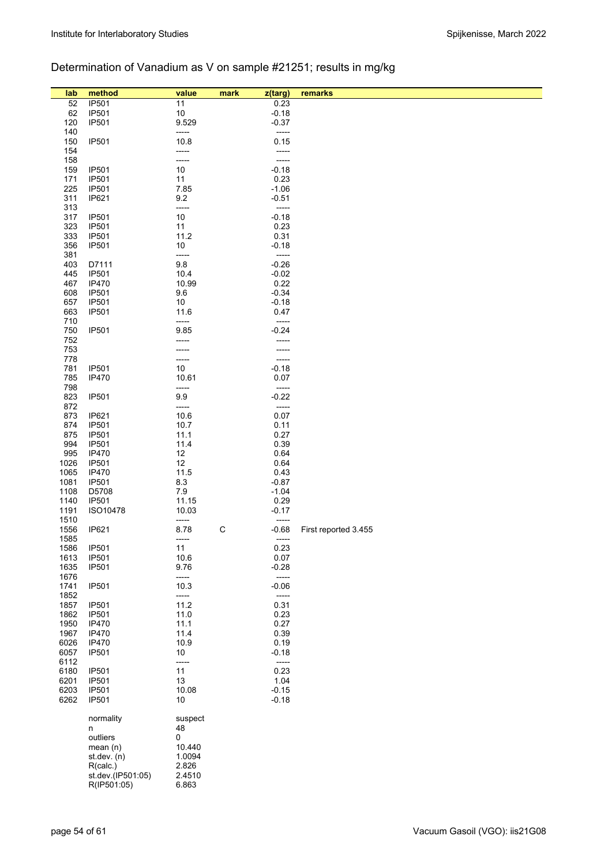## Determination of Vanadium as V on sample #21251; results in mg/kg

| lab          | method            | value             | mark        | z(targ)          | remarks              |
|--------------|-------------------|-------------------|-------------|------------------|----------------------|
| 52           | IP501             | 11                |             | 0.23             |                      |
| 62           | <b>IP501</b>      | $10\,$            |             | $-0.18$          |                      |
| 120          | <b>IP501</b>      | 9.529             |             | $-0.37$          |                      |
| 140          |                   | -----             |             | -----            |                      |
| 150          | <b>IP501</b>      | 10.8              |             | 0.15             |                      |
| 154          |                   | -----             |             | -----            |                      |
| 158          |                   |                   |             | -----            |                      |
| 159          | <b>IP501</b>      | $10\,$            |             | $-0.18$          |                      |
| 171          | <b>IP501</b>      | 11                |             | 0.23             |                      |
| 225          | <b>IP501</b>      | 7.85              |             | $-1.06$          |                      |
| 311          | IP621             | 9.2               |             | $-0.51$          |                      |
| 313          |                   | -----             |             | -----            |                      |
| 317          | <b>IP501</b>      | $10$              |             | $-0.18$          |                      |
| 323          | <b>IP501</b>      | 11                |             | 0.23             |                      |
| 333          | <b>IP501</b>      | 11.2              |             | 0.31             |                      |
| 356          | <b>IP501</b>      | $10$              |             | $-0.18$          |                      |
| 381          |                   | -----             |             | -----            |                      |
| 403          | D7111             | 9.8               |             | $-0.26$          |                      |
| 445          | <b>IP501</b>      | 10.4              |             | $-0.02$          |                      |
| 467          | <b>IP470</b>      | 10.99             |             | 0.22             |                      |
| 608          | <b>IP501</b>      | 9.6               |             | $-0.34$          |                      |
| 657          | IP501             | $10\,$            |             | $-0.18$          |                      |
| 663          | <b>IP501</b>      | 11.6              |             | 0.47             |                      |
| 710          |                   | -----             |             | -----            |                      |
| 750          | IP501             | 9.85              |             | $-0.24$          |                      |
| 752          |                   |                   |             |                  |                      |
| 753          |                   |                   |             | -----            |                      |
| 778          |                   |                   |             | -----            |                      |
| 781          | <b>IP501</b>      | 10                |             | $-0.18$          |                      |
| 785          | <b>IP470</b>      | 10.61             |             | 0.07             |                      |
| 798          |                   | -----             |             | -----            |                      |
| 823          | <b>IP501</b>      | 9.9               |             | $-0.22$          |                      |
| 872          |                   | -----             |             | -----            |                      |
| 873          | IP621             | 10.6              |             | 0.07             |                      |
| 874          | <b>IP501</b>      | 10.7              |             | 0.11             |                      |
| 875          | <b>IP501</b>      | 11.1              |             | 0.27             |                      |
| 994          | IP501             | 11.4              |             | 0.39             |                      |
| 995          | <b>IP470</b>      | 12                |             | 0.64             |                      |
| 1026         | <b>IP501</b>      | 12                |             | 0.64             |                      |
| 1065         | IP470             | 11.5              |             | 0.43             |                      |
| 1081         | <b>IP501</b>      | 8.3               |             | $-0.87$          |                      |
| 1108         | D5708             | 7.9               |             | $-1.04$          |                      |
| 1140         | <b>IP501</b>      | 11.15<br>10.03    |             | 0.29             |                      |
| 1191<br>1510 | ISO10478          | -----             |             | $-0.17$<br>----- |                      |
| 1556         | IP621             | 8.78              | $\mathsf C$ | $-0.68$          | First reported 3.455 |
| 1585         |                   | -----             |             | -----            |                      |
| 1586         | IP501             | $11$              |             | 0.23             |                      |
| 1613         | IP501             | 10.6              |             | 0.07             |                      |
| 1635         | IP501             | 9.76              |             | $-0.28$          |                      |
| 1676         |                   | -----             |             | -----            |                      |
| 1741         | IP501             | 10.3              |             | $-0.06$          |                      |
| 1852         |                   | -----             |             | -----            |                      |
| 1857         | IP501             | 11.2              |             | 0.31             |                      |
| 1862         | <b>IP501</b>      | 11.0              |             | 0.23             |                      |
| 1950         | <b>IP470</b>      | 11.1              |             | 0.27             |                      |
| 1967         | <b>IP470</b>      | 11.4              |             | 0.39             |                      |
| 6026         | <b>IP470</b>      | 10.9              |             | 0.19             |                      |
| 6057         | IP501             | 10                |             | $-0.18$          |                      |
| 6112         |                   | -----             |             | -----            |                      |
| 6180         | IP501             | 11                |             | 0.23             |                      |
| 6201         | IP501             | 13                |             | 1.04             |                      |
| 6203         | <b>IP501</b>      | 10.08             |             | $-0.15$          |                      |
| 6262         | <b>IP501</b>      | 10                |             | $-0.18$          |                      |
|              |                   |                   |             |                  |                      |
|              | normality         | suspect           |             |                  |                      |
|              | n<br>outliers     | 48<br>$\mathbf 0$ |             |                  |                      |
|              | mean $(n)$        | 10.440            |             |                  |                      |
|              | st.dev. (n)       | 1.0094            |             |                  |                      |
|              | R(calc.)          | 2.826             |             |                  |                      |
|              | st.dev.(IP501:05) | 2.4510            |             |                  |                      |
|              | R(IP501:05)       | 6.863             |             |                  |                      |
|              |                   |                   |             |                  |                      |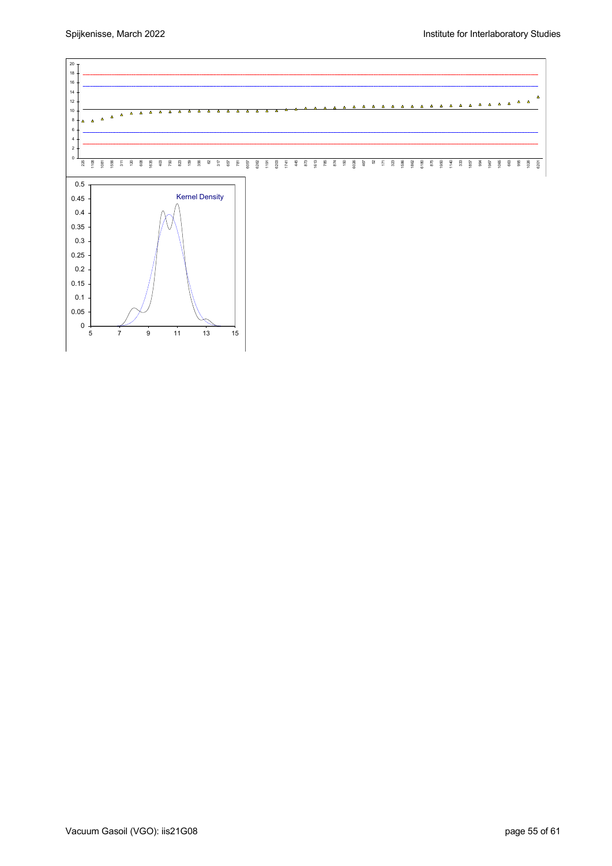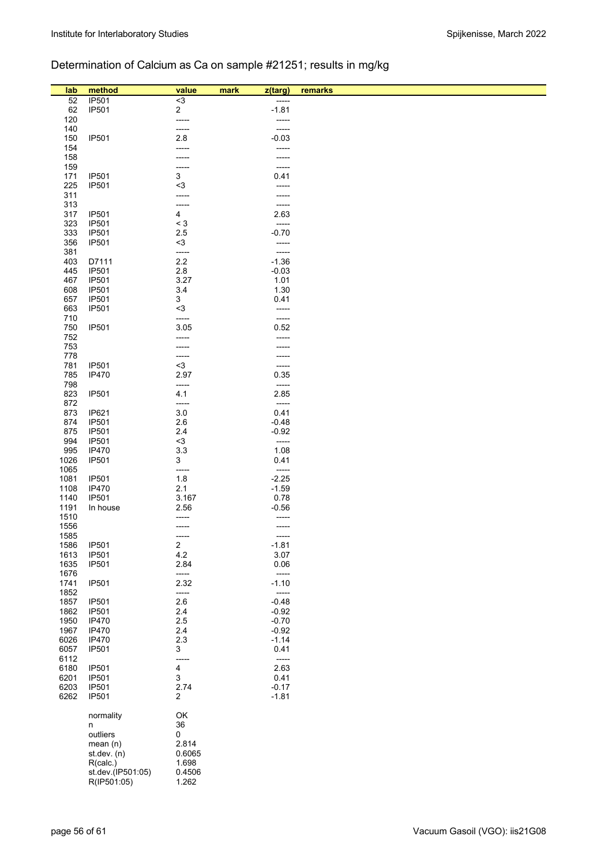## Determination of Calcium as Ca on sample #21251; results in mg/kg

| lab          | method                       | value                    | mark<br>z(targ)    | remarks |
|--------------|------------------------------|--------------------------|--------------------|---------|
| 52           | <b>IP501</b>                 | $\overline{\mathcal{C}}$ | -----              |         |
| 62           | <b>IP501</b>                 | $\overline{2}$           | $-1.81$            |         |
| 120          |                              | -----                    | -----              |         |
| 140          |                              | -----                    | -----              |         |
| 150          | <b>IP501</b>                 | 2.8                      | $-0.03$            |         |
| 154          |                              | -----                    | -----              |         |
| 158          |                              |                          |                    |         |
| 159<br>171   | <b>IP501</b>                 | 3                        | -----<br>0.41      |         |
| 225          | <b>IP501</b>                 | <3                       | -----              |         |
| 311          |                              |                          |                    |         |
| 313          |                              | -----                    | -----              |         |
| 317          | <b>IP501</b>                 | $\overline{4}$           | 2.63               |         |
| 323          | <b>IP501</b>                 | $\leq 3$                 | -----              |         |
| 333          | <b>IP501</b>                 | 2.5                      | $-0.70$            |         |
| 356<br>381   | <b>IP501</b>                 | $3$<br>-----             | -----<br>-----     |         |
| 403          | D7111                        | $2.2\,$                  | $-1.36$            |         |
| 445          | <b>IP501</b>                 | $2.8\,$                  | $-0.03$            |         |
| 467          | <b>IP501</b>                 | 3.27                     | 1.01               |         |
| 608          | <b>IP501</b>                 | 3.4                      | 1.30               |         |
| 657          | <b>IP501</b>                 | 3                        | 0.41               |         |
| 663          | <b>IP501</b>                 | $3$                      | -----              |         |
| 710          | <b>IP501</b>                 | -----<br>3.05            | -----<br>0.52      |         |
| 750<br>752   |                              |                          | -----              |         |
| 753          |                              | -----                    | -----              |         |
| 778          |                              | -----                    |                    |         |
| 781          | <b>IP501</b>                 | $3$                      | -----              |         |
| 785          | <b>IP470</b>                 | 2.97                     | 0.35               |         |
| 798          |                              | -----                    | -----              |         |
| 823          | <b>IP501</b>                 | 4.1                      | 2.85               |         |
| 872<br>873   | <b>IP621</b>                 | -----<br>3.0             | -----<br>0.41      |         |
| 874          | <b>IP501</b>                 | 2.6                      | $-0.48$            |         |
| 875          | <b>IP501</b>                 | 2.4                      | $-0.92$            |         |
| 994          | <b>IP501</b>                 | $<$ 3                    | -----              |         |
| 995          | <b>IP470</b>                 | 3.3                      | 1.08               |         |
| 1026         | <b>IP501</b>                 | $\mathbf{3}$             | 0.41               |         |
| 1065         |                              | -----                    | -----              |         |
| 1081<br>1108 | <b>IP501</b><br><b>IP470</b> | $1.8$<br>2.1             | $-2.25$<br>$-1.59$ |         |
| 1140         | <b>IP501</b>                 | 3.167                    | 0.78               |         |
| 1191         | In house                     | 2.56                     | $-0.56$            |         |
| 1510         |                              |                          |                    |         |
| 1556         |                              |                          |                    |         |
| 1585         |                              | -----                    | -----              |         |
| 1586         | IP501                        | $\overline{\mathbf{c}}$  | $-1.81$            |         |
| 1613<br>1635 | <b>IP501</b><br><b>IP501</b> | 4.2<br>2.84              | 3.07<br>0.06       |         |
| 1676         |                              | -----                    | -----              |         |
| 1741         | <b>IP501</b>                 | 2.32                     | $-1.10$            |         |
| 1852         |                              | -----                    | -----              |         |
| 1857         | <b>IP501</b>                 | 2.6                      | $-0.48$            |         |
| 1862         | <b>IP501</b>                 | 2.4                      | $-0.92$            |         |
| 1950         | <b>IP470</b>                 | 2.5                      | $-0.70$            |         |
| 1967<br>6026 | <b>IP470</b><br>IP470        | 2.4<br>2.3               | $-0.92$<br>$-1.14$ |         |
| 6057         | <b>IP501</b>                 | 3                        | 0.41               |         |
| 6112         |                              | -----                    | -----              |         |
| 6180         | <b>IP501</b>                 | 4                        | 2.63               |         |
| 6201         | <b>IP501</b>                 | 3                        | 0.41               |         |
| 6203         | <b>IP501</b>                 | 2.74                     | $-0.17$            |         |
| 6262         | IP501                        | 2                        | $-1.81$            |         |
|              | normality                    | OK                       |                    |         |
|              | n                            | 36                       |                    |         |
|              | outliers                     | 0                        |                    |         |
|              | mean $(n)$                   | 2.814                    |                    |         |
|              | st.dev. (n)                  | 0.6065                   |                    |         |
|              | R(calc.)                     | 1.698                    |                    |         |
|              | st.dev.(IP501:05)            | 0.4506                   |                    |         |
|              | R(IP501:05)                  | 1.262                    |                    |         |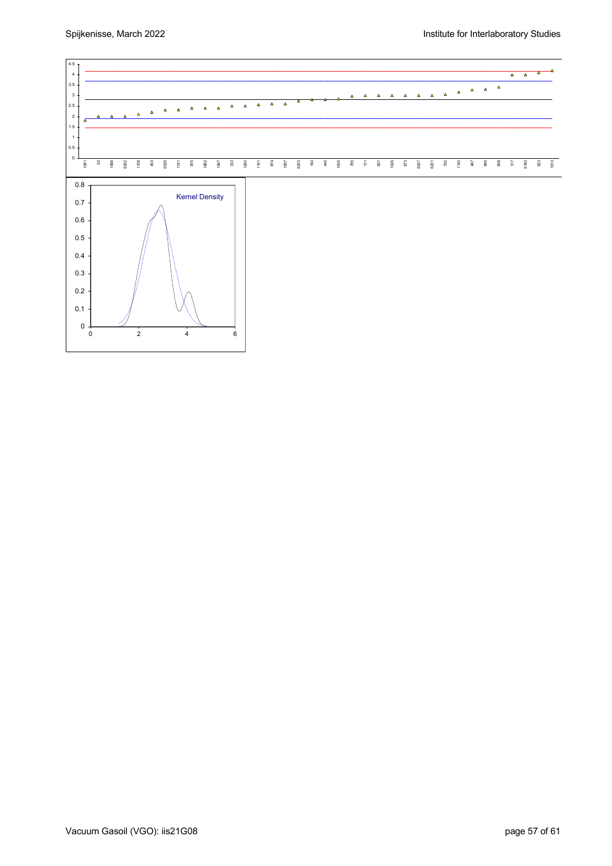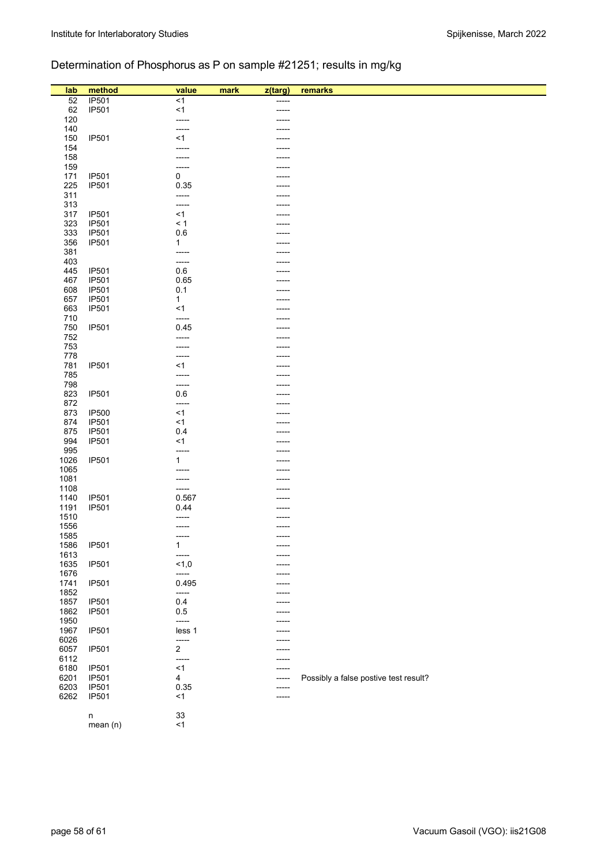# Determination of Phosphorus as P on sample #21251; results in mg/kg

| lab  | method       | value          | mark<br>z(targ) |       | remarks                               |
|------|--------------|----------------|-----------------|-------|---------------------------------------|
| 52   |              | <1             |                 |       |                                       |
|      | IP501        |                |                 | ----- |                                       |
| 62   | IP501        | $<$ 1          |                 | ----- |                                       |
| 120  |              | -----          |                 |       |                                       |
| 140  |              | -----          |                 |       |                                       |
| 150  | IP501        | $<$ 1          |                 |       |                                       |
| 154  |              | -----          |                 |       |                                       |
| 158  |              |                |                 |       |                                       |
| 159  |              | -----          |                 |       |                                       |
| 171  | IP501        | 0              |                 |       |                                       |
| 225  | IP501        | 0.35           |                 |       |                                       |
| 311  |              | -----          |                 |       |                                       |
| 313  |              | -----          |                 |       |                                       |
| 317  | IP501        | $<1\,$         |                 |       |                                       |
| 323  | <b>IP501</b> | < 1            |                 |       |                                       |
| 333  | <b>IP501</b> | 0.6            |                 |       |                                       |
| 356  | <b>IP501</b> | 1              |                 |       |                                       |
| 381  |              | -----          |                 |       |                                       |
| 403  |              | -----          |                 |       |                                       |
| 445  | IP501        | 0.6            |                 |       |                                       |
| 467  | IP501        | 0.65           |                 |       |                                       |
| 608  | IP501        | 0.1            |                 |       |                                       |
| 657  | <b>IP501</b> | $\mathbf{1}$   |                 |       |                                       |
| 663  | <b>IP501</b> | $<$ 1          |                 |       |                                       |
|      |              |                |                 |       |                                       |
| 710  |              | -----          |                 |       |                                       |
| 750  | IP501        | 0.45           |                 |       |                                       |
| 752  |              |                |                 |       |                                       |
| 753  |              | -----          |                 |       |                                       |
| 778  |              | -----          |                 |       |                                       |
| 781  | IP501        | <1             |                 |       |                                       |
| 785  |              | -----          |                 |       |                                       |
| 798  |              | -----          |                 |       |                                       |
| 823  | IP501        | 0.6            |                 |       |                                       |
| 872  |              | -----          |                 |       |                                       |
| 873  | <b>IP500</b> | $<1\,$         |                 |       |                                       |
| 874  | IP501        | < 1            |                 |       |                                       |
| 875  | <b>IP501</b> | 0.4            |                 |       |                                       |
| 994  | <b>IP501</b> | $<$ 1          |                 |       |                                       |
| 995  |              | -----          |                 |       |                                       |
| 1026 | IP501        | $\mathbf{1}$   |                 |       |                                       |
| 1065 |              |                |                 |       |                                       |
| 1081 |              |                |                 |       |                                       |
| 1108 |              | -----          |                 |       |                                       |
| 1140 | IP501        | 0.567          |                 |       |                                       |
| 1191 | <b>IP501</b> | 0.44           |                 |       |                                       |
| 1510 |              |                |                 |       |                                       |
|      |              |                |                 |       |                                       |
| 1556 |              |                |                 | ----- |                                       |
| 1585 |              | -----          |                 |       |                                       |
| 1586 | <b>IP501</b> | 1              |                 |       |                                       |
| 1613 |              | -----          |                 |       |                                       |
| 1635 | IP501        | 1,0            |                 |       |                                       |
| 1676 |              | -----          |                 |       |                                       |
| 1741 | IP501        | 0.495          |                 |       |                                       |
| 1852 |              | -----          |                 |       |                                       |
| 1857 | IP501        | 0.4            |                 |       |                                       |
| 1862 | IP501        | 0.5            |                 |       |                                       |
| 1950 |              | -----          |                 |       |                                       |
| 1967 | <b>IP501</b> | less 1         |                 |       |                                       |
| 6026 |              | $-----$        |                 |       |                                       |
| 6057 | <b>IP501</b> | $\overline{2}$ |                 |       |                                       |
| 6112 |              | -----          |                 |       |                                       |
| 6180 | <b>IP501</b> | $<$ 1          |                 |       |                                       |
| 6201 | <b>IP501</b> | 4              |                 | ----- | Possibly a false postive test result? |
| 6203 | <b>IP501</b> | 0.35           |                 |       |                                       |
| 6262 | <b>IP501</b> | < 1            |                 | ----  |                                       |
|      |              |                |                 |       |                                       |
|      | n            | $33\,$         |                 |       |                                       |
|      | mean (n)     | < 1            |                 |       |                                       |
|      |              |                |                 |       |                                       |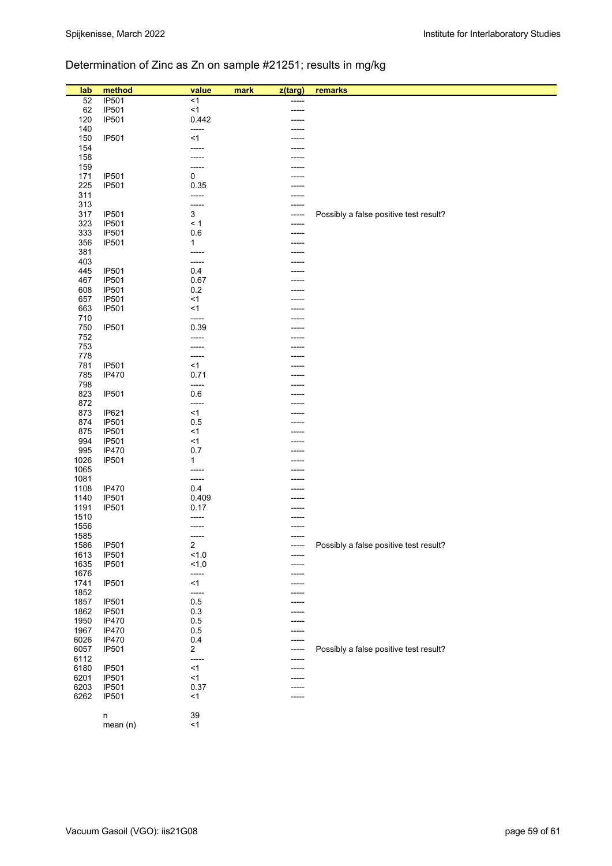## Determination of Zinc as Zn on sample #21251; results in mg/kg

| lab          | method                       | value                 | mark<br>z(targ) | remarks                                |
|--------------|------------------------------|-----------------------|-----------------|----------------------------------------|
| 52           | IP501                        | <1                    |                 |                                        |
| 62           | IP501                        | <1                    | -----           |                                        |
| 120          | IP501                        | 0.442                 |                 |                                        |
| 140          |                              | -----                 |                 |                                        |
| 150          | IP501                        | $<$ 1                 |                 |                                        |
| 154          |                              | -----                 |                 |                                        |
| 158          |                              |                       |                 |                                        |
| 159<br>171   | IP501                        | -----<br>0            |                 |                                        |
| 225          | <b>IP501</b>                 | 0.35                  |                 |                                        |
| 311          |                              | -----                 |                 |                                        |
| 313          |                              | -----                 |                 |                                        |
| 317          | IP501                        | 3                     |                 | Possibly a false positive test result? |
| 323          | <b>IP501</b>                 | < 1                   |                 |                                        |
| 333          | <b>IP501</b>                 | 0.6                   |                 |                                        |
| 356          | IP501                        | $\mathbf{1}$          |                 |                                        |
| 381          |                              | ------                |                 |                                        |
| 403          |                              | -----                 |                 |                                        |
| 445<br>467   | IP501<br>IP501               | 0.4<br>0.67           |                 |                                        |
| 608          | <b>IP501</b>                 | 0.2                   |                 |                                        |
| 657          | IP501                        | $<$ 1                 |                 |                                        |
| 663          | <b>IP501</b>                 | $<$ 1                 |                 |                                        |
| 710          |                              | $-----$               |                 |                                        |
| 750          | <b>IP501</b>                 | 0.39                  |                 |                                        |
| 752          |                              |                       |                 |                                        |
| 753          |                              |                       |                 |                                        |
| 778          |                              | -----                 |                 |                                        |
| 781<br>785   | <b>IP501</b><br><b>IP470</b> | $<$ 1<br>0.71         |                 |                                        |
| 798          |                              | -----                 |                 |                                        |
| 823          | IP501                        | 0.6                   |                 |                                        |
| 872          |                              | -----                 |                 |                                        |
| 873          | IP621                        | $<$ 1                 |                 |                                        |
| 874          | <b>IP501</b>                 | 0.5                   |                 |                                        |
| 875          | <b>IP501</b>                 | $<$ 1                 |                 |                                        |
| 994          | IP501                        | $<$ 1                 |                 |                                        |
| 995<br>1026  | IP470<br>IP501               | 0.7<br>1              |                 |                                        |
| 1065         |                              |                       |                 |                                        |
| 1081         |                              | -----                 |                 |                                        |
| 1108         | <b>IP470</b>                 | 0.4                   |                 |                                        |
| 1140         | IP501                        | 0.409                 |                 |                                        |
| 1191         | <b>IP501</b>                 | 0.17                  |                 |                                        |
| 1510         |                              |                       |                 |                                        |
| 1556         |                              |                       |                 |                                        |
| 1585         |                              | -----<br>$\mathbf 2$  | -----           |                                        |
| 1586<br>1613 | <b>IP501</b><br><b>IP501</b> | 1.0                   |                 | Possibly a false positive test result? |
| 1635         | <b>IP501</b>                 | 1,0                   |                 |                                        |
| 1676         |                              | -----                 |                 |                                        |
| 1741         | IP501                        | $<$ 1                 |                 |                                        |
| 1852         |                              | -----                 |                 |                                        |
| 1857         | IP501                        | 0.5                   |                 |                                        |
| 1862         | <b>IP501</b>                 | 0.3                   |                 |                                        |
| 1950         | <b>IP470</b>                 | 0.5                   |                 |                                        |
| 1967         | <b>IP470</b>                 | 0.5                   |                 |                                        |
| 6026<br>6057 | <b>IP470</b><br><b>IP501</b> | 0.4<br>$\overline{2}$ | -----           | Possibly a false positive test result? |
| 6112         |                              | -----                 |                 |                                        |
| 6180         | <b>IP501</b>                 | $<$ 1                 |                 |                                        |
| 6201         | <b>IP501</b>                 | $<$ 1                 |                 |                                        |
| 6203         | <b>IP501</b>                 | 0.37                  |                 |                                        |
| 6262         | <b>IP501</b>                 | $<$ 1                 |                 |                                        |
|              |                              |                       |                 |                                        |
|              | n                            | 39                    |                 |                                        |
|              | mean (n)                     | < 1                   |                 |                                        |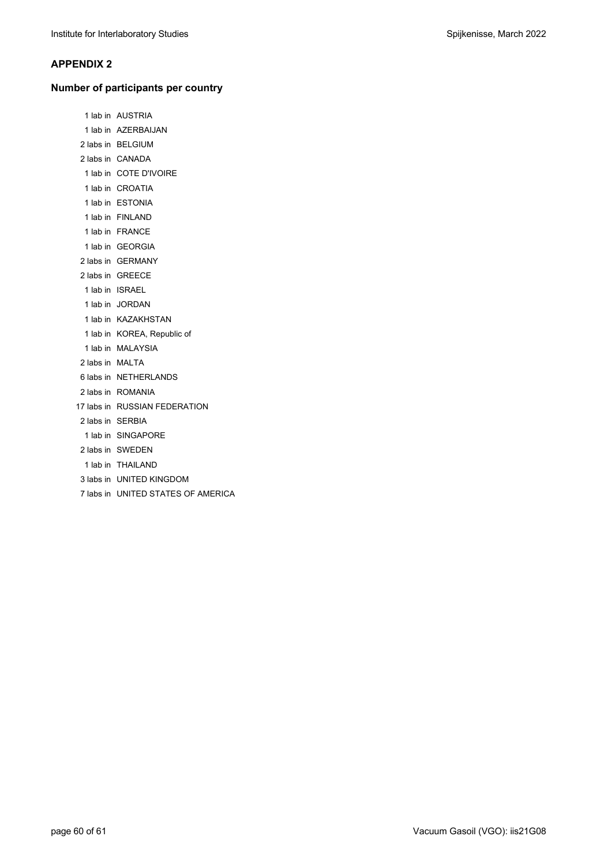#### **APPENDIX 2**

#### **Number of participants per country**

 1 lab in AUSTRIA 1 lab in AZERBAIJAN 2 labs in BELGIUM 2 labs in CANADA 1 lab in COTE D'IVOIRE 1 lab in CROATIA 1 lab in ESTONIA 1 lab in FINLAND 1 lab in FRANCE 1 lab in GEORGIA 2 labs in GERMANY 2 labs in GREECE 1 lab in ISRAEL 1 lab in JORDAN 1 lab in KAZAKHSTAN 1 lab in KOREA, Republic of 1 lab in MALAYSIA 2 labs in MALTA 6 labs in NETHERLANDS 2 labs in ROMANIA 17 labs in RUSSIAN FEDERATION 2 labs in SERBIA 1 lab in SINGAPORE 2 labs in SWEDEN 1 lab in THAILAND 3 labs in UNITED KINGDOM 7 labs in UNITED STATES OF AMERICA